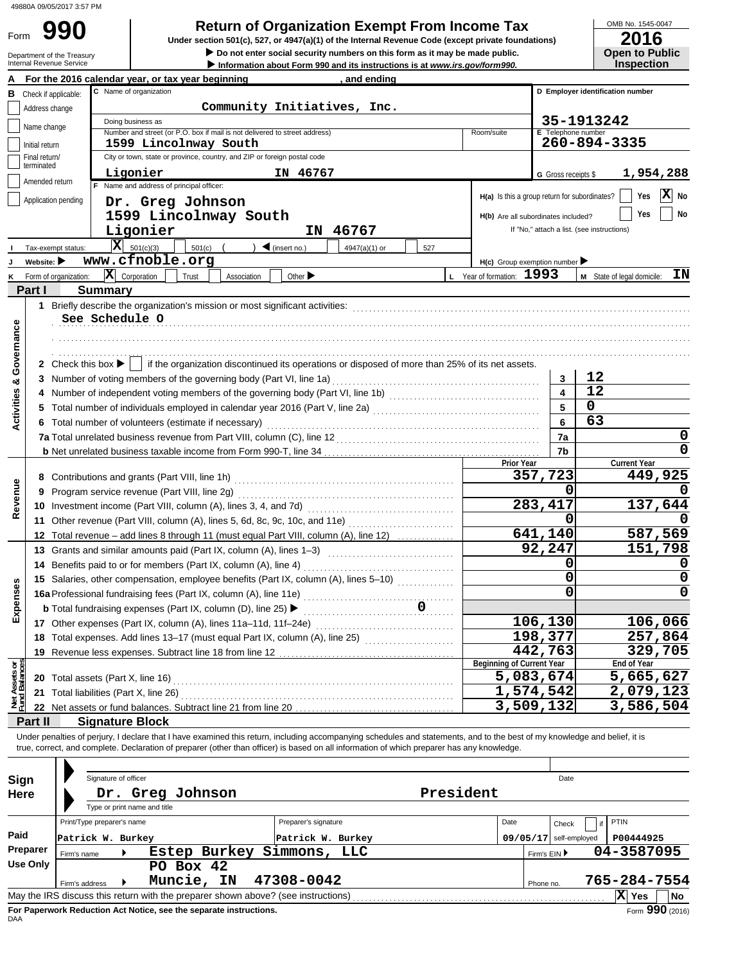Department of the Treasury

Form

# **990** Return of Organization Exempt From Income Tax Demonstrations) and the Internal Revenue Code (except private foundations)

▶ Do not enter social security numbers on this form as it may be made public. **Open to Public** 

OMB No. 1545-0047

|                                | Internal Revenue Service       |                                        |                                                                                                                                                                                                                                |            |                                  |                             | Information about Form 990 and its instructions is at www.irs.gov/form990.                      |     |                                  |                                               |                                  | <b>Inspection</b>          |          |
|--------------------------------|--------------------------------|----------------------------------------|--------------------------------------------------------------------------------------------------------------------------------------------------------------------------------------------------------------------------------|------------|----------------------------------|-----------------------------|-------------------------------------------------------------------------------------------------|-----|----------------------------------|-----------------------------------------------|----------------------------------|----------------------------|----------|
|                                |                                |                                        | For the 2016 calendar year, or tax year beginning                                                                                                                                                                              |            |                                  |                             | and ending,                                                                                     |     |                                  |                                               |                                  |                            |          |
|                                | <b>B</b> Check if applicable:  |                                        | C Name of organization                                                                                                                                                                                                         |            |                                  |                             |                                                                                                 |     |                                  |                                               | D Employer identification number |                            |          |
|                                | Address change                 |                                        |                                                                                                                                                                                                                                |            |                                  |                             | Community Initiatives, Inc.                                                                     |     |                                  |                                               |                                  |                            |          |
|                                |                                |                                        | Doing business as                                                                                                                                                                                                              |            |                                  |                             |                                                                                                 |     |                                  |                                               | 35-1913242                       |                            |          |
|                                | Name change                    |                                        | Number and street (or P.O. box if mail is not delivered to street address)                                                                                                                                                     |            |                                  |                             |                                                                                                 |     | Room/suite                       |                                               | E Telephone number               |                            |          |
|                                | Initial return                 |                                        | 1599 Lincolnway South                                                                                                                                                                                                          |            |                                  |                             |                                                                                                 |     |                                  |                                               | 260-894-3335                     |                            |          |
|                                | Final return/<br>terminated    |                                        | City or town, state or province, country, and ZIP or foreign postal code                                                                                                                                                       |            |                                  |                             |                                                                                                 |     |                                  |                                               |                                  |                            |          |
|                                |                                |                                        | Ligonier                                                                                                                                                                                                                       |            |                                  | IN 46767                    |                                                                                                 |     |                                  | G Gross receipts \$                           |                                  | 1,954,288                  |          |
|                                | Amended return                 |                                        | F Name and address of principal officer:                                                                                                                                                                                       |            |                                  |                             |                                                                                                 |     |                                  |                                               |                                  |                            |          |
|                                | Application pending            |                                        | Dr. Greg Johnson                                                                                                                                                                                                               |            |                                  |                             |                                                                                                 |     |                                  | H(a) Is this a group return for subordinates? |                                  | Yes                        | ΙX<br>No |
|                                |                                |                                        | 1599 Lincolnway South                                                                                                                                                                                                          |            |                                  |                             |                                                                                                 |     |                                  | H(b) Are all subordinates included?           |                                  | Yes                        | No       |
|                                |                                |                                        | Ligonier                                                                                                                                                                                                                       |            |                                  |                             | IN 46767                                                                                        |     |                                  | If "No," attach a list. (see instructions)    |                                  |                            |          |
|                                | Tax-exempt status:             |                                        | $ \mathbf{X} $ 501(c)(3)                                                                                                                                                                                                       |            | $501(c)$ $($ $)$ $($ insert no.) |                             | 4947(a)(1) or                                                                                   | 527 |                                  |                                               |                                  |                            |          |
|                                | Website: $\blacktriangleright$ |                                        | www.cfnoble.org                                                                                                                                                                                                                |            |                                  |                             |                                                                                                 |     |                                  |                                               |                                  |                            |          |
|                                |                                |                                        |                                                                                                                                                                                                                                |            |                                  |                             |                                                                                                 |     | L Year of formation: 1993        | $H(c)$ Group exemption number                 |                                  |                            |          |
| κ                              | Form of organization:          |                                        | $ \mathbf{X} $ Corporation                                                                                                                                                                                                     | Trust      | Association                      | Other $\blacktriangleright$ |                                                                                                 |     |                                  |                                               |                                  | M State of legal domicile: | ΙN       |
|                                | Part I                         | <b>Summary</b>                         |                                                                                                                                                                                                                                |            |                                  |                             |                                                                                                 |     |                                  |                                               |                                  |                            |          |
|                                |                                |                                        |                                                                                                                                                                                                                                |            |                                  |                             |                                                                                                 |     |                                  |                                               |                                  |                            |          |
|                                |                                | See Schedule O                         |                                                                                                                                                                                                                                |            |                                  |                             |                                                                                                 |     |                                  |                                               |                                  |                            |          |
|                                |                                |                                        |                                                                                                                                                                                                                                |            |                                  |                             |                                                                                                 |     |                                  |                                               |                                  |                            |          |
|                                |                                |                                        |                                                                                                                                                                                                                                |            |                                  |                             |                                                                                                 |     |                                  |                                               |                                  |                            |          |
| Governance                     |                                | 2 Check this box $\blacktriangleright$ |                                                                                                                                                                                                                                |            |                                  |                             | if the organization discontinued its operations or disposed of more than 25% of its net assets. |     |                                  |                                               |                                  |                            |          |
|                                |                                |                                        |                                                                                                                                                                                                                                |            |                                  |                             |                                                                                                 |     |                                  | 3                                             | 12                               |                            |          |
| <b>Activities &amp;</b>        |                                |                                        |                                                                                                                                                                                                                                |            |                                  |                             |                                                                                                 |     |                                  | 4                                             | 12                               |                            |          |
|                                |                                |                                        | 5 Total number of individuals employed in calendar year 2016 (Part V, line 2a) [100] (100] [100] [100] [100] [100] [100] [100] [100] [100] [100] [100] [100] [100] [100] [100] [100] [100] [100] [100] [100] [100] [100] [100] |            |                                  |                             |                                                                                                 |     |                                  | 5                                             | 0                                |                            |          |
|                                |                                |                                        | 6 Total number of volunteers (estimate if necessary)                                                                                                                                                                           |            |                                  |                             |                                                                                                 |     |                                  | 6                                             | 63                               |                            |          |
|                                |                                |                                        |                                                                                                                                                                                                                                |            |                                  |                             |                                                                                                 |     |                                  | 7a                                            |                                  |                            | 0        |
|                                |                                |                                        |                                                                                                                                                                                                                                |            |                                  |                             |                                                                                                 |     |                                  |                                               |                                  |                            | 0        |
|                                |                                |                                        |                                                                                                                                                                                                                                |            |                                  |                             |                                                                                                 |     | Prior Year                       | 7b                                            |                                  | <b>Current Year</b>        |          |
|                                |                                |                                        |                                                                                                                                                                                                                                |            |                                  |                             |                                                                                                 |     |                                  | 357,723                                       |                                  | 449,925                    |          |
| Revenue                        | 9                              |                                        |                                                                                                                                                                                                                                |            |                                  |                             |                                                                                                 |     |                                  | 0                                             |                                  |                            |          |
|                                |                                |                                        |                                                                                                                                                                                                                                |            |                                  |                             |                                                                                                 |     |                                  | 283,417                                       |                                  | 137,644                    |          |
|                                |                                |                                        |                                                                                                                                                                                                                                |            |                                  |                             |                                                                                                 |     |                                  | O                                             |                                  |                            |          |
|                                |                                |                                        | 11 Other revenue (Part VIII, column (A), lines 5, 6d, 8c, 9c, 10c, and 11e)                                                                                                                                                    |            |                                  |                             |                                                                                                 |     |                                  |                                               |                                  |                            |          |
|                                |                                |                                        | 12 Total revenue - add lines 8 through 11 (must equal Part VIII, column (A), line 12)                                                                                                                                          |            |                                  |                             |                                                                                                 |     |                                  | 641,140                                       |                                  | 587,569                    |          |
|                                |                                |                                        | 13 Grants and similar amounts paid (Part IX, column (A), lines 1-3)                                                                                                                                                            |            |                                  |                             |                                                                                                 |     |                                  | 92,247                                        |                                  | 151,798                    |          |
|                                |                                |                                        |                                                                                                                                                                                                                                |            |                                  |                             |                                                                                                 |     |                                  | 0                                             |                                  |                            | 0        |
|                                |                                |                                        | 15 Salaries, other compensation, employee benefits (Part IX, column (A), lines 5-10)                                                                                                                                           |            |                                  |                             |                                                                                                 |     |                                  | $\mathbf 0$                                   |                                  |                            | 0        |
| Expenses                       |                                |                                        |                                                                                                                                                                                                                                |            |                                  |                             |                                                                                                 |     |                                  | 0                                             |                                  |                            | 0        |
|                                |                                |                                        | <b>b</b> Total fundraising expenses (Part IX, column (D), line 25) >                                                                                                                                                           |            |                                  |                             |                                                                                                 |     |                                  |                                               |                                  |                            |          |
|                                |                                |                                        | 17 Other expenses (Part IX, column (A), lines 11a-11d, 11f-24e)                                                                                                                                                                |            |                                  |                             |                                                                                                 |     |                                  | 106,130                                       |                                  | 106,066                    |          |
|                                |                                |                                        | 18 Total expenses. Add lines 13-17 (must equal Part IX, column (A), line 25) [[[[[[[[[[[[[[[[[[[[[[[[[[[[[[[[                                                                                                                  |            |                                  |                             |                                                                                                 |     |                                  | 198,377                                       |                                  | 257,864                    |          |
|                                |                                |                                        |                                                                                                                                                                                                                                |            |                                  |                             |                                                                                                 |     |                                  | 442,763                                       |                                  | 329,705                    |          |
|                                |                                |                                        |                                                                                                                                                                                                                                |            |                                  |                             |                                                                                                 |     | <b>Beginning of Current Year</b> |                                               |                                  | End of Year                |          |
| Net Assets or<br>Fund Balances |                                | 20 Total assets (Part X, line 16)      |                                                                                                                                                                                                                                |            |                                  |                             |                                                                                                 |     |                                  | 5,083,674                                     |                                  | 5,665,627                  |          |
|                                |                                |                                        | 21 Total liabilities (Part X, line 26)                                                                                                                                                                                         |            |                                  |                             |                                                                                                 |     |                                  | 1,574,542                                     |                                  | 2,079,123                  |          |
|                                |                                |                                        |                                                                                                                                                                                                                                |            |                                  |                             |                                                                                                 |     |                                  | 3,509,132                                     |                                  | 3,586,504                  |          |
|                                | Part II                        |                                        | <b>Signature Block</b>                                                                                                                                                                                                         |            |                                  |                             |                                                                                                 |     |                                  |                                               |                                  |                            |          |
|                                |                                |                                        | Under penalties of perjury, I declare that I have examined this return, including accompanying schedules and statements, and to the best of my knowledge and belief, it is                                                     |            |                                  |                             |                                                                                                 |     |                                  |                                               |                                  |                            |          |
|                                |                                |                                        | true, correct, and complete. Declaration of preparer (other than officer) is based on all information of which preparer has any knowledge.                                                                                     |            |                                  |                             |                                                                                                 |     |                                  |                                               |                                  |                            |          |
|                                |                                |                                        |                                                                                                                                                                                                                                |            |                                  |                             |                                                                                                 |     |                                  |                                               |                                  |                            |          |
| Sign                           |                                | Signature of officer                   |                                                                                                                                                                                                                                |            |                                  |                             |                                                                                                 |     |                                  | Date                                          |                                  |                            |          |
| Here                           |                                |                                        | Dr. Greg Johnson                                                                                                                                                                                                               |            |                                  |                             |                                                                                                 |     | President                        |                                               |                                  |                            |          |
|                                |                                |                                        | Type or print name and title                                                                                                                                                                                                   |            |                                  |                             |                                                                                                 |     |                                  |                                               |                                  |                            |          |
|                                |                                | Print/Type preparer's name             |                                                                                                                                                                                                                                |            |                                  |                             |                                                                                                 |     | Date                             |                                               |                                  | PTIN                       |          |
| Paid                           |                                |                                        |                                                                                                                                                                                                                                |            |                                  | Preparer's signature        |                                                                                                 |     |                                  | Check                                         |                                  |                            |          |
|                                |                                | Patrick W. Burkey                      |                                                                                                                                                                                                                                |            |                                  | Patrick W. Burkey           |                                                                                                 |     |                                  | 09/05/17 self-employed                        |                                  | P00444925                  |          |
|                                | Preparer                       | Firm's name                            |                                                                                                                                                                                                                                |            | Estep Burkey                     | Simmons, LLC                |                                                                                                 |     |                                  | Firm's EIN ▶                                  |                                  | 04-3587095                 |          |
|                                | Use Only                       |                                        |                                                                                                                                                                                                                                | PO Box 42  |                                  |                             |                                                                                                 |     |                                  |                                               |                                  |                            |          |
|                                |                                | Firm's address                         |                                                                                                                                                                                                                                | Muncie, IN |                                  | 47308-0042                  |                                                                                                 |     |                                  | Phone no.                                     |                                  | 765-284-7554               |          |
|                                |                                |                                        | May the IRS discuss this return with the preparer shown above? (see instructions)                                                                                                                                              |            |                                  |                             |                                                                                                 |     |                                  |                                               |                                  | $ X $ Yes                  | No       |

| Sign       |                            | Signature of officer |                                                                                   |                      |           |      | Date                     |                                           |
|------------|----------------------------|----------------------|-----------------------------------------------------------------------------------|----------------------|-----------|------|--------------------------|-------------------------------------------|
| Here       |                            |                      | Dr. Greg Johnson                                                                  |                      | President |      |                          |                                           |
|            |                            |                      | Type or print name and title                                                      |                      |           |      |                          |                                           |
|            | Print/Type preparer's name |                      |                                                                                   | Preparer's signature |           | Date | Check                    | <b>PTIN</b>                               |
| Paid       | Patrick W. Burkey          |                      |                                                                                   | Patrick W. Burkey    |           |      | $09/05/17$ self-employed | P00444925                                 |
| Preparer   | Firm's name                |                      | Estep Burkey                                                                      | Simmons, LLC         |           |      | Firm's EIN ▶             | 04-3587095                                |
| Use Only   |                            |                      | PO Box 42                                                                         |                      |           |      |                          |                                           |
|            | Firm's address             |                      | Muncie, IN                                                                        | 47308-0042           |           |      | Phone no.                | 765-284-7554                              |
|            |                            |                      | May the IRS discuss this return with the preparer shown above? (see instructions) |                      |           |      |                          | $ \mathbf{X} $<br><b>No</b><br><b>Yes</b> |
| <b>DAA</b> |                            |                      | For Paperwork Reduction Act Notice, see the separate instructions.                |                      |           |      |                          | Form 990 (2016)                           |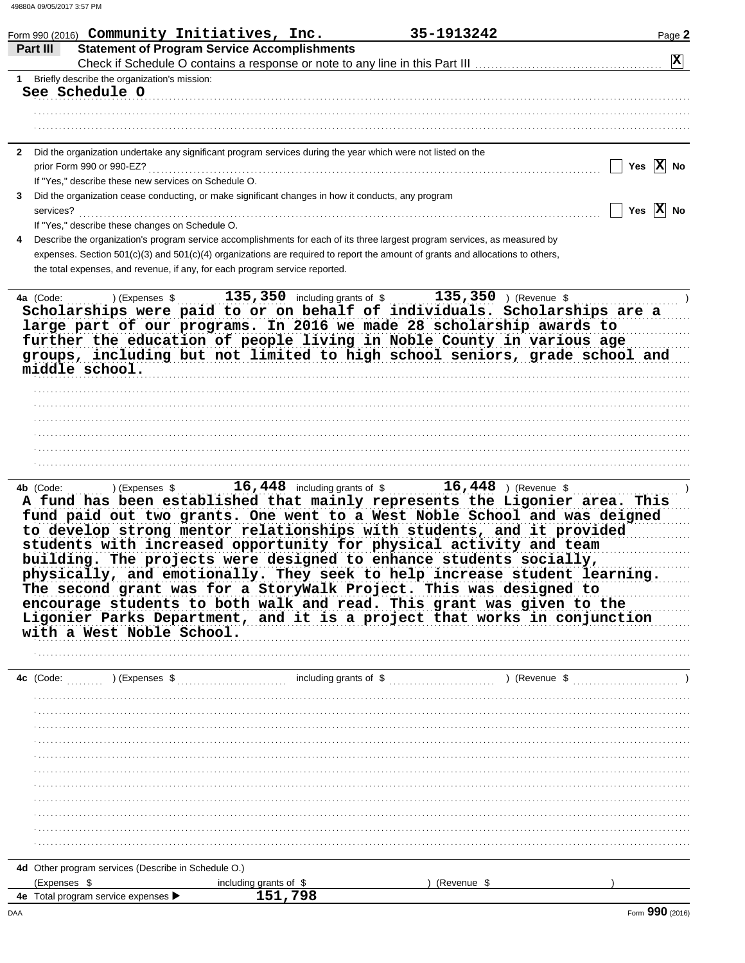| <b>Statement of Program Service Accomplishments</b><br>Part III<br>1 Briefly describe the organization's mission:<br>See Schedule O<br>2 Did the organization undertake any significant program services during the year which were not listed on the<br>prior Form 990 or 990-EZ?<br>If "Yes," describe these new services on Schedule O.<br>Did the organization cease conducting, or make significant changes in how it conducts, any program<br>3<br>services?<br>If "Yes," describe these changes on Schedule O.<br>Describe the organization's program service accomplishments for each of its three largest program services, as measured by<br>4<br>expenses. Section 501(c)(3) and 501(c)(4) organizations are required to report the amount of grants and allocations to others,<br>the total expenses, and revenue, if any, for each program service reported.<br>a (Code: ) (Expenses \$135,350 including grants of \$135,350 ) (Revenue \$50 Code: ) (Expenses \$135,350 including grants of \$135,350 ) (Revenue \$145,250 ) (Revenue \$145,250 ) (Revenue \$145,250 ) (Revenue \$145,250 ) (Revenue \$<br>4a (Code:<br>large part of our programs. In 2016 we made 28 scholarship awards to<br>further the education of people living in Noble County in various age<br>groups, including but not limited to high school seniors, grade school and<br>middle school.<br>16, 448 including grants of $\sqrt[6]{16}$ , 448 ) (Revenue $\sqrt[6]{16}$<br>) (Expenses \$<br>4b (Code:<br>A fund has been established that mainly represents the Ligonier area. This<br>fund paid out two grants. One went to a West Noble School and was deigned<br>to develop strong mentor relationships with students, and it provided<br>students with increased opportunity for physical activity and team<br>building. The projects were designed to enhance students socially,<br>physically, and emotionally. They seek to help increase student learning.<br>The second grant was for a StoryWalk Project. This was designed to<br>encourage students to both walk and read. This grant was given to the<br>Ligonier Parks Department, and it is a project that works in conjunction<br>with a West Noble School.<br>4d Other program services (Describe in Schedule O.) |  | Form 990 (2016) Community Initiatives, Inc. | 35-1913242    | Page 2          |
|------------------------------------------------------------------------------------------------------------------------------------------------------------------------------------------------------------------------------------------------------------------------------------------------------------------------------------------------------------------------------------------------------------------------------------------------------------------------------------------------------------------------------------------------------------------------------------------------------------------------------------------------------------------------------------------------------------------------------------------------------------------------------------------------------------------------------------------------------------------------------------------------------------------------------------------------------------------------------------------------------------------------------------------------------------------------------------------------------------------------------------------------------------------------------------------------------------------------------------------------------------------------------------------------------------------------------------------------------------------------------------------------------------------------------------------------------------------------------------------------------------------------------------------------------------------------------------------------------------------------------------------------------------------------------------------------------------------------------------------------------------------------------------------------------------------------------------------------------------------------------------------------------------------------------------------------------------------------------------------------------------------------------------------------------------------------------------------------------------------------------------------------------------------------------------------------------------------------------------------------------------------------------|--|---------------------------------------------|---------------|-----------------|
|                                                                                                                                                                                                                                                                                                                                                                                                                                                                                                                                                                                                                                                                                                                                                                                                                                                                                                                                                                                                                                                                                                                                                                                                                                                                                                                                                                                                                                                                                                                                                                                                                                                                                                                                                                                                                                                                                                                                                                                                                                                                                                                                                                                                                                                                              |  |                                             |               |                 |
|                                                                                                                                                                                                                                                                                                                                                                                                                                                                                                                                                                                                                                                                                                                                                                                                                                                                                                                                                                                                                                                                                                                                                                                                                                                                                                                                                                                                                                                                                                                                                                                                                                                                                                                                                                                                                                                                                                                                                                                                                                                                                                                                                                                                                                                                              |  |                                             |               | $\vert x \vert$ |
|                                                                                                                                                                                                                                                                                                                                                                                                                                                                                                                                                                                                                                                                                                                                                                                                                                                                                                                                                                                                                                                                                                                                                                                                                                                                                                                                                                                                                                                                                                                                                                                                                                                                                                                                                                                                                                                                                                                                                                                                                                                                                                                                                                                                                                                                              |  |                                             |               |                 |
|                                                                                                                                                                                                                                                                                                                                                                                                                                                                                                                                                                                                                                                                                                                                                                                                                                                                                                                                                                                                                                                                                                                                                                                                                                                                                                                                                                                                                                                                                                                                                                                                                                                                                                                                                                                                                                                                                                                                                                                                                                                                                                                                                                                                                                                                              |  |                                             |               |                 |
|                                                                                                                                                                                                                                                                                                                                                                                                                                                                                                                                                                                                                                                                                                                                                                                                                                                                                                                                                                                                                                                                                                                                                                                                                                                                                                                                                                                                                                                                                                                                                                                                                                                                                                                                                                                                                                                                                                                                                                                                                                                                                                                                                                                                                                                                              |  |                                             |               |                 |
|                                                                                                                                                                                                                                                                                                                                                                                                                                                                                                                                                                                                                                                                                                                                                                                                                                                                                                                                                                                                                                                                                                                                                                                                                                                                                                                                                                                                                                                                                                                                                                                                                                                                                                                                                                                                                                                                                                                                                                                                                                                                                                                                                                                                                                                                              |  |                                             |               |                 |
|                                                                                                                                                                                                                                                                                                                                                                                                                                                                                                                                                                                                                                                                                                                                                                                                                                                                                                                                                                                                                                                                                                                                                                                                                                                                                                                                                                                                                                                                                                                                                                                                                                                                                                                                                                                                                                                                                                                                                                                                                                                                                                                                                                                                                                                                              |  |                                             |               |                 |
|                                                                                                                                                                                                                                                                                                                                                                                                                                                                                                                                                                                                                                                                                                                                                                                                                                                                                                                                                                                                                                                                                                                                                                                                                                                                                                                                                                                                                                                                                                                                                                                                                                                                                                                                                                                                                                                                                                                                                                                                                                                                                                                                                                                                                                                                              |  |                                             |               |                 |
|                                                                                                                                                                                                                                                                                                                                                                                                                                                                                                                                                                                                                                                                                                                                                                                                                                                                                                                                                                                                                                                                                                                                                                                                                                                                                                                                                                                                                                                                                                                                                                                                                                                                                                                                                                                                                                                                                                                                                                                                                                                                                                                                                                                                                                                                              |  |                                             |               | Yes $ X $ No    |
|                                                                                                                                                                                                                                                                                                                                                                                                                                                                                                                                                                                                                                                                                                                                                                                                                                                                                                                                                                                                                                                                                                                                                                                                                                                                                                                                                                                                                                                                                                                                                                                                                                                                                                                                                                                                                                                                                                                                                                                                                                                                                                                                                                                                                                                                              |  |                                             |               |                 |
|                                                                                                                                                                                                                                                                                                                                                                                                                                                                                                                                                                                                                                                                                                                                                                                                                                                                                                                                                                                                                                                                                                                                                                                                                                                                                                                                                                                                                                                                                                                                                                                                                                                                                                                                                                                                                                                                                                                                                                                                                                                                                                                                                                                                                                                                              |  |                                             |               |                 |
|                                                                                                                                                                                                                                                                                                                                                                                                                                                                                                                                                                                                                                                                                                                                                                                                                                                                                                                                                                                                                                                                                                                                                                                                                                                                                                                                                                                                                                                                                                                                                                                                                                                                                                                                                                                                                                                                                                                                                                                                                                                                                                                                                                                                                                                                              |  |                                             |               | Yes $ X $ No    |
|                                                                                                                                                                                                                                                                                                                                                                                                                                                                                                                                                                                                                                                                                                                                                                                                                                                                                                                                                                                                                                                                                                                                                                                                                                                                                                                                                                                                                                                                                                                                                                                                                                                                                                                                                                                                                                                                                                                                                                                                                                                                                                                                                                                                                                                                              |  |                                             |               |                 |
|                                                                                                                                                                                                                                                                                                                                                                                                                                                                                                                                                                                                                                                                                                                                                                                                                                                                                                                                                                                                                                                                                                                                                                                                                                                                                                                                                                                                                                                                                                                                                                                                                                                                                                                                                                                                                                                                                                                                                                                                                                                                                                                                                                                                                                                                              |  |                                             |               |                 |
|                                                                                                                                                                                                                                                                                                                                                                                                                                                                                                                                                                                                                                                                                                                                                                                                                                                                                                                                                                                                                                                                                                                                                                                                                                                                                                                                                                                                                                                                                                                                                                                                                                                                                                                                                                                                                                                                                                                                                                                                                                                                                                                                                                                                                                                                              |  |                                             |               |                 |
|                                                                                                                                                                                                                                                                                                                                                                                                                                                                                                                                                                                                                                                                                                                                                                                                                                                                                                                                                                                                                                                                                                                                                                                                                                                                                                                                                                                                                                                                                                                                                                                                                                                                                                                                                                                                                                                                                                                                                                                                                                                                                                                                                                                                                                                                              |  |                                             |               |                 |
|                                                                                                                                                                                                                                                                                                                                                                                                                                                                                                                                                                                                                                                                                                                                                                                                                                                                                                                                                                                                                                                                                                                                                                                                                                                                                                                                                                                                                                                                                                                                                                                                                                                                                                                                                                                                                                                                                                                                                                                                                                                                                                                                                                                                                                                                              |  |                                             |               |                 |
|                                                                                                                                                                                                                                                                                                                                                                                                                                                                                                                                                                                                                                                                                                                                                                                                                                                                                                                                                                                                                                                                                                                                                                                                                                                                                                                                                                                                                                                                                                                                                                                                                                                                                                                                                                                                                                                                                                                                                                                                                                                                                                                                                                                                                                                                              |  |                                             |               |                 |
|                                                                                                                                                                                                                                                                                                                                                                                                                                                                                                                                                                                                                                                                                                                                                                                                                                                                                                                                                                                                                                                                                                                                                                                                                                                                                                                                                                                                                                                                                                                                                                                                                                                                                                                                                                                                                                                                                                                                                                                                                                                                                                                                                                                                                                                                              |  |                                             |               |                 |
|                                                                                                                                                                                                                                                                                                                                                                                                                                                                                                                                                                                                                                                                                                                                                                                                                                                                                                                                                                                                                                                                                                                                                                                                                                                                                                                                                                                                                                                                                                                                                                                                                                                                                                                                                                                                                                                                                                                                                                                                                                                                                                                                                                                                                                                                              |  |                                             |               |                 |
|                                                                                                                                                                                                                                                                                                                                                                                                                                                                                                                                                                                                                                                                                                                                                                                                                                                                                                                                                                                                                                                                                                                                                                                                                                                                                                                                                                                                                                                                                                                                                                                                                                                                                                                                                                                                                                                                                                                                                                                                                                                                                                                                                                                                                                                                              |  |                                             |               |                 |
|                                                                                                                                                                                                                                                                                                                                                                                                                                                                                                                                                                                                                                                                                                                                                                                                                                                                                                                                                                                                                                                                                                                                                                                                                                                                                                                                                                                                                                                                                                                                                                                                                                                                                                                                                                                                                                                                                                                                                                                                                                                                                                                                                                                                                                                                              |  |                                             |               |                 |
|                                                                                                                                                                                                                                                                                                                                                                                                                                                                                                                                                                                                                                                                                                                                                                                                                                                                                                                                                                                                                                                                                                                                                                                                                                                                                                                                                                                                                                                                                                                                                                                                                                                                                                                                                                                                                                                                                                                                                                                                                                                                                                                                                                                                                                                                              |  |                                             |               |                 |
|                                                                                                                                                                                                                                                                                                                                                                                                                                                                                                                                                                                                                                                                                                                                                                                                                                                                                                                                                                                                                                                                                                                                                                                                                                                                                                                                                                                                                                                                                                                                                                                                                                                                                                                                                                                                                                                                                                                                                                                                                                                                                                                                                                                                                                                                              |  |                                             |               |                 |
|                                                                                                                                                                                                                                                                                                                                                                                                                                                                                                                                                                                                                                                                                                                                                                                                                                                                                                                                                                                                                                                                                                                                                                                                                                                                                                                                                                                                                                                                                                                                                                                                                                                                                                                                                                                                                                                                                                                                                                                                                                                                                                                                                                                                                                                                              |  |                                             |               |                 |
|                                                                                                                                                                                                                                                                                                                                                                                                                                                                                                                                                                                                                                                                                                                                                                                                                                                                                                                                                                                                                                                                                                                                                                                                                                                                                                                                                                                                                                                                                                                                                                                                                                                                                                                                                                                                                                                                                                                                                                                                                                                                                                                                                                                                                                                                              |  |                                             |               |                 |
|                                                                                                                                                                                                                                                                                                                                                                                                                                                                                                                                                                                                                                                                                                                                                                                                                                                                                                                                                                                                                                                                                                                                                                                                                                                                                                                                                                                                                                                                                                                                                                                                                                                                                                                                                                                                                                                                                                                                                                                                                                                                                                                                                                                                                                                                              |  |                                             |               |                 |
|                                                                                                                                                                                                                                                                                                                                                                                                                                                                                                                                                                                                                                                                                                                                                                                                                                                                                                                                                                                                                                                                                                                                                                                                                                                                                                                                                                                                                                                                                                                                                                                                                                                                                                                                                                                                                                                                                                                                                                                                                                                                                                                                                                                                                                                                              |  |                                             |               |                 |
|                                                                                                                                                                                                                                                                                                                                                                                                                                                                                                                                                                                                                                                                                                                                                                                                                                                                                                                                                                                                                                                                                                                                                                                                                                                                                                                                                                                                                                                                                                                                                                                                                                                                                                                                                                                                                                                                                                                                                                                                                                                                                                                                                                                                                                                                              |  |                                             |               |                 |
|                                                                                                                                                                                                                                                                                                                                                                                                                                                                                                                                                                                                                                                                                                                                                                                                                                                                                                                                                                                                                                                                                                                                                                                                                                                                                                                                                                                                                                                                                                                                                                                                                                                                                                                                                                                                                                                                                                                                                                                                                                                                                                                                                                                                                                                                              |  |                                             |               |                 |
|                                                                                                                                                                                                                                                                                                                                                                                                                                                                                                                                                                                                                                                                                                                                                                                                                                                                                                                                                                                                                                                                                                                                                                                                                                                                                                                                                                                                                                                                                                                                                                                                                                                                                                                                                                                                                                                                                                                                                                                                                                                                                                                                                                                                                                                                              |  |                                             |               |                 |
|                                                                                                                                                                                                                                                                                                                                                                                                                                                                                                                                                                                                                                                                                                                                                                                                                                                                                                                                                                                                                                                                                                                                                                                                                                                                                                                                                                                                                                                                                                                                                                                                                                                                                                                                                                                                                                                                                                                                                                                                                                                                                                                                                                                                                                                                              |  |                                             |               |                 |
|                                                                                                                                                                                                                                                                                                                                                                                                                                                                                                                                                                                                                                                                                                                                                                                                                                                                                                                                                                                                                                                                                                                                                                                                                                                                                                                                                                                                                                                                                                                                                                                                                                                                                                                                                                                                                                                                                                                                                                                                                                                                                                                                                                                                                                                                              |  |                                             |               |                 |
|                                                                                                                                                                                                                                                                                                                                                                                                                                                                                                                                                                                                                                                                                                                                                                                                                                                                                                                                                                                                                                                                                                                                                                                                                                                                                                                                                                                                                                                                                                                                                                                                                                                                                                                                                                                                                                                                                                                                                                                                                                                                                                                                                                                                                                                                              |  |                                             |               |                 |
|                                                                                                                                                                                                                                                                                                                                                                                                                                                                                                                                                                                                                                                                                                                                                                                                                                                                                                                                                                                                                                                                                                                                                                                                                                                                                                                                                                                                                                                                                                                                                                                                                                                                                                                                                                                                                                                                                                                                                                                                                                                                                                                                                                                                                                                                              |  |                                             |               |                 |
|                                                                                                                                                                                                                                                                                                                                                                                                                                                                                                                                                                                                                                                                                                                                                                                                                                                                                                                                                                                                                                                                                                                                                                                                                                                                                                                                                                                                                                                                                                                                                                                                                                                                                                                                                                                                                                                                                                                                                                                                                                                                                                                                                                                                                                                                              |  |                                             |               |                 |
|                                                                                                                                                                                                                                                                                                                                                                                                                                                                                                                                                                                                                                                                                                                                                                                                                                                                                                                                                                                                                                                                                                                                                                                                                                                                                                                                                                                                                                                                                                                                                                                                                                                                                                                                                                                                                                                                                                                                                                                                                                                                                                                                                                                                                                                                              |  |                                             |               |                 |
|                                                                                                                                                                                                                                                                                                                                                                                                                                                                                                                                                                                                                                                                                                                                                                                                                                                                                                                                                                                                                                                                                                                                                                                                                                                                                                                                                                                                                                                                                                                                                                                                                                                                                                                                                                                                                                                                                                                                                                                                                                                                                                                                                                                                                                                                              |  |                                             |               |                 |
| (Expenses \$<br>including grants of \$<br>151,798                                                                                                                                                                                                                                                                                                                                                                                                                                                                                                                                                                                                                                                                                                                                                                                                                                                                                                                                                                                                                                                                                                                                                                                                                                                                                                                                                                                                                                                                                                                                                                                                                                                                                                                                                                                                                                                                                                                                                                                                                                                                                                                                                                                                                            |  |                                             | ) (Revenue \$ |                 |
| 4e Total program service expenses ><br>DAA                                                                                                                                                                                                                                                                                                                                                                                                                                                                                                                                                                                                                                                                                                                                                                                                                                                                                                                                                                                                                                                                                                                                                                                                                                                                                                                                                                                                                                                                                                                                                                                                                                                                                                                                                                                                                                                                                                                                                                                                                                                                                                                                                                                                                                   |  |                                             |               | Form 990 (2016) |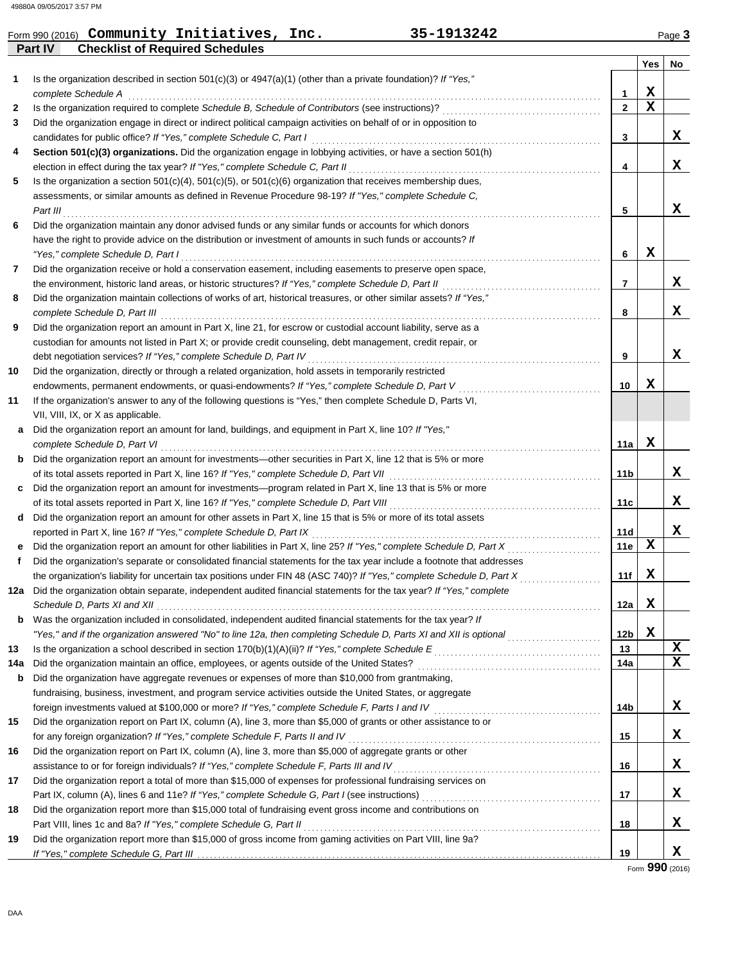|     | 35-1913242<br>Form 990 (2016) Community Initiatives, Inc.                                                                                                                                                                            |                |             | Page 3 |
|-----|--------------------------------------------------------------------------------------------------------------------------------------------------------------------------------------------------------------------------------------|----------------|-------------|--------|
|     | <b>Checklist of Required Schedules</b><br><b>Part IV</b>                                                                                                                                                                             |                |             |        |
|     |                                                                                                                                                                                                                                      |                | Yes         | No     |
| 1   | Is the organization described in section $501(c)(3)$ or $4947(a)(1)$ (other than a private foundation)? If "Yes,"                                                                                                                    |                |             |        |
|     | complete Schedule A                                                                                                                                                                                                                  | 1              | X           |        |
| 2   |                                                                                                                                                                                                                                      | $\overline{2}$ | $\mathbf x$ |        |
| 3   | Did the organization engage in direct or indirect political campaign activities on behalf of or in opposition to                                                                                                                     |                |             |        |
|     | candidates for public office? If "Yes," complete Schedule C, Part I                                                                                                                                                                  | 3              |             | X      |
| 4   | Section 501(c)(3) organizations. Did the organization engage in lobbying activities, or have a section 501(h)                                                                                                                        |                |             |        |
|     | election in effect during the tax year? If "Yes," complete Schedule C, Part II                                                                                                                                                       | 4              |             | x      |
| 5   | Is the organization a section $501(c)(4)$ , $501(c)(5)$ , or $501(c)(6)$ organization that receives membership dues,                                                                                                                 |                |             |        |
|     | assessments, or similar amounts as defined in Revenue Procedure 98-19? If "Yes," complete Schedule C,                                                                                                                                |                |             |        |
|     | Part III                                                                                                                                                                                                                             | 5              |             | x      |
| 6   | Did the organization maintain any donor advised funds or any similar funds or accounts for which donors                                                                                                                              |                |             |        |
|     | have the right to provide advice on the distribution or investment of amounts in such funds or accounts? If                                                                                                                          |                |             |        |
|     | "Yes," complete Schedule D, Part I                                                                                                                                                                                                   | 6              | $\mathbf x$ |        |
| 7   | Did the organization receive or hold a conservation easement, including easements to preserve open space,                                                                                                                            |                |             |        |
|     | the environment, historic land areas, or historic structures? If "Yes," complete Schedule D, Part II                                                                                                                                 | 7              |             | x      |
| 8   | Did the organization maintain collections of works of art, historical treasures, or other similar assets? If "Yes,"                                                                                                                  |                |             |        |
|     | complete Schedule D, Part III                                                                                                                                                                                                        | 8              |             | x      |
| 9   | Did the organization report an amount in Part X, line 21, for escrow or custodial account liability, serve as a                                                                                                                      |                |             |        |
|     | custodian for amounts not listed in Part X; or provide credit counseling, debt management, credit repair, or                                                                                                                         |                |             |        |
|     | debt negotiation services? If "Yes," complete Schedule D, Part IV                                                                                                                                                                    | 9              |             | X      |
| 10  | Did the organization, directly or through a related organization, hold assets in temporarily restricted                                                                                                                              |                |             |        |
|     | endowments, permanent endowments, or quasi-endowments? If "Yes," complete Schedule D, Part V                                                                                                                                         | 10             | х           |        |
| 11  | If the organization's answer to any of the following questions is "Yes," then complete Schedule D, Parts VI,                                                                                                                         |                |             |        |
|     | VII, VIII, IX, or X as applicable.                                                                                                                                                                                                   |                |             |        |
| a   | Did the organization report an amount for land, buildings, and equipment in Part X, line 10? If "Yes,"                                                                                                                               |                |             |        |
|     | complete Schedule D, Part VI                                                                                                                                                                                                         | 11a            | х           |        |
| b   | Did the organization report an amount for investments—other securities in Part X, line 12 that is 5% or more                                                                                                                         |                |             |        |
|     | of its total assets reported in Part X, line 16? If "Yes," complete Schedule D, Part VII                                                                                                                                             | 11b            |             | x      |
|     | Did the organization report an amount for investments—program related in Part X, line 13 that is 5% or more                                                                                                                          |                |             |        |
|     | of its total assets reported in Part X, line 16? If "Yes," complete Schedule D, Part VIII                                                                                                                                            | 11c            |             | x      |
| d   | Did the organization report an amount for other assets in Part X, line 15 that is 5% or more of its total assets                                                                                                                     |                |             |        |
|     | reported in Part X, line 16? If "Yes," complete Schedule D, Part IX                                                                                                                                                                  | 11d            |             | x      |
|     | Did the organization report an amount for other liabilities in Part X, line 25? If "Yes," complete Schedule D, Part X                                                                                                                | 11e            | X           |        |
|     | Did the organization's separate or consolidated financial statements for the tax year include a footnote that addresses                                                                                                              |                |             |        |
|     |                                                                                                                                                                                                                                      | 11 t           | X           |        |
| 12a | Did the organization obtain separate, independent audited financial statements for the tax year? If "Yes," complete                                                                                                                  |                |             |        |
|     |                                                                                                                                                                                                                                      | 12a            | х           |        |
| b   | Was the organization included in consolidated, independent audited financial statements for the tax year? If                                                                                                                         |                |             |        |
|     | "Yes," and if the organization answered "No" to line 12a, then completing Schedule D, Parts XI and XII is optional                                                                                                                   | 12b            | X           |        |
| 13  | Is the organization a school described in section 170(b)(1)(A)(ii)? If "Yes," complete Schedule E<br>Schedule E<br>Material Assembly Described in Section 170(b)(1)(A)(ii)? If "Yes," complete Schedule E<br>Material Assembly Descr | 13             |             | x      |
| 14a |                                                                                                                                                                                                                                      | 14a            |             | x      |
| b   | Did the organization have aggregate revenues or expenses of more than \$10,000 from grantmaking,                                                                                                                                     |                |             |        |
|     | fundraising, business, investment, and program service activities outside the United States, or aggregate                                                                                                                            |                |             |        |
|     | foreign investments valued at \$100,000 or more? If "Yes," complete Schedule F, Parts I and IV [[[[[[[[[[[[[[[                                                                                                                       | 14b            |             | x      |
| 15  | Did the organization report on Part IX, column (A), line 3, more than \$5,000 of grants or other assistance to or                                                                                                                    |                |             |        |
|     | for any foreign organization? If "Yes," complete Schedule F, Parts II and IV                                                                                                                                                         | 15             |             | x      |
| 16  | Did the organization report on Part IX, column (A), line 3, more than \$5,000 of aggregate grants or other                                                                                                                           |                |             |        |
|     | assistance to or for foreign individuals? If "Yes," complete Schedule F, Parts III and IV                                                                                                                                            | 16             |             | x      |
| 17  | Did the organization report a total of more than \$15,000 of expenses for professional fundraising services on                                                                                                                       |                |             |        |
|     |                                                                                                                                                                                                                                      | 17             |             | x      |
| 18  | Did the organization report more than \$15,000 total of fundraising event gross income and contributions on                                                                                                                          |                |             |        |
|     | Part VIII, lines 1c and 8a? If "Yes," complete Schedule G, Part II                                                                                                                                                                   | 18             |             | x      |
| 19  | Did the organization report more than \$15,000 of gross income from gaming activities on Part VIII, line 9a?                                                                                                                         |                |             |        |
|     |                                                                                                                                                                                                                                      | 19             |             | x      |

Form **990** (2016)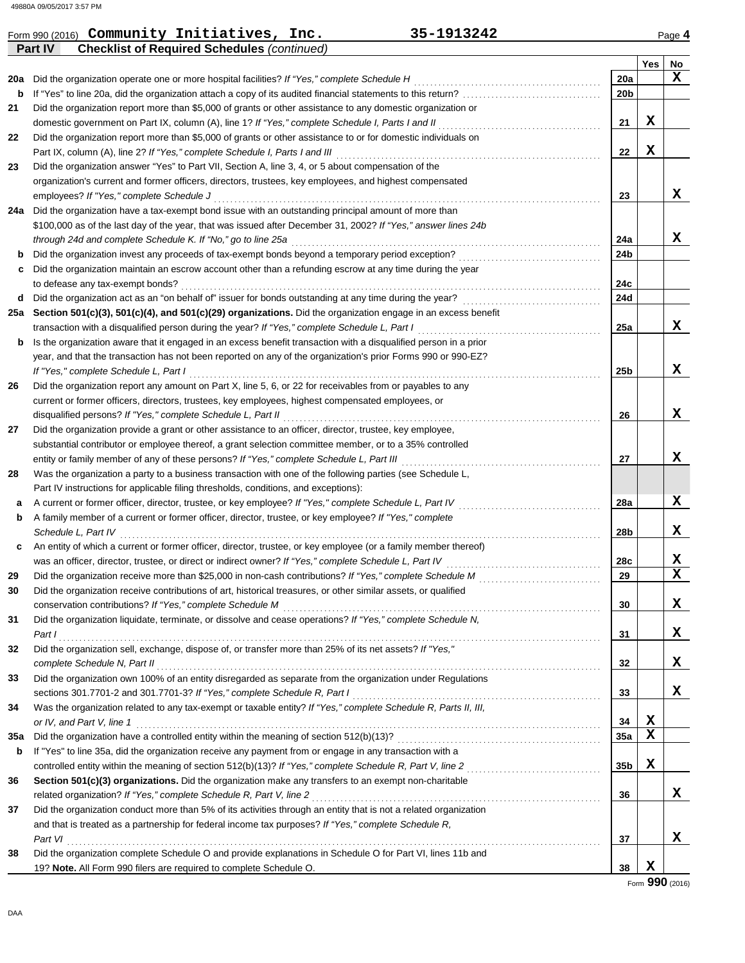|     | Form 990 (2016) Community Initiatives, Inc.<br>35-1913242                                                        |                 |     | Page 4 |
|-----|------------------------------------------------------------------------------------------------------------------|-----------------|-----|--------|
|     | <b>Checklist of Required Schedules (continued)</b><br><b>Part IV</b>                                             |                 |     |        |
|     |                                                                                                                  |                 | Yes | No     |
| 20a | Did the organization operate one or more hospital facilities? If "Yes," complete Schedule H                      | 20a             |     | X      |
| b   | If "Yes" to line 20a, did the organization attach a copy of its audited financial statements to this return?     | 20 <sub>b</sub> |     |        |
| 21  | Did the organization report more than \$5,000 of grants or other assistance to any domestic organization or      |                 |     |        |
|     | domestic government on Part IX, column (A), line 1? If "Yes," complete Schedule I, Parts I and II                | 21              | X   |        |
| 22  | Did the organization report more than \$5,000 of grants or other assistance to or for domestic individuals on    |                 |     |        |
|     | Part IX, column (A), line 2? If "Yes," complete Schedule I, Parts I and III                                      | 22              | х   |        |
| 23  | Did the organization answer "Yes" to Part VII, Section A, line 3, 4, or 5 about compensation of the              |                 |     |        |
|     | organization's current and former officers, directors, trustees, key employees, and highest compensated          |                 |     |        |
|     | employees? If "Yes," complete Schedule J                                                                         | 23              |     | x      |
| 24a | Did the organization have a tax-exempt bond issue with an outstanding principal amount of more than              |                 |     |        |
|     | \$100,000 as of the last day of the year, that was issued after December 31, 2002? If "Yes," answer lines 24b    |                 |     |        |
|     | through 24d and complete Schedule K. If "No," go to line 25a                                                     | 24a             |     | x      |
| b   | Did the organization invest any proceeds of tax-exempt bonds beyond a temporary period exception?                | 24b             |     |        |
| c   | Did the organization maintain an escrow account other than a refunding escrow at any time during the year        |                 |     |        |
|     | to defease any tax-exempt bonds?                                                                                 | 24c             |     |        |
| d   | Did the organization act as an "on behalf of" issuer for bonds outstanding at any time during the year?          | 24d             |     |        |
| 25a | Section 501(c)(3), 501(c)(4), and 501(c)(29) organizations. Did the organization engage in an excess benefit     |                 |     |        |
|     | transaction with a disqualified person during the year? If "Yes," complete Schedule L, Part I                    | 25a             |     | X      |
| b   | Is the organization aware that it engaged in an excess benefit transaction with a disqualified person in a prior |                 |     |        |
|     | year, and that the transaction has not been reported on any of the organization's prior Forms 990 or 990-EZ?     |                 |     |        |
|     | If "Yes," complete Schedule L, Part I                                                                            | 25 <sub>b</sub> |     | X      |
| 26  | Did the organization report any amount on Part X, line 5, 6, or 22 for receivables from or payables to any       |                 |     |        |
|     | current or former officers, directors, trustees, key employees, highest compensated employees, or                |                 |     |        |
|     | disqualified persons? If "Yes," complete Schedule L, Part II                                                     | 26              |     | X      |
| 27  | Did the organization provide a grant or other assistance to an officer, director, trustee, key employee,         |                 |     |        |
|     | substantial contributor or employee thereof, a grant selection committee member, or to a 35% controlled          |                 |     |        |
|     | entity or family member of any of these persons? If "Yes," complete Schedule L, Part III                         | 27              |     | X      |
| 28  | Was the organization a party to a business transaction with one of the following parties (see Schedule L,        |                 |     |        |
|     | Part IV instructions for applicable filing thresholds, conditions, and exceptions):                              |                 |     |        |
| а   | A current or former officer, director, trustee, or key employee? If "Yes," complete Schedule L, Part IV          | 28a             |     | X      |
| b   | A family member of a current or former officer, director, trustee, or key employee? If "Yes," complete           |                 |     |        |
|     | Schedule L, Part IV                                                                                              | 28 <sub>b</sub> |     | X      |
| c   | An entity of which a current or former officer, director, trustee, or key employee (or a family member thereof)  |                 |     |        |
|     | was an officer, director, trustee, or direct or indirect owner? If "Yes," complete Schedule L, Part IV           | 28c             |     | X      |
| 29  |                                                                                                                  | 29              |     | X      |
| 30  | Did the organization receive contributions of art, historical treasures, or other similar assets, or qualified   |                 |     |        |
|     | conservation contributions? If "Yes," complete Schedule M                                                        | 30              |     | X      |
| 31  | Did the organization liquidate, terminate, or dissolve and cease operations? If "Yes," complete Schedule N,      |                 |     |        |
|     | Part I                                                                                                           | 31              |     | X      |
| 32  | Did the organization sell, exchange, dispose of, or transfer more than 25% of its net assets? If "Yes,"          |                 |     |        |
|     | complete Schedule N, Part II                                                                                     | 32              |     | X      |
| 33  | Did the organization own 100% of an entity disregarded as separate from the organization under Regulations       |                 |     |        |
|     | sections 301.7701-2 and 301.7701-3? If "Yes," complete Schedule R, Part I                                        | 33              |     | X      |
| 34  | Was the organization related to any tax-exempt or taxable entity? If "Yes," complete Schedule R, Parts II, III,  |                 |     |        |
|     | or IV, and Part V, line 1                                                                                        | 34              | X   |        |
| 35a |                                                                                                                  | 35a             | X   |        |
| b   | If "Yes" to line 35a, did the organization receive any payment from or engage in any transaction with a          |                 |     |        |
|     |                                                                                                                  | 35b             | X   |        |
| 36  | Section 501(c)(3) organizations. Did the organization make any transfers to an exempt non-charitable             |                 |     |        |
|     | related organization? If "Yes," complete Schedule R, Part V, line 2                                              | 36              |     | X      |
| 37  | Did the organization conduct more than 5% of its activities through an entity that is not a related organization |                 |     |        |
|     | and that is treated as a partnership for federal income tax purposes? If "Yes," complete Schedule R,             |                 |     |        |
|     | Part VI                                                                                                          | 37              |     | X      |
| 38  | Did the organization complete Schedule O and provide explanations in Schedule O for Part VI, lines 11b and       |                 |     |        |
|     | 19? Note. All Form 990 filers are required to complete Schedule O.                                               | 38              | X   |        |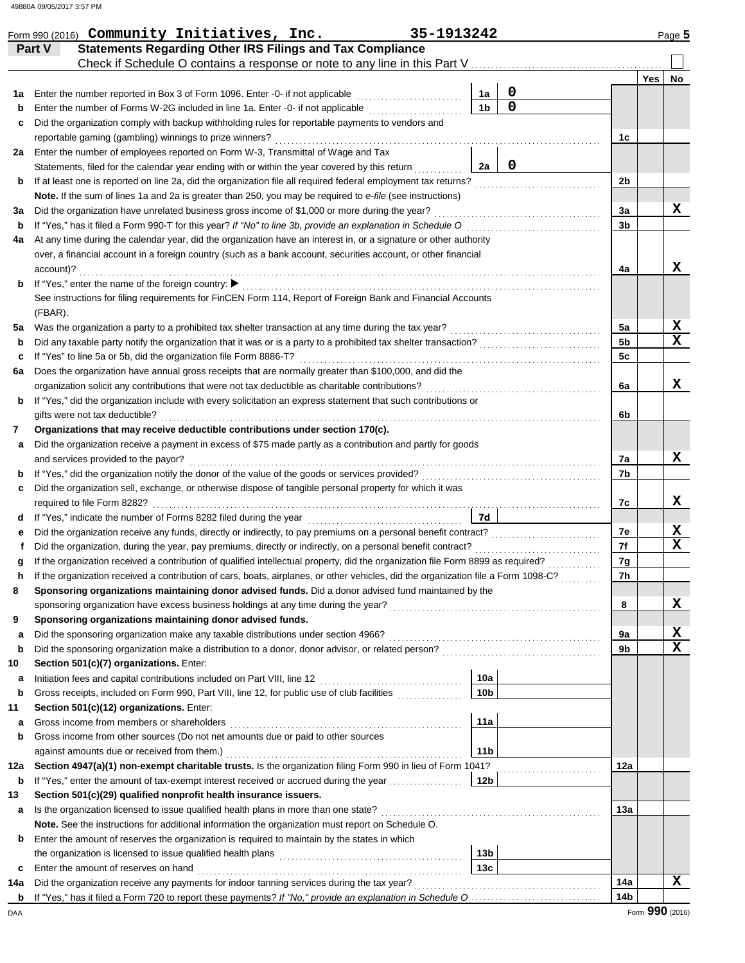|         | Form 990 (2016) Community Initiatives, Inc.                                                                                                                                                                                                               | 35-1913242 |                      |   |                      |     | Page 5      |
|---------|-----------------------------------------------------------------------------------------------------------------------------------------------------------------------------------------------------------------------------------------------------------|------------|----------------------|---|----------------------|-----|-------------|
|         | <b>Statements Regarding Other IRS Filings and Tax Compliance</b><br>Part V                                                                                                                                                                                |            |                      |   |                      |     |             |
|         |                                                                                                                                                                                                                                                           |            |                      |   |                      |     |             |
|         |                                                                                                                                                                                                                                                           |            |                      | 0 |                      | Yes | No          |
|         | 1a Enter the number reported in Box 3 of Form 1096. Enter -0- if not applicable [11] [11] Enter the number reported in Box 3 of Form 1096. Enter -0- if not applicable<br>Enter the number of Forms W-2G included in line 1a. Enter -0- if not applicable |            | 1a<br>1 <sub>b</sub> | 0 |                      |     |             |
| b<br>c  | Did the organization comply with backup withholding rules for reportable payments to vendors and                                                                                                                                                          |            |                      |   |                      |     |             |
|         |                                                                                                                                                                                                                                                           |            |                      |   | 1c                   |     |             |
|         | 2a Enter the number of employees reported on Form W-3, Transmittal of Wage and Tax                                                                                                                                                                        |            |                      |   |                      |     |             |
|         | Statements, filed for the calendar year ending with or within the year covered by this return                                                                                                                                                             |            | 2a                   | 0 |                      |     |             |
| b       |                                                                                                                                                                                                                                                           |            |                      |   | 2b                   |     |             |
|         | Note. If the sum of lines 1a and 2a is greater than 250, you may be required to e-file (see instructions)                                                                                                                                                 |            |                      |   |                      |     |             |
| за      |                                                                                                                                                                                                                                                           |            |                      |   | 3a                   |     | x           |
| b       |                                                                                                                                                                                                                                                           |            |                      |   | 3b                   |     |             |
| 4a      | At any time during the calendar year, did the organization have an interest in, or a signature or other authority                                                                                                                                         |            |                      |   |                      |     |             |
|         | over, a financial account in a foreign country (such as a bank account, securities account, or other financial                                                                                                                                            |            |                      |   |                      |     |             |
|         | account)?                                                                                                                                                                                                                                                 |            |                      |   | 4a                   |     | x           |
| b       |                                                                                                                                                                                                                                                           |            |                      |   |                      |     |             |
|         | See instructions for filing requirements for FinCEN Form 114, Report of Foreign Bank and Financial Accounts                                                                                                                                               |            |                      |   |                      |     |             |
|         | (FBAR).                                                                                                                                                                                                                                                   |            |                      |   |                      |     |             |
|         |                                                                                                                                                                                                                                                           |            |                      |   | 5a                   |     | X<br>x      |
| b       | Did any taxable party notify the organization that it was or is a party to a prohibited tax shelter transaction?                                                                                                                                          |            |                      |   | 5 <sub>b</sub><br>5c |     |             |
| c<br>6а | Does the organization have annual gross receipts that are normally greater than \$100,000, and did the                                                                                                                                                    |            |                      |   |                      |     |             |
|         |                                                                                                                                                                                                                                                           |            |                      |   | 6a                   |     | X           |
| b       | If "Yes," did the organization include with every solicitation an express statement that such contributions or                                                                                                                                            |            |                      |   |                      |     |             |
|         | gifts were not tax deductible?                                                                                                                                                                                                                            |            |                      |   | 6b                   |     |             |
| 7       | Organizations that may receive deductible contributions under section 170(c).                                                                                                                                                                             |            |                      |   |                      |     |             |
| а       | Did the organization receive a payment in excess of \$75 made partly as a contribution and partly for goods                                                                                                                                               |            |                      |   |                      |     |             |
|         |                                                                                                                                                                                                                                                           |            |                      |   | 7а                   |     | X           |
|         |                                                                                                                                                                                                                                                           |            |                      |   | 7b                   |     |             |
| c       | Did the organization sell, exchange, or otherwise dispose of tangible personal property for which it was                                                                                                                                                  |            |                      |   |                      |     |             |
|         |                                                                                                                                                                                                                                                           |            |                      |   | 7c                   |     | X           |
|         |                                                                                                                                                                                                                                                           |            | 7d                   |   |                      |     |             |
| е       | Did the organization receive any funds, directly or indirectly, to pay premiums on a personal benefit contract?                                                                                                                                           |            |                      |   | 7e                   |     | X           |
| f       |                                                                                                                                                                                                                                                           |            |                      |   | 7f                   |     | $\mathbf x$ |
| g       | If the organization received a contribution of qualified intellectual property, did the organization file Form 8899 as required?                                                                                                                          |            |                      |   | 7q                   |     |             |
| n       | If the organization received a contribution of cars, boats, airplanes, or other vehicles, did the organization file a Form 1098-C?<br>Sponsoring organizations maintaining donor advised funds. Did a donor advised fund maintained by the                |            |                      |   | 7h                   |     |             |
| 8       |                                                                                                                                                                                                                                                           |            |                      |   | 8                    |     | X           |
| 9       | Sponsoring organizations maintaining donor advised funds.                                                                                                                                                                                                 |            |                      |   |                      |     |             |
| а       | Did the sponsoring organization make any taxable distributions under section 4966?                                                                                                                                                                        |            |                      |   | 9а                   |     | X           |
| b       |                                                                                                                                                                                                                                                           |            |                      |   | 9b                   |     | $\mathbf x$ |
| 10      | Section 501(c)(7) organizations. Enter:                                                                                                                                                                                                                   |            |                      |   |                      |     |             |
| а       |                                                                                                                                                                                                                                                           |            | 10a                  |   |                      |     |             |
| b       | Gross receipts, included on Form 990, Part VIII, line 12, for public use of club facilities                                                                                                                                                               |            | 10 <sub>b</sub>      |   |                      |     |             |
| 11      | Section 501(c)(12) organizations. Enter:                                                                                                                                                                                                                  |            |                      |   |                      |     |             |
| а       | Gross income from members or shareholders                                                                                                                                                                                                                 |            | 11a                  |   |                      |     |             |
| b       | Gross income from other sources (Do not net amounts due or paid to other sources                                                                                                                                                                          |            |                      |   |                      |     |             |
|         | against amounts due or received from them.)                                                                                                                                                                                                               |            | 11b                  |   |                      |     |             |
| 12a     | Section 4947(a)(1) non-exempt charitable trusts. Is the organization filing Form 990 in lieu of Form 1041?                                                                                                                                                |            |                      |   | 12a                  |     |             |
| b       | If "Yes," enter the amount of tax-exempt interest received or accrued during the year                                                                                                                                                                     |            | 12 <sub>b</sub>      |   |                      |     |             |
| 13      | Section 501(c)(29) qualified nonprofit health insurance issuers.                                                                                                                                                                                          |            |                      |   |                      |     |             |
| а       | Is the organization licensed to issue qualified health plans in more than one state?                                                                                                                                                                      |            |                      |   | 13а                  |     |             |
|         | Note. See the instructions for additional information the organization must report on Schedule O.                                                                                                                                                         |            |                      |   |                      |     |             |
| b       | Enter the amount of reserves the organization is required to maintain by the states in which                                                                                                                                                              |            | 13 <sub>b</sub>      |   |                      |     |             |
| c       | Enter the amount of reserves on hand                                                                                                                                                                                                                      |            | 13 <sub>c</sub>      |   |                      |     |             |
| 14a     |                                                                                                                                                                                                                                                           |            |                      |   | 14a                  |     | x           |
| b       |                                                                                                                                                                                                                                                           |            |                      |   | 14b                  |     |             |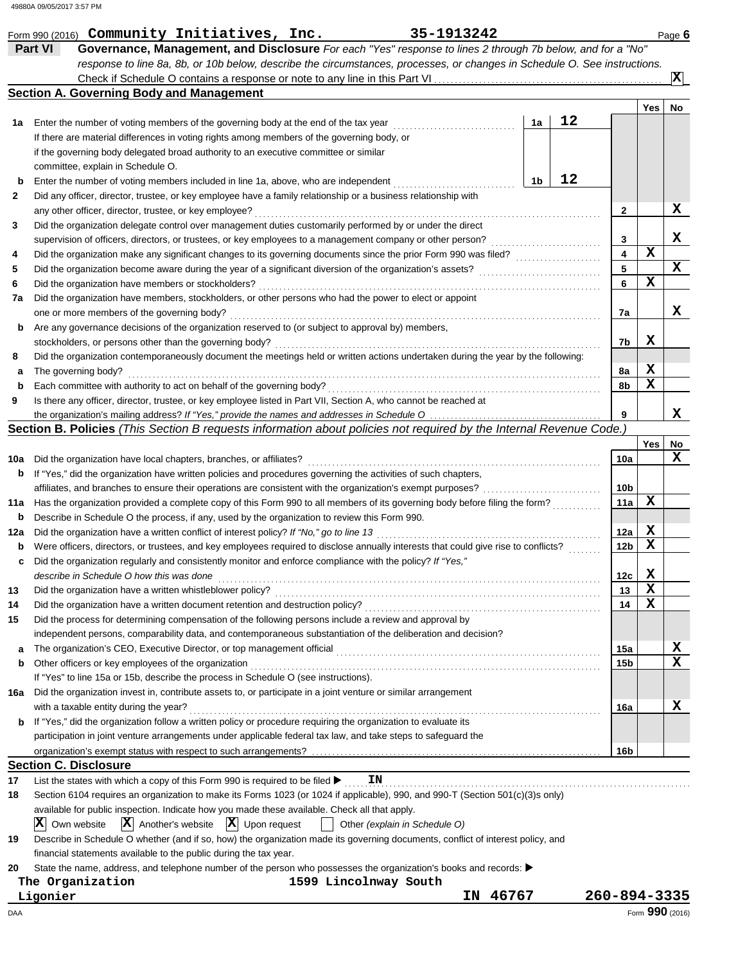| response to line 8a, 8b, or 10b below, describe the circumstances, processes, or changes in Schedule O. See instructions.<br><b>Section A. Governing Body and Management</b><br>Yes<br>12<br>Enter the number of voting members of the governing body at the end of the tax year<br>1a<br>If there are material differences in voting rights among members of the governing body, or<br>if the governing body delegated broad authority to an executive committee or similar<br>committee, explain in Schedule O.<br>12<br>Enter the number of voting members included in line 1a, above, who are independent<br>1b<br>Did any officer, director, trustee, or key employee have a family relationship or a business relationship with<br>2<br>any other officer, director, trustee, or key employee?<br>2<br>Did the organization delegate control over management duties customarily performed by or under the direct<br>3<br>supervision of officers, directors, or trustees, or key employees to a management company or other person?<br>3<br>X<br>4<br>4<br>5<br>Did the organization become aware during the year of a significant diversion of the organization's assets?<br>5<br>x<br>6<br>Did the organization have members or stockholders?<br>6<br>Did the organization have members, stockholders, or other persons who had the power to elect or appoint<br>7a<br>one or more members of the governing body?<br>7a<br>Are any governance decisions of the organization reserved to (or subject to approval by) members,<br>b<br>х<br>stockholders, or persons other than the governing body?<br>7b<br>Did the organization contemporaneously document the meetings held or written actions undertaken during the year by the following:<br>8<br>X<br>The governing body?<br>8a<br>а<br>X<br>Each committee with authority to act on behalf of the governing body?<br>8b<br>$\mathbf b$<br>Is there any officer, director, trustee, or key employee listed in Part VII, Section A, who cannot be reached at<br>9<br>x<br>9<br>Section B. Policies (This Section B requests information about policies not required by the Internal Revenue Code.)<br>No<br>Yes<br>x<br>10a<br>Did the organization have local chapters, branches, or affiliates?<br>10a<br>If "Yes," did the organization have written policies and procedures governing the activities of such chapters,<br>b<br>10 <sub>b</sub><br>x<br>Has the organization provided a complete copy of this Form 990 to all members of its governing body before filing the form?<br>11a<br>11a<br>Describe in Schedule O the process, if any, used by the organization to review this Form 990.<br>b<br>X<br>Did the organization have a written conflict of interest policy? If "No," go to line 13<br>12a<br>12a<br>X<br>12 <sub>b</sub><br>Were officers, directors, or trustees, and key employees required to disclose annually interests that could give rise to conflicts?<br>b<br>Did the organization regularly and consistently monitor and enforce compliance with the policy? If "Yes,"<br>X<br>12c<br>describe in Schedule O how this was done<br>X<br>Did the organization have a written whistleblower policy?<br>13<br>13<br>X<br>14<br>14<br>Did the process for determining compensation of the following persons include a review and approval by<br>15<br>independent persons, comparability data, and contemporaneous substantiation of the deliberation and decision?<br>x<br>15a<br>a<br>$\mathbf x$<br>Other officers or key employees of the organization<br>15 <sub>b</sub><br>b<br>If "Yes" to line 15a or 15b, describe the process in Schedule O (see instructions).<br>Did the organization invest in, contribute assets to, or participate in a joint venture or similar arrangement<br>16a<br>x<br>with a taxable entity during the year?<br>16a<br>If "Yes," did the organization follow a written policy or procedure requiring the organization to evaluate its<br>b<br>participation in joint venture arrangements under applicable federal tax law, and take steps to safeguard the<br>16 <sub>b</sub><br><b>Section C. Disclosure</b><br>ΙN<br>List the states with which a copy of this Form 990 is required to be filed $\blacktriangleright$<br>17<br>Section 6104 requires an organization to make its Forms 1023 (or 1024 if applicable), 990, and 990-T (Section 501(c)(3)s only)<br>18<br>available for public inspection. Indicate how you made these available. Check all that apply.<br>$ \mathbf{X} $ Another's website $ \mathbf{X} $ Upon request<br>$ {\bf X} $<br>Own website<br>$\mathbf{1}$<br>Other (explain in Schedule O)<br>Describe in Schedule O whether (and if so, how) the organization made its governing documents, conflict of interest policy, and<br>19<br>financial statements available to the public during the tax year.<br>State the name, address, and telephone number of the person who possesses the organization's books and records: ▶<br>20<br>The Organization<br>1599 Lincolnway South<br>IN 46767<br>260-894-3335<br>Ligonier |     |  |  | Governance, Management, and Disclosure For each "Yes" response to lines 2 through 7b below, and for a "No" |                          |
|------------------------------------------------------------------------------------------------------------------------------------------------------------------------------------------------------------------------------------------------------------------------------------------------------------------------------------------------------------------------------------------------------------------------------------------------------------------------------------------------------------------------------------------------------------------------------------------------------------------------------------------------------------------------------------------------------------------------------------------------------------------------------------------------------------------------------------------------------------------------------------------------------------------------------------------------------------------------------------------------------------------------------------------------------------------------------------------------------------------------------------------------------------------------------------------------------------------------------------------------------------------------------------------------------------------------------------------------------------------------------------------------------------------------------------------------------------------------------------------------------------------------------------------------------------------------------------------------------------------------------------------------------------------------------------------------------------------------------------------------------------------------------------------------------------------------------------------------------------------------------------------------------------------------------------------------------------------------------------------------------------------------------------------------------------------------------------------------------------------------------------------------------------------------------------------------------------------------------------------------------------------------------------------------------------------------------------------------------------------------------------------------------------------------------------------------------------------------------------------------------------------------------------------------------------------------------------------------------------------------------------------------------------------------------------------------------------------------------------------------------------------------------------------------------------------------------------------------------------------------------------------------------------------------------------------------------------------------------------------------------------------------------------------------------------------------------------------------------------------------------------------------------------------------------------------------------------------------------------------------------------------------------------------------------------------------------------------------------------------------------------------------------------------------------------------------------------------------------------------------------------------------------------------------------------------------------------------------------------------------------------------------------------------------------------------------------------------------------------------------------------------------------------------------------------------------------------------------------------------------------------------------------------------------------------------------------------------------------------------------------------------------------------------------------------------------------------------------------------------------------------------------------------------------------------------------------------------------------------------------------------------------------------------------------------------------------------------------------------------------------------------------------------------------------------------------------------------------------------------------------------------------------------------------------------------------------------------------------------------------------------------------------------------------------------------------------------------------------------------------------------------------------------------------------------------------------------------------------------------------------------------------------------------------------------------------------------------------------------------------------------------------------------------------------------------------------------|-----|--|--|------------------------------------------------------------------------------------------------------------|--------------------------|
|                                                                                                                                                                                                                                                                                                                                                                                                                                                                                                                                                                                                                                                                                                                                                                                                                                                                                                                                                                                                                                                                                                                                                                                                                                                                                                                                                                                                                                                                                                                                                                                                                                                                                                                                                                                                                                                                                                                                                                                                                                                                                                                                                                                                                                                                                                                                                                                                                                                                                                                                                                                                                                                                                                                                                                                                                                                                                                                                                                                                                                                                                                                                                                                                                                                                                                                                                                                                                                                                                                                                                                                                                                                                                                                                                                                                                                                                                                                                                                                                                                                                                                                                                                                                                                                                                                                                                                                                                                                                                                                                                                                                                                                                                                                                                                                                                                                                                                                                                                                                                                                                                    |     |  |  |                                                                                                            |                          |
|                                                                                                                                                                                                                                                                                                                                                                                                                                                                                                                                                                                                                                                                                                                                                                                                                                                                                                                                                                                                                                                                                                                                                                                                                                                                                                                                                                                                                                                                                                                                                                                                                                                                                                                                                                                                                                                                                                                                                                                                                                                                                                                                                                                                                                                                                                                                                                                                                                                                                                                                                                                                                                                                                                                                                                                                                                                                                                                                                                                                                                                                                                                                                                                                                                                                                                                                                                                                                                                                                                                                                                                                                                                                                                                                                                                                                                                                                                                                                                                                                                                                                                                                                                                                                                                                                                                                                                                                                                                                                                                                                                                                                                                                                                                                                                                                                                                                                                                                                                                                                                                                                    |     |  |  |                                                                                                            | $\vert \mathbf{x} \vert$ |
|                                                                                                                                                                                                                                                                                                                                                                                                                                                                                                                                                                                                                                                                                                                                                                                                                                                                                                                                                                                                                                                                                                                                                                                                                                                                                                                                                                                                                                                                                                                                                                                                                                                                                                                                                                                                                                                                                                                                                                                                                                                                                                                                                                                                                                                                                                                                                                                                                                                                                                                                                                                                                                                                                                                                                                                                                                                                                                                                                                                                                                                                                                                                                                                                                                                                                                                                                                                                                                                                                                                                                                                                                                                                                                                                                                                                                                                                                                                                                                                                                                                                                                                                                                                                                                                                                                                                                                                                                                                                                                                                                                                                                                                                                                                                                                                                                                                                                                                                                                                                                                                                                    |     |  |  |                                                                                                            |                          |
|                                                                                                                                                                                                                                                                                                                                                                                                                                                                                                                                                                                                                                                                                                                                                                                                                                                                                                                                                                                                                                                                                                                                                                                                                                                                                                                                                                                                                                                                                                                                                                                                                                                                                                                                                                                                                                                                                                                                                                                                                                                                                                                                                                                                                                                                                                                                                                                                                                                                                                                                                                                                                                                                                                                                                                                                                                                                                                                                                                                                                                                                                                                                                                                                                                                                                                                                                                                                                                                                                                                                                                                                                                                                                                                                                                                                                                                                                                                                                                                                                                                                                                                                                                                                                                                                                                                                                                                                                                                                                                                                                                                                                                                                                                                                                                                                                                                                                                                                                                                                                                                                                    |     |  |  |                                                                                                            | No                       |
|                                                                                                                                                                                                                                                                                                                                                                                                                                                                                                                                                                                                                                                                                                                                                                                                                                                                                                                                                                                                                                                                                                                                                                                                                                                                                                                                                                                                                                                                                                                                                                                                                                                                                                                                                                                                                                                                                                                                                                                                                                                                                                                                                                                                                                                                                                                                                                                                                                                                                                                                                                                                                                                                                                                                                                                                                                                                                                                                                                                                                                                                                                                                                                                                                                                                                                                                                                                                                                                                                                                                                                                                                                                                                                                                                                                                                                                                                                                                                                                                                                                                                                                                                                                                                                                                                                                                                                                                                                                                                                                                                                                                                                                                                                                                                                                                                                                                                                                                                                                                                                                                                    | 1а  |  |  |                                                                                                            |                          |
|                                                                                                                                                                                                                                                                                                                                                                                                                                                                                                                                                                                                                                                                                                                                                                                                                                                                                                                                                                                                                                                                                                                                                                                                                                                                                                                                                                                                                                                                                                                                                                                                                                                                                                                                                                                                                                                                                                                                                                                                                                                                                                                                                                                                                                                                                                                                                                                                                                                                                                                                                                                                                                                                                                                                                                                                                                                                                                                                                                                                                                                                                                                                                                                                                                                                                                                                                                                                                                                                                                                                                                                                                                                                                                                                                                                                                                                                                                                                                                                                                                                                                                                                                                                                                                                                                                                                                                                                                                                                                                                                                                                                                                                                                                                                                                                                                                                                                                                                                                                                                                                                                    |     |  |  |                                                                                                            |                          |
|                                                                                                                                                                                                                                                                                                                                                                                                                                                                                                                                                                                                                                                                                                                                                                                                                                                                                                                                                                                                                                                                                                                                                                                                                                                                                                                                                                                                                                                                                                                                                                                                                                                                                                                                                                                                                                                                                                                                                                                                                                                                                                                                                                                                                                                                                                                                                                                                                                                                                                                                                                                                                                                                                                                                                                                                                                                                                                                                                                                                                                                                                                                                                                                                                                                                                                                                                                                                                                                                                                                                                                                                                                                                                                                                                                                                                                                                                                                                                                                                                                                                                                                                                                                                                                                                                                                                                                                                                                                                                                                                                                                                                                                                                                                                                                                                                                                                                                                                                                                                                                                                                    |     |  |  |                                                                                                            |                          |
|                                                                                                                                                                                                                                                                                                                                                                                                                                                                                                                                                                                                                                                                                                                                                                                                                                                                                                                                                                                                                                                                                                                                                                                                                                                                                                                                                                                                                                                                                                                                                                                                                                                                                                                                                                                                                                                                                                                                                                                                                                                                                                                                                                                                                                                                                                                                                                                                                                                                                                                                                                                                                                                                                                                                                                                                                                                                                                                                                                                                                                                                                                                                                                                                                                                                                                                                                                                                                                                                                                                                                                                                                                                                                                                                                                                                                                                                                                                                                                                                                                                                                                                                                                                                                                                                                                                                                                                                                                                                                                                                                                                                                                                                                                                                                                                                                                                                                                                                                                                                                                                                                    |     |  |  |                                                                                                            |                          |
|                                                                                                                                                                                                                                                                                                                                                                                                                                                                                                                                                                                                                                                                                                                                                                                                                                                                                                                                                                                                                                                                                                                                                                                                                                                                                                                                                                                                                                                                                                                                                                                                                                                                                                                                                                                                                                                                                                                                                                                                                                                                                                                                                                                                                                                                                                                                                                                                                                                                                                                                                                                                                                                                                                                                                                                                                                                                                                                                                                                                                                                                                                                                                                                                                                                                                                                                                                                                                                                                                                                                                                                                                                                                                                                                                                                                                                                                                                                                                                                                                                                                                                                                                                                                                                                                                                                                                                                                                                                                                                                                                                                                                                                                                                                                                                                                                                                                                                                                                                                                                                                                                    |     |  |  |                                                                                                            |                          |
|                                                                                                                                                                                                                                                                                                                                                                                                                                                                                                                                                                                                                                                                                                                                                                                                                                                                                                                                                                                                                                                                                                                                                                                                                                                                                                                                                                                                                                                                                                                                                                                                                                                                                                                                                                                                                                                                                                                                                                                                                                                                                                                                                                                                                                                                                                                                                                                                                                                                                                                                                                                                                                                                                                                                                                                                                                                                                                                                                                                                                                                                                                                                                                                                                                                                                                                                                                                                                                                                                                                                                                                                                                                                                                                                                                                                                                                                                                                                                                                                                                                                                                                                                                                                                                                                                                                                                                                                                                                                                                                                                                                                                                                                                                                                                                                                                                                                                                                                                                                                                                                                                    |     |  |  |                                                                                                            |                          |
|                                                                                                                                                                                                                                                                                                                                                                                                                                                                                                                                                                                                                                                                                                                                                                                                                                                                                                                                                                                                                                                                                                                                                                                                                                                                                                                                                                                                                                                                                                                                                                                                                                                                                                                                                                                                                                                                                                                                                                                                                                                                                                                                                                                                                                                                                                                                                                                                                                                                                                                                                                                                                                                                                                                                                                                                                                                                                                                                                                                                                                                                                                                                                                                                                                                                                                                                                                                                                                                                                                                                                                                                                                                                                                                                                                                                                                                                                                                                                                                                                                                                                                                                                                                                                                                                                                                                                                                                                                                                                                                                                                                                                                                                                                                                                                                                                                                                                                                                                                                                                                                                                    |     |  |  |                                                                                                            | x                        |
|                                                                                                                                                                                                                                                                                                                                                                                                                                                                                                                                                                                                                                                                                                                                                                                                                                                                                                                                                                                                                                                                                                                                                                                                                                                                                                                                                                                                                                                                                                                                                                                                                                                                                                                                                                                                                                                                                                                                                                                                                                                                                                                                                                                                                                                                                                                                                                                                                                                                                                                                                                                                                                                                                                                                                                                                                                                                                                                                                                                                                                                                                                                                                                                                                                                                                                                                                                                                                                                                                                                                                                                                                                                                                                                                                                                                                                                                                                                                                                                                                                                                                                                                                                                                                                                                                                                                                                                                                                                                                                                                                                                                                                                                                                                                                                                                                                                                                                                                                                                                                                                                                    |     |  |  |                                                                                                            |                          |
|                                                                                                                                                                                                                                                                                                                                                                                                                                                                                                                                                                                                                                                                                                                                                                                                                                                                                                                                                                                                                                                                                                                                                                                                                                                                                                                                                                                                                                                                                                                                                                                                                                                                                                                                                                                                                                                                                                                                                                                                                                                                                                                                                                                                                                                                                                                                                                                                                                                                                                                                                                                                                                                                                                                                                                                                                                                                                                                                                                                                                                                                                                                                                                                                                                                                                                                                                                                                                                                                                                                                                                                                                                                                                                                                                                                                                                                                                                                                                                                                                                                                                                                                                                                                                                                                                                                                                                                                                                                                                                                                                                                                                                                                                                                                                                                                                                                                                                                                                                                                                                                                                    |     |  |  |                                                                                                            | x                        |
|                                                                                                                                                                                                                                                                                                                                                                                                                                                                                                                                                                                                                                                                                                                                                                                                                                                                                                                                                                                                                                                                                                                                                                                                                                                                                                                                                                                                                                                                                                                                                                                                                                                                                                                                                                                                                                                                                                                                                                                                                                                                                                                                                                                                                                                                                                                                                                                                                                                                                                                                                                                                                                                                                                                                                                                                                                                                                                                                                                                                                                                                                                                                                                                                                                                                                                                                                                                                                                                                                                                                                                                                                                                                                                                                                                                                                                                                                                                                                                                                                                                                                                                                                                                                                                                                                                                                                                                                                                                                                                                                                                                                                                                                                                                                                                                                                                                                                                                                                                                                                                                                                    |     |  |  |                                                                                                            |                          |
|                                                                                                                                                                                                                                                                                                                                                                                                                                                                                                                                                                                                                                                                                                                                                                                                                                                                                                                                                                                                                                                                                                                                                                                                                                                                                                                                                                                                                                                                                                                                                                                                                                                                                                                                                                                                                                                                                                                                                                                                                                                                                                                                                                                                                                                                                                                                                                                                                                                                                                                                                                                                                                                                                                                                                                                                                                                                                                                                                                                                                                                                                                                                                                                                                                                                                                                                                                                                                                                                                                                                                                                                                                                                                                                                                                                                                                                                                                                                                                                                                                                                                                                                                                                                                                                                                                                                                                                                                                                                                                                                                                                                                                                                                                                                                                                                                                                                                                                                                                                                                                                                                    |     |  |  |                                                                                                            | X                        |
|                                                                                                                                                                                                                                                                                                                                                                                                                                                                                                                                                                                                                                                                                                                                                                                                                                                                                                                                                                                                                                                                                                                                                                                                                                                                                                                                                                                                                                                                                                                                                                                                                                                                                                                                                                                                                                                                                                                                                                                                                                                                                                                                                                                                                                                                                                                                                                                                                                                                                                                                                                                                                                                                                                                                                                                                                                                                                                                                                                                                                                                                                                                                                                                                                                                                                                                                                                                                                                                                                                                                                                                                                                                                                                                                                                                                                                                                                                                                                                                                                                                                                                                                                                                                                                                                                                                                                                                                                                                                                                                                                                                                                                                                                                                                                                                                                                                                                                                                                                                                                                                                                    |     |  |  |                                                                                                            |                          |
|                                                                                                                                                                                                                                                                                                                                                                                                                                                                                                                                                                                                                                                                                                                                                                                                                                                                                                                                                                                                                                                                                                                                                                                                                                                                                                                                                                                                                                                                                                                                                                                                                                                                                                                                                                                                                                                                                                                                                                                                                                                                                                                                                                                                                                                                                                                                                                                                                                                                                                                                                                                                                                                                                                                                                                                                                                                                                                                                                                                                                                                                                                                                                                                                                                                                                                                                                                                                                                                                                                                                                                                                                                                                                                                                                                                                                                                                                                                                                                                                                                                                                                                                                                                                                                                                                                                                                                                                                                                                                                                                                                                                                                                                                                                                                                                                                                                                                                                                                                                                                                                                                    |     |  |  |                                                                                                            |                          |
|                                                                                                                                                                                                                                                                                                                                                                                                                                                                                                                                                                                                                                                                                                                                                                                                                                                                                                                                                                                                                                                                                                                                                                                                                                                                                                                                                                                                                                                                                                                                                                                                                                                                                                                                                                                                                                                                                                                                                                                                                                                                                                                                                                                                                                                                                                                                                                                                                                                                                                                                                                                                                                                                                                                                                                                                                                                                                                                                                                                                                                                                                                                                                                                                                                                                                                                                                                                                                                                                                                                                                                                                                                                                                                                                                                                                                                                                                                                                                                                                                                                                                                                                                                                                                                                                                                                                                                                                                                                                                                                                                                                                                                                                                                                                                                                                                                                                                                                                                                                                                                                                                    |     |  |  |                                                                                                            | x                        |
|                                                                                                                                                                                                                                                                                                                                                                                                                                                                                                                                                                                                                                                                                                                                                                                                                                                                                                                                                                                                                                                                                                                                                                                                                                                                                                                                                                                                                                                                                                                                                                                                                                                                                                                                                                                                                                                                                                                                                                                                                                                                                                                                                                                                                                                                                                                                                                                                                                                                                                                                                                                                                                                                                                                                                                                                                                                                                                                                                                                                                                                                                                                                                                                                                                                                                                                                                                                                                                                                                                                                                                                                                                                                                                                                                                                                                                                                                                                                                                                                                                                                                                                                                                                                                                                                                                                                                                                                                                                                                                                                                                                                                                                                                                                                                                                                                                                                                                                                                                                                                                                                                    |     |  |  |                                                                                                            |                          |
|                                                                                                                                                                                                                                                                                                                                                                                                                                                                                                                                                                                                                                                                                                                                                                                                                                                                                                                                                                                                                                                                                                                                                                                                                                                                                                                                                                                                                                                                                                                                                                                                                                                                                                                                                                                                                                                                                                                                                                                                                                                                                                                                                                                                                                                                                                                                                                                                                                                                                                                                                                                                                                                                                                                                                                                                                                                                                                                                                                                                                                                                                                                                                                                                                                                                                                                                                                                                                                                                                                                                                                                                                                                                                                                                                                                                                                                                                                                                                                                                                                                                                                                                                                                                                                                                                                                                                                                                                                                                                                                                                                                                                                                                                                                                                                                                                                                                                                                                                                                                                                                                                    |     |  |  |                                                                                                            |                          |
|                                                                                                                                                                                                                                                                                                                                                                                                                                                                                                                                                                                                                                                                                                                                                                                                                                                                                                                                                                                                                                                                                                                                                                                                                                                                                                                                                                                                                                                                                                                                                                                                                                                                                                                                                                                                                                                                                                                                                                                                                                                                                                                                                                                                                                                                                                                                                                                                                                                                                                                                                                                                                                                                                                                                                                                                                                                                                                                                                                                                                                                                                                                                                                                                                                                                                                                                                                                                                                                                                                                                                                                                                                                                                                                                                                                                                                                                                                                                                                                                                                                                                                                                                                                                                                                                                                                                                                                                                                                                                                                                                                                                                                                                                                                                                                                                                                                                                                                                                                                                                                                                                    |     |  |  |                                                                                                            |                          |
|                                                                                                                                                                                                                                                                                                                                                                                                                                                                                                                                                                                                                                                                                                                                                                                                                                                                                                                                                                                                                                                                                                                                                                                                                                                                                                                                                                                                                                                                                                                                                                                                                                                                                                                                                                                                                                                                                                                                                                                                                                                                                                                                                                                                                                                                                                                                                                                                                                                                                                                                                                                                                                                                                                                                                                                                                                                                                                                                                                                                                                                                                                                                                                                                                                                                                                                                                                                                                                                                                                                                                                                                                                                                                                                                                                                                                                                                                                                                                                                                                                                                                                                                                                                                                                                                                                                                                                                                                                                                                                                                                                                                                                                                                                                                                                                                                                                                                                                                                                                                                                                                                    |     |  |  |                                                                                                            |                          |
|                                                                                                                                                                                                                                                                                                                                                                                                                                                                                                                                                                                                                                                                                                                                                                                                                                                                                                                                                                                                                                                                                                                                                                                                                                                                                                                                                                                                                                                                                                                                                                                                                                                                                                                                                                                                                                                                                                                                                                                                                                                                                                                                                                                                                                                                                                                                                                                                                                                                                                                                                                                                                                                                                                                                                                                                                                                                                                                                                                                                                                                                                                                                                                                                                                                                                                                                                                                                                                                                                                                                                                                                                                                                                                                                                                                                                                                                                                                                                                                                                                                                                                                                                                                                                                                                                                                                                                                                                                                                                                                                                                                                                                                                                                                                                                                                                                                                                                                                                                                                                                                                                    |     |  |  |                                                                                                            |                          |
|                                                                                                                                                                                                                                                                                                                                                                                                                                                                                                                                                                                                                                                                                                                                                                                                                                                                                                                                                                                                                                                                                                                                                                                                                                                                                                                                                                                                                                                                                                                                                                                                                                                                                                                                                                                                                                                                                                                                                                                                                                                                                                                                                                                                                                                                                                                                                                                                                                                                                                                                                                                                                                                                                                                                                                                                                                                                                                                                                                                                                                                                                                                                                                                                                                                                                                                                                                                                                                                                                                                                                                                                                                                                                                                                                                                                                                                                                                                                                                                                                                                                                                                                                                                                                                                                                                                                                                                                                                                                                                                                                                                                                                                                                                                                                                                                                                                                                                                                                                                                                                                                                    |     |  |  |                                                                                                            |                          |
|                                                                                                                                                                                                                                                                                                                                                                                                                                                                                                                                                                                                                                                                                                                                                                                                                                                                                                                                                                                                                                                                                                                                                                                                                                                                                                                                                                                                                                                                                                                                                                                                                                                                                                                                                                                                                                                                                                                                                                                                                                                                                                                                                                                                                                                                                                                                                                                                                                                                                                                                                                                                                                                                                                                                                                                                                                                                                                                                                                                                                                                                                                                                                                                                                                                                                                                                                                                                                                                                                                                                                                                                                                                                                                                                                                                                                                                                                                                                                                                                                                                                                                                                                                                                                                                                                                                                                                                                                                                                                                                                                                                                                                                                                                                                                                                                                                                                                                                                                                                                                                                                                    |     |  |  |                                                                                                            |                          |
|                                                                                                                                                                                                                                                                                                                                                                                                                                                                                                                                                                                                                                                                                                                                                                                                                                                                                                                                                                                                                                                                                                                                                                                                                                                                                                                                                                                                                                                                                                                                                                                                                                                                                                                                                                                                                                                                                                                                                                                                                                                                                                                                                                                                                                                                                                                                                                                                                                                                                                                                                                                                                                                                                                                                                                                                                                                                                                                                                                                                                                                                                                                                                                                                                                                                                                                                                                                                                                                                                                                                                                                                                                                                                                                                                                                                                                                                                                                                                                                                                                                                                                                                                                                                                                                                                                                                                                                                                                                                                                                                                                                                                                                                                                                                                                                                                                                                                                                                                                                                                                                                                    |     |  |  |                                                                                                            |                          |
|                                                                                                                                                                                                                                                                                                                                                                                                                                                                                                                                                                                                                                                                                                                                                                                                                                                                                                                                                                                                                                                                                                                                                                                                                                                                                                                                                                                                                                                                                                                                                                                                                                                                                                                                                                                                                                                                                                                                                                                                                                                                                                                                                                                                                                                                                                                                                                                                                                                                                                                                                                                                                                                                                                                                                                                                                                                                                                                                                                                                                                                                                                                                                                                                                                                                                                                                                                                                                                                                                                                                                                                                                                                                                                                                                                                                                                                                                                                                                                                                                                                                                                                                                                                                                                                                                                                                                                                                                                                                                                                                                                                                                                                                                                                                                                                                                                                                                                                                                                                                                                                                                    |     |  |  |                                                                                                            |                          |
|                                                                                                                                                                                                                                                                                                                                                                                                                                                                                                                                                                                                                                                                                                                                                                                                                                                                                                                                                                                                                                                                                                                                                                                                                                                                                                                                                                                                                                                                                                                                                                                                                                                                                                                                                                                                                                                                                                                                                                                                                                                                                                                                                                                                                                                                                                                                                                                                                                                                                                                                                                                                                                                                                                                                                                                                                                                                                                                                                                                                                                                                                                                                                                                                                                                                                                                                                                                                                                                                                                                                                                                                                                                                                                                                                                                                                                                                                                                                                                                                                                                                                                                                                                                                                                                                                                                                                                                                                                                                                                                                                                                                                                                                                                                                                                                                                                                                                                                                                                                                                                                                                    |     |  |  |                                                                                                            |                          |
|                                                                                                                                                                                                                                                                                                                                                                                                                                                                                                                                                                                                                                                                                                                                                                                                                                                                                                                                                                                                                                                                                                                                                                                                                                                                                                                                                                                                                                                                                                                                                                                                                                                                                                                                                                                                                                                                                                                                                                                                                                                                                                                                                                                                                                                                                                                                                                                                                                                                                                                                                                                                                                                                                                                                                                                                                                                                                                                                                                                                                                                                                                                                                                                                                                                                                                                                                                                                                                                                                                                                                                                                                                                                                                                                                                                                                                                                                                                                                                                                                                                                                                                                                                                                                                                                                                                                                                                                                                                                                                                                                                                                                                                                                                                                                                                                                                                                                                                                                                                                                                                                                    |     |  |  |                                                                                                            |                          |
|                                                                                                                                                                                                                                                                                                                                                                                                                                                                                                                                                                                                                                                                                                                                                                                                                                                                                                                                                                                                                                                                                                                                                                                                                                                                                                                                                                                                                                                                                                                                                                                                                                                                                                                                                                                                                                                                                                                                                                                                                                                                                                                                                                                                                                                                                                                                                                                                                                                                                                                                                                                                                                                                                                                                                                                                                                                                                                                                                                                                                                                                                                                                                                                                                                                                                                                                                                                                                                                                                                                                                                                                                                                                                                                                                                                                                                                                                                                                                                                                                                                                                                                                                                                                                                                                                                                                                                                                                                                                                                                                                                                                                                                                                                                                                                                                                                                                                                                                                                                                                                                                                    |     |  |  |                                                                                                            |                          |
|                                                                                                                                                                                                                                                                                                                                                                                                                                                                                                                                                                                                                                                                                                                                                                                                                                                                                                                                                                                                                                                                                                                                                                                                                                                                                                                                                                                                                                                                                                                                                                                                                                                                                                                                                                                                                                                                                                                                                                                                                                                                                                                                                                                                                                                                                                                                                                                                                                                                                                                                                                                                                                                                                                                                                                                                                                                                                                                                                                                                                                                                                                                                                                                                                                                                                                                                                                                                                                                                                                                                                                                                                                                                                                                                                                                                                                                                                                                                                                                                                                                                                                                                                                                                                                                                                                                                                                                                                                                                                                                                                                                                                                                                                                                                                                                                                                                                                                                                                                                                                                                                                    |     |  |  |                                                                                                            |                          |
|                                                                                                                                                                                                                                                                                                                                                                                                                                                                                                                                                                                                                                                                                                                                                                                                                                                                                                                                                                                                                                                                                                                                                                                                                                                                                                                                                                                                                                                                                                                                                                                                                                                                                                                                                                                                                                                                                                                                                                                                                                                                                                                                                                                                                                                                                                                                                                                                                                                                                                                                                                                                                                                                                                                                                                                                                                                                                                                                                                                                                                                                                                                                                                                                                                                                                                                                                                                                                                                                                                                                                                                                                                                                                                                                                                                                                                                                                                                                                                                                                                                                                                                                                                                                                                                                                                                                                                                                                                                                                                                                                                                                                                                                                                                                                                                                                                                                                                                                                                                                                                                                                    |     |  |  |                                                                                                            |                          |
|                                                                                                                                                                                                                                                                                                                                                                                                                                                                                                                                                                                                                                                                                                                                                                                                                                                                                                                                                                                                                                                                                                                                                                                                                                                                                                                                                                                                                                                                                                                                                                                                                                                                                                                                                                                                                                                                                                                                                                                                                                                                                                                                                                                                                                                                                                                                                                                                                                                                                                                                                                                                                                                                                                                                                                                                                                                                                                                                                                                                                                                                                                                                                                                                                                                                                                                                                                                                                                                                                                                                                                                                                                                                                                                                                                                                                                                                                                                                                                                                                                                                                                                                                                                                                                                                                                                                                                                                                                                                                                                                                                                                                                                                                                                                                                                                                                                                                                                                                                                                                                                                                    |     |  |  |                                                                                                            |                          |
|                                                                                                                                                                                                                                                                                                                                                                                                                                                                                                                                                                                                                                                                                                                                                                                                                                                                                                                                                                                                                                                                                                                                                                                                                                                                                                                                                                                                                                                                                                                                                                                                                                                                                                                                                                                                                                                                                                                                                                                                                                                                                                                                                                                                                                                                                                                                                                                                                                                                                                                                                                                                                                                                                                                                                                                                                                                                                                                                                                                                                                                                                                                                                                                                                                                                                                                                                                                                                                                                                                                                                                                                                                                                                                                                                                                                                                                                                                                                                                                                                                                                                                                                                                                                                                                                                                                                                                                                                                                                                                                                                                                                                                                                                                                                                                                                                                                                                                                                                                                                                                                                                    |     |  |  |                                                                                                            |                          |
|                                                                                                                                                                                                                                                                                                                                                                                                                                                                                                                                                                                                                                                                                                                                                                                                                                                                                                                                                                                                                                                                                                                                                                                                                                                                                                                                                                                                                                                                                                                                                                                                                                                                                                                                                                                                                                                                                                                                                                                                                                                                                                                                                                                                                                                                                                                                                                                                                                                                                                                                                                                                                                                                                                                                                                                                                                                                                                                                                                                                                                                                                                                                                                                                                                                                                                                                                                                                                                                                                                                                                                                                                                                                                                                                                                                                                                                                                                                                                                                                                                                                                                                                                                                                                                                                                                                                                                                                                                                                                                                                                                                                                                                                                                                                                                                                                                                                                                                                                                                                                                                                                    |     |  |  |                                                                                                            |                          |
|                                                                                                                                                                                                                                                                                                                                                                                                                                                                                                                                                                                                                                                                                                                                                                                                                                                                                                                                                                                                                                                                                                                                                                                                                                                                                                                                                                                                                                                                                                                                                                                                                                                                                                                                                                                                                                                                                                                                                                                                                                                                                                                                                                                                                                                                                                                                                                                                                                                                                                                                                                                                                                                                                                                                                                                                                                                                                                                                                                                                                                                                                                                                                                                                                                                                                                                                                                                                                                                                                                                                                                                                                                                                                                                                                                                                                                                                                                                                                                                                                                                                                                                                                                                                                                                                                                                                                                                                                                                                                                                                                                                                                                                                                                                                                                                                                                                                                                                                                                                                                                                                                    |     |  |  |                                                                                                            |                          |
|                                                                                                                                                                                                                                                                                                                                                                                                                                                                                                                                                                                                                                                                                                                                                                                                                                                                                                                                                                                                                                                                                                                                                                                                                                                                                                                                                                                                                                                                                                                                                                                                                                                                                                                                                                                                                                                                                                                                                                                                                                                                                                                                                                                                                                                                                                                                                                                                                                                                                                                                                                                                                                                                                                                                                                                                                                                                                                                                                                                                                                                                                                                                                                                                                                                                                                                                                                                                                                                                                                                                                                                                                                                                                                                                                                                                                                                                                                                                                                                                                                                                                                                                                                                                                                                                                                                                                                                                                                                                                                                                                                                                                                                                                                                                                                                                                                                                                                                                                                                                                                                                                    |     |  |  |                                                                                                            |                          |
|                                                                                                                                                                                                                                                                                                                                                                                                                                                                                                                                                                                                                                                                                                                                                                                                                                                                                                                                                                                                                                                                                                                                                                                                                                                                                                                                                                                                                                                                                                                                                                                                                                                                                                                                                                                                                                                                                                                                                                                                                                                                                                                                                                                                                                                                                                                                                                                                                                                                                                                                                                                                                                                                                                                                                                                                                                                                                                                                                                                                                                                                                                                                                                                                                                                                                                                                                                                                                                                                                                                                                                                                                                                                                                                                                                                                                                                                                                                                                                                                                                                                                                                                                                                                                                                                                                                                                                                                                                                                                                                                                                                                                                                                                                                                                                                                                                                                                                                                                                                                                                                                                    |     |  |  |                                                                                                            |                          |
|                                                                                                                                                                                                                                                                                                                                                                                                                                                                                                                                                                                                                                                                                                                                                                                                                                                                                                                                                                                                                                                                                                                                                                                                                                                                                                                                                                                                                                                                                                                                                                                                                                                                                                                                                                                                                                                                                                                                                                                                                                                                                                                                                                                                                                                                                                                                                                                                                                                                                                                                                                                                                                                                                                                                                                                                                                                                                                                                                                                                                                                                                                                                                                                                                                                                                                                                                                                                                                                                                                                                                                                                                                                                                                                                                                                                                                                                                                                                                                                                                                                                                                                                                                                                                                                                                                                                                                                                                                                                                                                                                                                                                                                                                                                                                                                                                                                                                                                                                                                                                                                                                    |     |  |  |                                                                                                            |                          |
|                                                                                                                                                                                                                                                                                                                                                                                                                                                                                                                                                                                                                                                                                                                                                                                                                                                                                                                                                                                                                                                                                                                                                                                                                                                                                                                                                                                                                                                                                                                                                                                                                                                                                                                                                                                                                                                                                                                                                                                                                                                                                                                                                                                                                                                                                                                                                                                                                                                                                                                                                                                                                                                                                                                                                                                                                                                                                                                                                                                                                                                                                                                                                                                                                                                                                                                                                                                                                                                                                                                                                                                                                                                                                                                                                                                                                                                                                                                                                                                                                                                                                                                                                                                                                                                                                                                                                                                                                                                                                                                                                                                                                                                                                                                                                                                                                                                                                                                                                                                                                                                                                    |     |  |  |                                                                                                            |                          |
|                                                                                                                                                                                                                                                                                                                                                                                                                                                                                                                                                                                                                                                                                                                                                                                                                                                                                                                                                                                                                                                                                                                                                                                                                                                                                                                                                                                                                                                                                                                                                                                                                                                                                                                                                                                                                                                                                                                                                                                                                                                                                                                                                                                                                                                                                                                                                                                                                                                                                                                                                                                                                                                                                                                                                                                                                                                                                                                                                                                                                                                                                                                                                                                                                                                                                                                                                                                                                                                                                                                                                                                                                                                                                                                                                                                                                                                                                                                                                                                                                                                                                                                                                                                                                                                                                                                                                                                                                                                                                                                                                                                                                                                                                                                                                                                                                                                                                                                                                                                                                                                                                    |     |  |  |                                                                                                            |                          |
|                                                                                                                                                                                                                                                                                                                                                                                                                                                                                                                                                                                                                                                                                                                                                                                                                                                                                                                                                                                                                                                                                                                                                                                                                                                                                                                                                                                                                                                                                                                                                                                                                                                                                                                                                                                                                                                                                                                                                                                                                                                                                                                                                                                                                                                                                                                                                                                                                                                                                                                                                                                                                                                                                                                                                                                                                                                                                                                                                                                                                                                                                                                                                                                                                                                                                                                                                                                                                                                                                                                                                                                                                                                                                                                                                                                                                                                                                                                                                                                                                                                                                                                                                                                                                                                                                                                                                                                                                                                                                                                                                                                                                                                                                                                                                                                                                                                                                                                                                                                                                                                                                    |     |  |  |                                                                                                            |                          |
|                                                                                                                                                                                                                                                                                                                                                                                                                                                                                                                                                                                                                                                                                                                                                                                                                                                                                                                                                                                                                                                                                                                                                                                                                                                                                                                                                                                                                                                                                                                                                                                                                                                                                                                                                                                                                                                                                                                                                                                                                                                                                                                                                                                                                                                                                                                                                                                                                                                                                                                                                                                                                                                                                                                                                                                                                                                                                                                                                                                                                                                                                                                                                                                                                                                                                                                                                                                                                                                                                                                                                                                                                                                                                                                                                                                                                                                                                                                                                                                                                                                                                                                                                                                                                                                                                                                                                                                                                                                                                                                                                                                                                                                                                                                                                                                                                                                                                                                                                                                                                                                                                    |     |  |  |                                                                                                            |                          |
|                                                                                                                                                                                                                                                                                                                                                                                                                                                                                                                                                                                                                                                                                                                                                                                                                                                                                                                                                                                                                                                                                                                                                                                                                                                                                                                                                                                                                                                                                                                                                                                                                                                                                                                                                                                                                                                                                                                                                                                                                                                                                                                                                                                                                                                                                                                                                                                                                                                                                                                                                                                                                                                                                                                                                                                                                                                                                                                                                                                                                                                                                                                                                                                                                                                                                                                                                                                                                                                                                                                                                                                                                                                                                                                                                                                                                                                                                                                                                                                                                                                                                                                                                                                                                                                                                                                                                                                                                                                                                                                                                                                                                                                                                                                                                                                                                                                                                                                                                                                                                                                                                    |     |  |  |                                                                                                            |                          |
|                                                                                                                                                                                                                                                                                                                                                                                                                                                                                                                                                                                                                                                                                                                                                                                                                                                                                                                                                                                                                                                                                                                                                                                                                                                                                                                                                                                                                                                                                                                                                                                                                                                                                                                                                                                                                                                                                                                                                                                                                                                                                                                                                                                                                                                                                                                                                                                                                                                                                                                                                                                                                                                                                                                                                                                                                                                                                                                                                                                                                                                                                                                                                                                                                                                                                                                                                                                                                                                                                                                                                                                                                                                                                                                                                                                                                                                                                                                                                                                                                                                                                                                                                                                                                                                                                                                                                                                                                                                                                                                                                                                                                                                                                                                                                                                                                                                                                                                                                                                                                                                                                    |     |  |  |                                                                                                            |                          |
|                                                                                                                                                                                                                                                                                                                                                                                                                                                                                                                                                                                                                                                                                                                                                                                                                                                                                                                                                                                                                                                                                                                                                                                                                                                                                                                                                                                                                                                                                                                                                                                                                                                                                                                                                                                                                                                                                                                                                                                                                                                                                                                                                                                                                                                                                                                                                                                                                                                                                                                                                                                                                                                                                                                                                                                                                                                                                                                                                                                                                                                                                                                                                                                                                                                                                                                                                                                                                                                                                                                                                                                                                                                                                                                                                                                                                                                                                                                                                                                                                                                                                                                                                                                                                                                                                                                                                                                                                                                                                                                                                                                                                                                                                                                                                                                                                                                                                                                                                                                                                                                                                    |     |  |  |                                                                                                            |                          |
|                                                                                                                                                                                                                                                                                                                                                                                                                                                                                                                                                                                                                                                                                                                                                                                                                                                                                                                                                                                                                                                                                                                                                                                                                                                                                                                                                                                                                                                                                                                                                                                                                                                                                                                                                                                                                                                                                                                                                                                                                                                                                                                                                                                                                                                                                                                                                                                                                                                                                                                                                                                                                                                                                                                                                                                                                                                                                                                                                                                                                                                                                                                                                                                                                                                                                                                                                                                                                                                                                                                                                                                                                                                                                                                                                                                                                                                                                                                                                                                                                                                                                                                                                                                                                                                                                                                                                                                                                                                                                                                                                                                                                                                                                                                                                                                                                                                                                                                                                                                                                                                                                    |     |  |  |                                                                                                            |                          |
|                                                                                                                                                                                                                                                                                                                                                                                                                                                                                                                                                                                                                                                                                                                                                                                                                                                                                                                                                                                                                                                                                                                                                                                                                                                                                                                                                                                                                                                                                                                                                                                                                                                                                                                                                                                                                                                                                                                                                                                                                                                                                                                                                                                                                                                                                                                                                                                                                                                                                                                                                                                                                                                                                                                                                                                                                                                                                                                                                                                                                                                                                                                                                                                                                                                                                                                                                                                                                                                                                                                                                                                                                                                                                                                                                                                                                                                                                                                                                                                                                                                                                                                                                                                                                                                                                                                                                                                                                                                                                                                                                                                                                                                                                                                                                                                                                                                                                                                                                                                                                                                                                    |     |  |  |                                                                                                            |                          |
|                                                                                                                                                                                                                                                                                                                                                                                                                                                                                                                                                                                                                                                                                                                                                                                                                                                                                                                                                                                                                                                                                                                                                                                                                                                                                                                                                                                                                                                                                                                                                                                                                                                                                                                                                                                                                                                                                                                                                                                                                                                                                                                                                                                                                                                                                                                                                                                                                                                                                                                                                                                                                                                                                                                                                                                                                                                                                                                                                                                                                                                                                                                                                                                                                                                                                                                                                                                                                                                                                                                                                                                                                                                                                                                                                                                                                                                                                                                                                                                                                                                                                                                                                                                                                                                                                                                                                                                                                                                                                                                                                                                                                                                                                                                                                                                                                                                                                                                                                                                                                                                                                    |     |  |  |                                                                                                            |                          |
|                                                                                                                                                                                                                                                                                                                                                                                                                                                                                                                                                                                                                                                                                                                                                                                                                                                                                                                                                                                                                                                                                                                                                                                                                                                                                                                                                                                                                                                                                                                                                                                                                                                                                                                                                                                                                                                                                                                                                                                                                                                                                                                                                                                                                                                                                                                                                                                                                                                                                                                                                                                                                                                                                                                                                                                                                                                                                                                                                                                                                                                                                                                                                                                                                                                                                                                                                                                                                                                                                                                                                                                                                                                                                                                                                                                                                                                                                                                                                                                                                                                                                                                                                                                                                                                                                                                                                                                                                                                                                                                                                                                                                                                                                                                                                                                                                                                                                                                                                                                                                                                                                    |     |  |  |                                                                                                            |                          |
|                                                                                                                                                                                                                                                                                                                                                                                                                                                                                                                                                                                                                                                                                                                                                                                                                                                                                                                                                                                                                                                                                                                                                                                                                                                                                                                                                                                                                                                                                                                                                                                                                                                                                                                                                                                                                                                                                                                                                                                                                                                                                                                                                                                                                                                                                                                                                                                                                                                                                                                                                                                                                                                                                                                                                                                                                                                                                                                                                                                                                                                                                                                                                                                                                                                                                                                                                                                                                                                                                                                                                                                                                                                                                                                                                                                                                                                                                                                                                                                                                                                                                                                                                                                                                                                                                                                                                                                                                                                                                                                                                                                                                                                                                                                                                                                                                                                                                                                                                                                                                                                                                    |     |  |  |                                                                                                            |                          |
|                                                                                                                                                                                                                                                                                                                                                                                                                                                                                                                                                                                                                                                                                                                                                                                                                                                                                                                                                                                                                                                                                                                                                                                                                                                                                                                                                                                                                                                                                                                                                                                                                                                                                                                                                                                                                                                                                                                                                                                                                                                                                                                                                                                                                                                                                                                                                                                                                                                                                                                                                                                                                                                                                                                                                                                                                                                                                                                                                                                                                                                                                                                                                                                                                                                                                                                                                                                                                                                                                                                                                                                                                                                                                                                                                                                                                                                                                                                                                                                                                                                                                                                                                                                                                                                                                                                                                                                                                                                                                                                                                                                                                                                                                                                                                                                                                                                                                                                                                                                                                                                                                    |     |  |  |                                                                                                            |                          |
|                                                                                                                                                                                                                                                                                                                                                                                                                                                                                                                                                                                                                                                                                                                                                                                                                                                                                                                                                                                                                                                                                                                                                                                                                                                                                                                                                                                                                                                                                                                                                                                                                                                                                                                                                                                                                                                                                                                                                                                                                                                                                                                                                                                                                                                                                                                                                                                                                                                                                                                                                                                                                                                                                                                                                                                                                                                                                                                                                                                                                                                                                                                                                                                                                                                                                                                                                                                                                                                                                                                                                                                                                                                                                                                                                                                                                                                                                                                                                                                                                                                                                                                                                                                                                                                                                                                                                                                                                                                                                                                                                                                                                                                                                                                                                                                                                                                                                                                                                                                                                                                                                    |     |  |  |                                                                                                            |                          |
|                                                                                                                                                                                                                                                                                                                                                                                                                                                                                                                                                                                                                                                                                                                                                                                                                                                                                                                                                                                                                                                                                                                                                                                                                                                                                                                                                                                                                                                                                                                                                                                                                                                                                                                                                                                                                                                                                                                                                                                                                                                                                                                                                                                                                                                                                                                                                                                                                                                                                                                                                                                                                                                                                                                                                                                                                                                                                                                                                                                                                                                                                                                                                                                                                                                                                                                                                                                                                                                                                                                                                                                                                                                                                                                                                                                                                                                                                                                                                                                                                                                                                                                                                                                                                                                                                                                                                                                                                                                                                                                                                                                                                                                                                                                                                                                                                                                                                                                                                                                                                                                                                    |     |  |  |                                                                                                            |                          |
|                                                                                                                                                                                                                                                                                                                                                                                                                                                                                                                                                                                                                                                                                                                                                                                                                                                                                                                                                                                                                                                                                                                                                                                                                                                                                                                                                                                                                                                                                                                                                                                                                                                                                                                                                                                                                                                                                                                                                                                                                                                                                                                                                                                                                                                                                                                                                                                                                                                                                                                                                                                                                                                                                                                                                                                                                                                                                                                                                                                                                                                                                                                                                                                                                                                                                                                                                                                                                                                                                                                                                                                                                                                                                                                                                                                                                                                                                                                                                                                                                                                                                                                                                                                                                                                                                                                                                                                                                                                                                                                                                                                                                                                                                                                                                                                                                                                                                                                                                                                                                                                                                    |     |  |  |                                                                                                            |                          |
|                                                                                                                                                                                                                                                                                                                                                                                                                                                                                                                                                                                                                                                                                                                                                                                                                                                                                                                                                                                                                                                                                                                                                                                                                                                                                                                                                                                                                                                                                                                                                                                                                                                                                                                                                                                                                                                                                                                                                                                                                                                                                                                                                                                                                                                                                                                                                                                                                                                                                                                                                                                                                                                                                                                                                                                                                                                                                                                                                                                                                                                                                                                                                                                                                                                                                                                                                                                                                                                                                                                                                                                                                                                                                                                                                                                                                                                                                                                                                                                                                                                                                                                                                                                                                                                                                                                                                                                                                                                                                                                                                                                                                                                                                                                                                                                                                                                                                                                                                                                                                                                                                    |     |  |  |                                                                                                            |                          |
|                                                                                                                                                                                                                                                                                                                                                                                                                                                                                                                                                                                                                                                                                                                                                                                                                                                                                                                                                                                                                                                                                                                                                                                                                                                                                                                                                                                                                                                                                                                                                                                                                                                                                                                                                                                                                                                                                                                                                                                                                                                                                                                                                                                                                                                                                                                                                                                                                                                                                                                                                                                                                                                                                                                                                                                                                                                                                                                                                                                                                                                                                                                                                                                                                                                                                                                                                                                                                                                                                                                                                                                                                                                                                                                                                                                                                                                                                                                                                                                                                                                                                                                                                                                                                                                                                                                                                                                                                                                                                                                                                                                                                                                                                                                                                                                                                                                                                                                                                                                                                                                                                    |     |  |  |                                                                                                            |                          |
|                                                                                                                                                                                                                                                                                                                                                                                                                                                                                                                                                                                                                                                                                                                                                                                                                                                                                                                                                                                                                                                                                                                                                                                                                                                                                                                                                                                                                                                                                                                                                                                                                                                                                                                                                                                                                                                                                                                                                                                                                                                                                                                                                                                                                                                                                                                                                                                                                                                                                                                                                                                                                                                                                                                                                                                                                                                                                                                                                                                                                                                                                                                                                                                                                                                                                                                                                                                                                                                                                                                                                                                                                                                                                                                                                                                                                                                                                                                                                                                                                                                                                                                                                                                                                                                                                                                                                                                                                                                                                                                                                                                                                                                                                                                                                                                                                                                                                                                                                                                                                                                                                    | DAA |  |  | Form 990 (2016)                                                                                            |                          |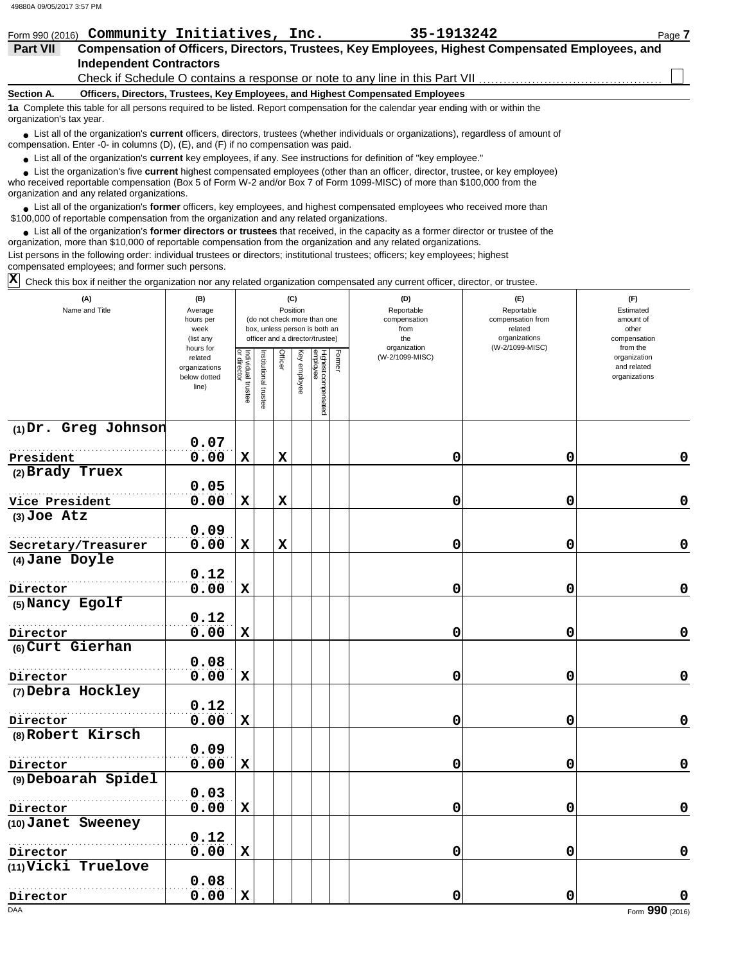| Form 990 (2016)          | Community Initiatives, Inc.                                                                                                                                                                                                         | 35-1913242 | Page 7 |
|--------------------------|-------------------------------------------------------------------------------------------------------------------------------------------------------------------------------------------------------------------------------------|------------|--------|
| <b>Part VII</b>          | Compensation of Officers, Directors, Trustees, Key Employees, Highest Compensated Employees, and                                                                                                                                    |            |        |
|                          | <b>Independent Contractors</b>                                                                                                                                                                                                      |            |        |
|                          | Check if Schedule O contains a response or note to any line in this Part VII                                                                                                                                                        |            |        |
| Section A.               | Officers, Directors, Trustees, Key Employees, and Highest Compensated Employees                                                                                                                                                     |            |        |
| organization's tax year. | 1a Complete this table for all persons required to be listed. Report compensation for the calendar year ending with or within the                                                                                                   |            |        |
|                          | • List all of the organization's current officers, directors, trustees (whether individuals or organizations), regardless of amount of<br>compensation. Enter -0- in columns $(D)$ , $(E)$ , and $(F)$ if no compensation was paid. |            |        |
|                          | • List all of the organization's <b>current</b> key employees if any See instructions for definition of "key employee"                                                                                                              |            |        |

ll of the organization's **current** key employees, if any. See instructions for definition of "key employee.

who received reportable compensation (Box 5 of Form W-2 and/or Box 7 of Form 1099-MISC) of more than \$100,000 from the organization and any related organizations. ● List all of the organization's **current** key employees, if any. See instructions for definition of "key employee."<br>● List the organization's five **current** highest compensated employees (other than an officer, director, **•**

■ List all of the organization's **former** officers, key employees, and highest compensated employees who received more than<br> **•** 00.00 of repartable compensation from the examination and any related erganizations \$100,000 of reportable compensation from the organization and any related organizations.

● List all of the organization's **former directors or trustees** that received, in the capacity as a former director or trustee of the principle and provided arguments of the principle and provided arguments of the princip organization, more than \$10,000 of reportable compensation from the organization and any related organizations.

List persons in the following order: individual trustees or directors; institutional trustees; officers; key employees; highest compensated employees; and former such persons.

Check this box if neither the organization nor any related organization compensated any current officer, director, or trustee. **X**

| (A)<br>Name and Title         | (B)<br>Average<br>hours per<br>week<br>(list any<br>hours for |                              |                      |             | (C)<br>Position | (do not check more than one<br>box, unless person is both an<br>officer and a director/trustee) |        | (D)<br>Reportable<br>compensation<br>from<br>the<br>organization | (E)<br>Reportable<br>compensation from<br>related<br>organizations<br>(W-2/1099-MISC) | (F)<br>Estimated<br>amount of<br>other<br>compensation<br>from the |
|-------------------------------|---------------------------------------------------------------|------------------------------|----------------------|-------------|-----------------|-------------------------------------------------------------------------------------------------|--------|------------------------------------------------------------------|---------------------------------------------------------------------------------------|--------------------------------------------------------------------|
|                               | related<br>organizations<br>below dotted<br>line)             | ndividual trustee<br>irector | nstitutional trustee | Officer     | Key employee    | Highest compensated<br>employee                                                                 | Former | (W-2/1099-MISC)                                                  |                                                                                       | organization<br>and related<br>organizations                       |
| (1) Dr. Greg Johnson          |                                                               |                              |                      |             |                 |                                                                                                 |        |                                                                  |                                                                                       |                                                                    |
|                               | 0.07                                                          |                              |                      |             |                 |                                                                                                 |        |                                                                  |                                                                                       |                                                                    |
| President<br>(2) Brady Truex  | 0.00                                                          | $\mathbf x$                  |                      | $\mathbf x$ |                 |                                                                                                 |        | 0                                                                | 0                                                                                     | 0                                                                  |
|                               | 0.05                                                          |                              |                      |             |                 |                                                                                                 |        |                                                                  |                                                                                       |                                                                    |
| Vice President                | 0.00                                                          | X                            |                      | $\mathbf x$ |                 |                                                                                                 |        | 0                                                                | 0                                                                                     | $\pmb{0}$                                                          |
| $(3)$ Joe Atz                 |                                                               |                              |                      |             |                 |                                                                                                 |        |                                                                  |                                                                                       |                                                                    |
|                               | 0.09                                                          |                              |                      |             |                 |                                                                                                 |        |                                                                  |                                                                                       |                                                                    |
| Secretary/Treasurer           | 0.00                                                          | $\mathbf x$                  |                      | $\mathbf x$ |                 |                                                                                                 |        | 0                                                                | 0                                                                                     | $\mathbf 0$                                                        |
| (4) Jane Doyle                |                                                               |                              |                      |             |                 |                                                                                                 |        |                                                                  |                                                                                       |                                                                    |
|                               | 0.12                                                          |                              |                      |             |                 |                                                                                                 |        |                                                                  |                                                                                       |                                                                    |
| Director                      | 0.00                                                          | $\mathbf x$                  |                      |             |                 |                                                                                                 |        | 0                                                                | 0                                                                                     | $\mathbf 0$                                                        |
| (5) Nancy Egolf               |                                                               |                              |                      |             |                 |                                                                                                 |        |                                                                  |                                                                                       |                                                                    |
|                               | 0.12                                                          |                              |                      |             |                 |                                                                                                 |        |                                                                  |                                                                                       |                                                                    |
| Director                      | 0.00                                                          | $\mathbf x$                  |                      |             |                 |                                                                                                 |        | 0                                                                | 0                                                                                     | 0                                                                  |
| (6) Curt Gierhan              |                                                               |                              |                      |             |                 |                                                                                                 |        |                                                                  |                                                                                       |                                                                    |
|                               | 0.08                                                          |                              |                      |             |                 |                                                                                                 |        |                                                                  |                                                                                       |                                                                    |
| Director                      | 0.00                                                          | $\mathbf x$                  |                      |             |                 |                                                                                                 |        | 0                                                                | 0                                                                                     | $\mathbf 0$                                                        |
| (7) Debra Hockley             |                                                               |                              |                      |             |                 |                                                                                                 |        |                                                                  |                                                                                       |                                                                    |
|                               | 0.12                                                          |                              |                      |             |                 |                                                                                                 |        |                                                                  |                                                                                       |                                                                    |
| Director<br>(8) Robert Kirsch | 0.00                                                          | $\mathbf x$                  |                      |             |                 |                                                                                                 |        | 0                                                                | 0                                                                                     | 0                                                                  |
|                               | 0.09                                                          |                              |                      |             |                 |                                                                                                 |        |                                                                  |                                                                                       |                                                                    |
| Director                      | 0.00                                                          | $\mathbf x$                  |                      |             |                 |                                                                                                 |        | 0                                                                | 0                                                                                     | 0                                                                  |
| (9) Deboarah Spidel           |                                                               |                              |                      |             |                 |                                                                                                 |        |                                                                  |                                                                                       |                                                                    |
|                               | 0.03                                                          |                              |                      |             |                 |                                                                                                 |        |                                                                  |                                                                                       |                                                                    |
| Director                      | 0.00                                                          | $\mathbf x$                  |                      |             |                 |                                                                                                 |        | 0                                                                | 0                                                                                     | 0                                                                  |
| (10) Janet Sweeney            |                                                               |                              |                      |             |                 |                                                                                                 |        |                                                                  |                                                                                       |                                                                    |
|                               | 0.12                                                          |                              |                      |             |                 |                                                                                                 |        |                                                                  |                                                                                       |                                                                    |
| Director                      | 0.00                                                          | $\mathbf x$                  |                      |             |                 |                                                                                                 |        | 0                                                                | 0                                                                                     | 0                                                                  |
| (11) Vicki Truelove           |                                                               |                              |                      |             |                 |                                                                                                 |        |                                                                  |                                                                                       |                                                                    |
|                               | 0.08                                                          |                              |                      |             |                 |                                                                                                 |        |                                                                  |                                                                                       |                                                                    |
| Director                      | 0.00                                                          | $\mathbf x$                  |                      |             |                 |                                                                                                 |        | 0                                                                | 0                                                                                     | 0                                                                  |
| DAA                           |                                                               |                              |                      |             |                 |                                                                                                 |        |                                                                  |                                                                                       | Form 990 (2016)                                                    |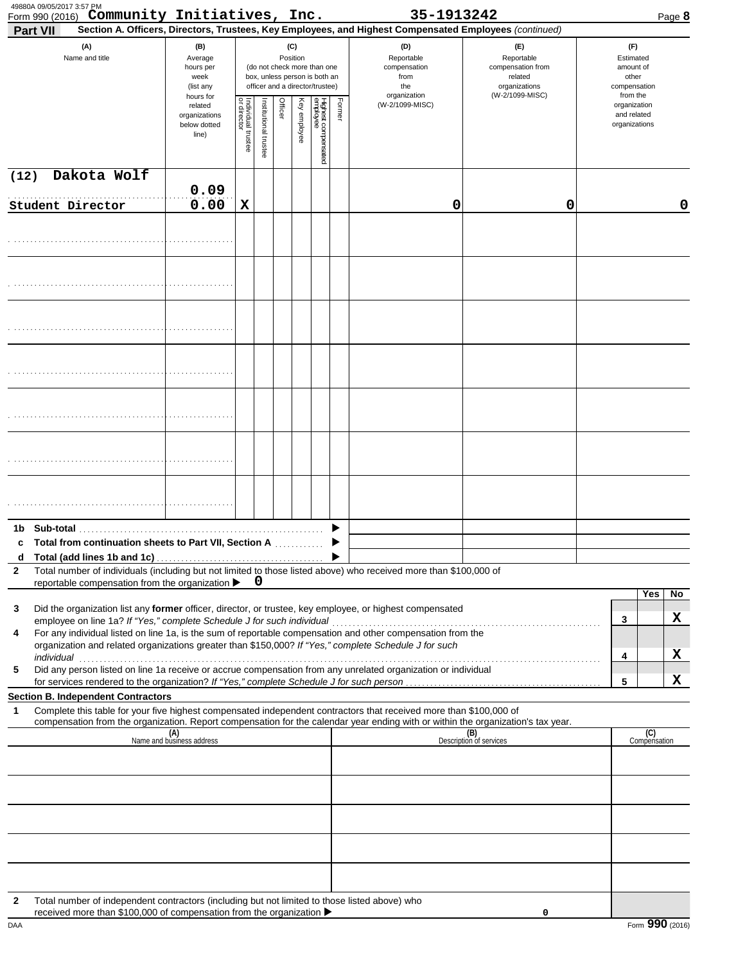|              | 49880A 09/05/2017 3:57 PM<br>Form 990 (2016) Community Initiatives, Inc.<br>Part VII                                                                                                                                                                                                                                                                                                                                                                                                                                        |                                                                |                                   |                      |         |                 |                                                                                                 |        | 35-1913242<br>Section A. Officers, Directors, Trustees, Key Employees, and Highest Compensated Employees (continued) |                                                                    | Page 8                                                   |
|--------------|-----------------------------------------------------------------------------------------------------------------------------------------------------------------------------------------------------------------------------------------------------------------------------------------------------------------------------------------------------------------------------------------------------------------------------------------------------------------------------------------------------------------------------|----------------------------------------------------------------|-----------------------------------|----------------------|---------|-----------------|-------------------------------------------------------------------------------------------------|--------|----------------------------------------------------------------------------------------------------------------------|--------------------------------------------------------------------|----------------------------------------------------------|
|              | (A)<br>Name and title                                                                                                                                                                                                                                                                                                                                                                                                                                                                                                       | (B)<br>Average<br>hours per<br>week<br>(list any               |                                   |                      |         | (C)<br>Position | (do not check more than one<br>box, unless person is both an<br>officer and a director/trustee) |        | (D)<br>Reportable<br>compensation<br>from<br>the                                                                     | (E)<br>Reportable<br>compensation from<br>related<br>organizations | (F)<br>Estimated<br>amount of<br>other<br>compensation   |
|              |                                                                                                                                                                                                                                                                                                                                                                                                                                                                                                                             | hours for<br>related<br>organizations<br>below dotted<br>line) | Individual trustee<br>or director | nstitutional trustee | Officer | Key employee    | Highest compensated<br>employee                                                                 | Former | organization<br>(W-2/1099-MISC)                                                                                      | (W-2/1099-MISC)                                                    | from the<br>organization<br>and related<br>organizations |
| (12)         | Dakota Wolf                                                                                                                                                                                                                                                                                                                                                                                                                                                                                                                 |                                                                |                                   |                      |         |                 |                                                                                                 |        |                                                                                                                      |                                                                    |                                                          |
|              | Student Director                                                                                                                                                                                                                                                                                                                                                                                                                                                                                                            | 0.09<br>0.00                                                   | $\mathbf x$                       |                      |         |                 |                                                                                                 |        | 0                                                                                                                    | 0                                                                  | 0                                                        |
|              |                                                                                                                                                                                                                                                                                                                                                                                                                                                                                                                             |                                                                |                                   |                      |         |                 |                                                                                                 |        |                                                                                                                      |                                                                    |                                                          |
|              |                                                                                                                                                                                                                                                                                                                                                                                                                                                                                                                             |                                                                |                                   |                      |         |                 |                                                                                                 |        |                                                                                                                      |                                                                    |                                                          |
|              |                                                                                                                                                                                                                                                                                                                                                                                                                                                                                                                             |                                                                |                                   |                      |         |                 |                                                                                                 |        |                                                                                                                      |                                                                    |                                                          |
|              |                                                                                                                                                                                                                                                                                                                                                                                                                                                                                                                             |                                                                |                                   |                      |         |                 |                                                                                                 |        |                                                                                                                      |                                                                    |                                                          |
|              |                                                                                                                                                                                                                                                                                                                                                                                                                                                                                                                             |                                                                |                                   |                      |         |                 |                                                                                                 |        |                                                                                                                      |                                                                    |                                                          |
|              |                                                                                                                                                                                                                                                                                                                                                                                                                                                                                                                             |                                                                |                                   |                      |         |                 |                                                                                                 |        |                                                                                                                      |                                                                    |                                                          |
|              |                                                                                                                                                                                                                                                                                                                                                                                                                                                                                                                             |                                                                |                                   |                      |         |                 |                                                                                                 |        |                                                                                                                      |                                                                    |                                                          |
|              |                                                                                                                                                                                                                                                                                                                                                                                                                                                                                                                             |                                                                |                                   |                      |         |                 |                                                                                                 |        |                                                                                                                      |                                                                    |                                                          |
| c<br>d       | Total from continuation sheets to Part VII, Section A<br>Total (add lines 1b and 1c)                                                                                                                                                                                                                                                                                                                                                                                                                                        |                                                                |                                   |                      |         |                 |                                                                                                 |        |                                                                                                                      |                                                                    |                                                          |
| $\mathbf{2}$ | Total number of individuals (including but not limited to those listed above) who received more than \$100,000 of<br>reportable compensation from the organization ▶                                                                                                                                                                                                                                                                                                                                                        |                                                                |                                   | 0                    |         |                 |                                                                                                 |        |                                                                                                                      |                                                                    |                                                          |
| 3<br>4<br>5  | Did the organization list any former officer, director, or trustee, key employee, or highest compensated<br>employee on line 1a? If "Yes," complete Schedule J for such individual<br>For any individual listed on line 1a, is the sum of reportable compensation and other compensation from the<br>organization and related organizations greater than \$150,000? If "Yes," complete Schedule J for such<br>Did any person listed on line 1a receive or accrue compensation from any unrelated organization or individual |                                                                |                                   |                      |         |                 |                                                                                                 |        |                                                                                                                      |                                                                    | Yes<br>No<br>х<br>3<br>X<br>4<br>x<br>5                  |
|              | <b>Section B. Independent Contractors</b>                                                                                                                                                                                                                                                                                                                                                                                                                                                                                   |                                                                |                                   |                      |         |                 |                                                                                                 |        |                                                                                                                      |                                                                    |                                                          |
| 1            | Complete this table for your five highest compensated independent contractors that received more than \$100,000 of<br>compensation from the organization. Report compensation for the calendar year ending with or within the organization's tax year.                                                                                                                                                                                                                                                                      |                                                                |                                   |                      |         |                 |                                                                                                 |        |                                                                                                                      |                                                                    |                                                          |
|              |                                                                                                                                                                                                                                                                                                                                                                                                                                                                                                                             | (A)<br>Name and business address                               |                                   |                      |         |                 |                                                                                                 |        |                                                                                                                      | (B)<br>Description of services                                     | (C)<br>Compensation                                      |
|              |                                                                                                                                                                                                                                                                                                                                                                                                                                                                                                                             |                                                                |                                   |                      |         |                 |                                                                                                 |        |                                                                                                                      |                                                                    |                                                          |
|              |                                                                                                                                                                                                                                                                                                                                                                                                                                                                                                                             |                                                                |                                   |                      |         |                 |                                                                                                 |        |                                                                                                                      |                                                                    |                                                          |
|              |                                                                                                                                                                                                                                                                                                                                                                                                                                                                                                                             |                                                                |                                   |                      |         |                 |                                                                                                 |        |                                                                                                                      |                                                                    |                                                          |
| $\mathbf{2}$ | Total number of independent contractors (including but not limited to those listed above) who<br>received more than \$100,000 of compensation from the organization ▶                                                                                                                                                                                                                                                                                                                                                       |                                                                |                                   |                      |         |                 |                                                                                                 |        |                                                                                                                      | 0                                                                  |                                                          |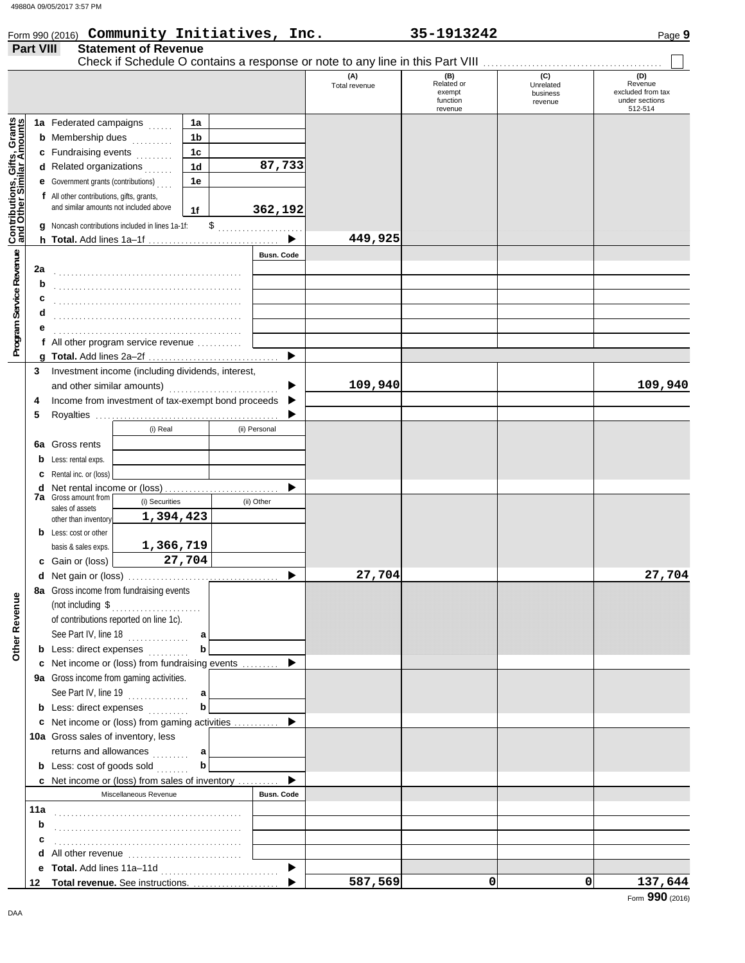|                                                           |                  |                                                                                                                                                                                                                                |                       |                | Form 990 (2016) Community Initiatives, Inc. |                      | 35-1913242                                         |                                         | Page 9                                                           |
|-----------------------------------------------------------|------------------|--------------------------------------------------------------------------------------------------------------------------------------------------------------------------------------------------------------------------------|-----------------------|----------------|---------------------------------------------|----------------------|----------------------------------------------------|-----------------------------------------|------------------------------------------------------------------|
|                                                           | <b>Part VIII</b> | <b>Statement of Revenue</b>                                                                                                                                                                                                    |                       |                |                                             |                      |                                                    |                                         |                                                                  |
|                                                           |                  |                                                                                                                                                                                                                                |                       |                |                                             | (A)<br>Total revenue | (B)<br>Related or<br>exempt<br>function<br>revenue | (C)<br>Unrelated<br>business<br>revenue | (D)<br>Revenue<br>excluded from tax<br>under sections<br>512-514 |
|                                                           |                  | 1a Federated campaigns                                                                                                                                                                                                         |                       | 1a             |                                             |                      |                                                    |                                         |                                                                  |
|                                                           |                  | <b>b</b> Membership dues                                                                                                                                                                                                       | .                     | 1 <sub>b</sub> |                                             |                      |                                                    |                                         |                                                                  |
|                                                           |                  | c Fundraising events                                                                                                                                                                                                           |                       | 1 <sub>c</sub> |                                             |                      |                                                    |                                         |                                                                  |
|                                                           |                  | <b>d</b> Related organizations $\ldots$                                                                                                                                                                                        |                       | 1 <sub>d</sub> | 87,733                                      |                      |                                                    |                                         |                                                                  |
|                                                           |                  | <b>e</b> Government grants (contributions)                                                                                                                                                                                     |                       | 1e             |                                             |                      |                                                    |                                         |                                                                  |
|                                                           |                  | f All other contributions, gifts, grants,                                                                                                                                                                                      |                       |                |                                             |                      |                                                    |                                         |                                                                  |
|                                                           |                  | and similar amounts not included above                                                                                                                                                                                         |                       | 1f             | 362,192                                     |                      |                                                    |                                         |                                                                  |
|                                                           |                  | g Noncash contributions included in lines 1a-1f:                                                                                                                                                                               |                       | \$             |                                             |                      |                                                    |                                         |                                                                  |
| Contributions, Gifts, Grants<br>and Other Similar Amounts |                  |                                                                                                                                                                                                                                |                       |                |                                             | 449,925              |                                                    |                                         |                                                                  |
|                                                           |                  |                                                                                                                                                                                                                                |                       |                | <b>Busn. Code</b>                           |                      |                                                    |                                         |                                                                  |
| Program Service Revenue                                   | 2a               |                                                                                                                                                                                                                                |                       |                |                                             |                      |                                                    |                                         |                                                                  |
|                                                           | b                |                                                                                                                                                                                                                                |                       |                |                                             |                      |                                                    |                                         |                                                                  |
|                                                           | c                |                                                                                                                                                                                                                                |                       |                |                                             |                      |                                                    |                                         |                                                                  |
|                                                           | d                |                                                                                                                                                                                                                                |                       |                |                                             |                      |                                                    |                                         |                                                                  |
|                                                           | е                |                                                                                                                                                                                                                                |                       |                |                                             |                      |                                                    |                                         |                                                                  |
|                                                           |                  | f All other program service revenue $\ldots$                                                                                                                                                                                   |                       |                |                                             |                      |                                                    |                                         |                                                                  |
|                                                           |                  |                                                                                                                                                                                                                                |                       |                | ▶                                           |                      |                                                    |                                         |                                                                  |
|                                                           | 3                | Investment income (including dividends, interest,                                                                                                                                                                              |                       |                |                                             |                      |                                                    |                                         |                                                                  |
|                                                           |                  | and other similar amounts)                                                                                                                                                                                                     |                       |                |                                             | 109,940              |                                                    |                                         | 109,940                                                          |
|                                                           | 4                | Income from investment of tax-exempt bond proceeds                                                                                                                                                                             |                       |                |                                             |                      |                                                    |                                         |                                                                  |
|                                                           | 5                |                                                                                                                                                                                                                                |                       |                |                                             |                      |                                                    |                                         |                                                                  |
|                                                           |                  |                                                                                                                                                                                                                                | (i) Real              |                | (ii) Personal                               |                      |                                                    |                                         |                                                                  |
|                                                           | 6а               | Gross rents                                                                                                                                                                                                                    |                       |                |                                             |                      |                                                    |                                         |                                                                  |
|                                                           |                  | Less: rental exps.                                                                                                                                                                                                             |                       |                |                                             |                      |                                                    |                                         |                                                                  |
|                                                           |                  | Rental inc. or (loss)                                                                                                                                                                                                          |                       |                |                                             |                      |                                                    |                                         |                                                                  |
|                                                           | d                |                                                                                                                                                                                                                                |                       |                |                                             |                      |                                                    |                                         |                                                                  |
|                                                           |                  | <b>7a</b> Gross amount from                                                                                                                                                                                                    | (i) Securities        |                | (ii) Other                                  |                      |                                                    |                                         |                                                                  |
|                                                           |                  | sales of assets<br>other than inventory                                                                                                                                                                                        | 1,394,423             |                |                                             |                      |                                                    |                                         |                                                                  |
|                                                           |                  | <b>b</b> Less: cost or other                                                                                                                                                                                                   |                       |                |                                             |                      |                                                    |                                         |                                                                  |
|                                                           |                  | basis & sales exps.                                                                                                                                                                                                            | 1,366,719             |                |                                             |                      |                                                    |                                         |                                                                  |
|                                                           |                  | c Gain or (loss)                                                                                                                                                                                                               | 27,704                |                |                                             |                      |                                                    |                                         |                                                                  |
|                                                           |                  |                                                                                                                                                                                                                                |                       |                |                                             | 27,704               |                                                    |                                         | 27,704                                                           |
|                                                           |                  | 8a Gross income from fundraising events                                                                                                                                                                                        |                       |                |                                             |                      |                                                    |                                         |                                                                  |
| <b>Other Revenue</b>                                      |                  | (not including $\,$ , $\,$ , $\,$ , $\,$ , $\,$ , $\,$ , $\,$ , $\,$ , $\,$ , $\,$ , $\,$ , $\,$ , $\,$ , $\,$ , $\,$ , $\,$ , $\,$ , $\,$ , $\,$ , $\,$ , $\,$ , $\,$ , $\,$ , $\,$ , $\,$ , $\,$ , $\,$ , $\,$ , $\,$ , $\,$ |                       |                |                                             |                      |                                                    |                                         |                                                                  |
|                                                           |                  | of contributions reported on line 1c).                                                                                                                                                                                         |                       |                |                                             |                      |                                                    |                                         |                                                                  |
|                                                           |                  | See Part IV, line 18                                                                                                                                                                                                           |                       |                |                                             |                      |                                                    |                                         |                                                                  |
|                                                           |                  | <b>b</b> Less: direct expenses                                                                                                                                                                                                 |                       | $\mathbf b$    |                                             |                      |                                                    |                                         |                                                                  |
|                                                           |                  | c Net income or (loss) from fundraising events                                                                                                                                                                                 |                       |                |                                             |                      |                                                    |                                         |                                                                  |
|                                                           |                  | 9a Gross income from gaming activities.                                                                                                                                                                                        |                       |                |                                             |                      |                                                    |                                         |                                                                  |
|                                                           |                  | See Part IV, line 19 $\ldots$                                                                                                                                                                                                  |                       | a              |                                             |                      |                                                    |                                         |                                                                  |
|                                                           |                  | <b>b</b> Less: direct expenses                                                                                                                                                                                                 |                       | $\mathbf b$    |                                             |                      |                                                    |                                         |                                                                  |
|                                                           |                  | c Net income or (loss) from gaming activities                                                                                                                                                                                  |                       |                |                                             |                      |                                                    |                                         |                                                                  |
|                                                           |                  | 10a Gross sales of inventory, less                                                                                                                                                                                             |                       |                |                                             |                      |                                                    |                                         |                                                                  |
|                                                           |                  | returns and allowances  a                                                                                                                                                                                                      |                       |                |                                             |                      |                                                    |                                         |                                                                  |
|                                                           |                  | <b>b</b> Less: $cost$ of goods sold $\ldots$                                                                                                                                                                                   |                       | $\mathbf b$    |                                             |                      |                                                    |                                         |                                                                  |
|                                                           |                  | c Net income or (loss) from sales of inventory                                                                                                                                                                                 |                       |                |                                             |                      |                                                    |                                         |                                                                  |
|                                                           |                  |                                                                                                                                                                                                                                | Miscellaneous Revenue |                | <b>Busn. Code</b>                           |                      |                                                    |                                         |                                                                  |
|                                                           | 11a              |                                                                                                                                                                                                                                |                       |                |                                             |                      |                                                    |                                         |                                                                  |
|                                                           | b                |                                                                                                                                                                                                                                |                       |                |                                             |                      |                                                    |                                         |                                                                  |
|                                                           | c                |                                                                                                                                                                                                                                |                       |                |                                             |                      |                                                    |                                         |                                                                  |
|                                                           |                  |                                                                                                                                                                                                                                |                       |                |                                             |                      |                                                    |                                         |                                                                  |
|                                                           |                  |                                                                                                                                                                                                                                |                       |                | $\blacktriangleright$                       |                      |                                                    |                                         |                                                                  |
|                                                           | 12               |                                                                                                                                                                                                                                |                       |                |                                             | 587,569              | $\mathsf{o}$                                       | $\mathbf 0$                             | 137,644                                                          |

| 49880A 09/05/2017 |  |  |
|-------------------|--|--|
|                   |  |  |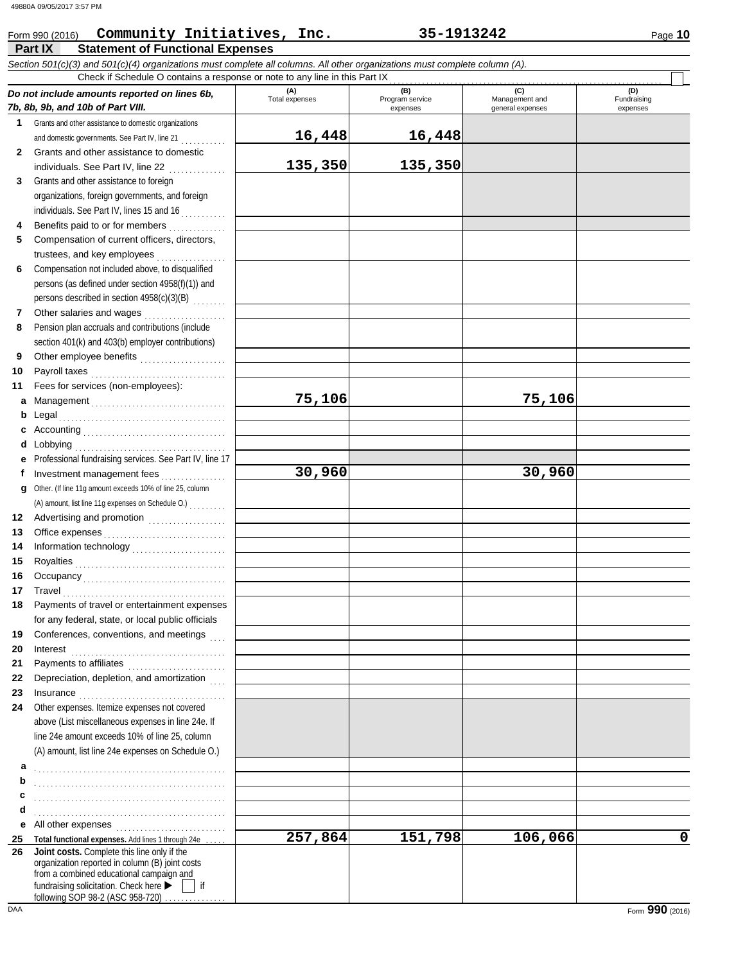| Form 990 (2016) | Community Initiatives,                                                                                                     | Inc. | 35-1913242 | Page 10 |  |
|-----------------|----------------------------------------------------------------------------------------------------------------------------|------|------------|---------|--|
| Part IX         | <b>Statement of Functional Expenses</b>                                                                                    |      |            |         |  |
|                 | Section 501(c)(3) and 501(c)(4) organizations must complete all columns. All other organizations must complete column (A). |      |            |         |  |
|                 | Check if Schedule O contains a response or note to any line in this Part IX                                                |      |            |         |  |
|                 |                                                                                                                            |      |            |         |  |

|              | Check if Schedule O contains a response or note to any line in this Part IX                                                                                                                                                                                                                                                                                                                                                                                                                                                         |                                       |                                    |                                           |                                |
|--------------|-------------------------------------------------------------------------------------------------------------------------------------------------------------------------------------------------------------------------------------------------------------------------------------------------------------------------------------------------------------------------------------------------------------------------------------------------------------------------------------------------------------------------------------|---------------------------------------|------------------------------------|-------------------------------------------|--------------------------------|
|              | Do not include amounts reported on lines 6b,<br>7b, 8b, 9b, and 10b of Part VIII.                                                                                                                                                                                                                                                                                                                                                                                                                                                   | (A)<br>Total expenses                 | (B)<br>Program service<br>expenses | (C)<br>Management and<br>general expenses | (D)<br>Fundraising<br>expenses |
| 1            | Grants and other assistance to domestic organizations                                                                                                                                                                                                                                                                                                                                                                                                                                                                               |                                       |                                    |                                           |                                |
|              | and domestic governments. See Part IV, line 21                                                                                                                                                                                                                                                                                                                                                                                                                                                                                      | 16,448                                | 16,448                             |                                           |                                |
| $\mathbf{2}$ | Grants and other assistance to domestic<br>individuals. See Part IV, line 22                                                                                                                                                                                                                                                                                                                                                                                                                                                        | 135,350                               | 135,350                            |                                           |                                |
| 3            | Grants and other assistance to foreign                                                                                                                                                                                                                                                                                                                                                                                                                                                                                              |                                       |                                    |                                           |                                |
|              | organizations, foreign governments, and foreign                                                                                                                                                                                                                                                                                                                                                                                                                                                                                     |                                       |                                    |                                           |                                |
|              | individuals. See Part IV, lines 15 and 16                                                                                                                                                                                                                                                                                                                                                                                                                                                                                           |                                       |                                    |                                           |                                |
| 4            | Benefits paid to or for members                                                                                                                                                                                                                                                                                                                                                                                                                                                                                                     |                                       |                                    |                                           |                                |
| 5            | Compensation of current officers, directors,                                                                                                                                                                                                                                                                                                                                                                                                                                                                                        |                                       |                                    |                                           |                                |
|              | trustees, and key employees                                                                                                                                                                                                                                                                                                                                                                                                                                                                                                         |                                       |                                    |                                           |                                |
| 6            | Compensation not included above, to disqualified                                                                                                                                                                                                                                                                                                                                                                                                                                                                                    |                                       |                                    |                                           |                                |
|              | persons (as defined under section 4958(f)(1)) and                                                                                                                                                                                                                                                                                                                                                                                                                                                                                   |                                       |                                    |                                           |                                |
|              | persons described in section 4958(c)(3)(B)                                                                                                                                                                                                                                                                                                                                                                                                                                                                                          |                                       |                                    |                                           |                                |
| 7            | Other salaries and wages<br>.                                                                                                                                                                                                                                                                                                                                                                                                                                                                                                       |                                       |                                    |                                           |                                |
| 8            | Pension plan accruals and contributions (include                                                                                                                                                                                                                                                                                                                                                                                                                                                                                    |                                       |                                    |                                           |                                |
|              | section 401(k) and 403(b) employer contributions)                                                                                                                                                                                                                                                                                                                                                                                                                                                                                   |                                       |                                    |                                           |                                |
| 9            | Other employee benefits                                                                                                                                                                                                                                                                                                                                                                                                                                                                                                             |                                       |                                    |                                           |                                |
| 10           |                                                                                                                                                                                                                                                                                                                                                                                                                                                                                                                                     |                                       |                                    |                                           |                                |
| 11           | Fees for services (non-employees):                                                                                                                                                                                                                                                                                                                                                                                                                                                                                                  |                                       |                                    |                                           |                                |
| a            |                                                                                                                                                                                                                                                                                                                                                                                                                                                                                                                                     | 75,106                                |                                    | 75,106                                    |                                |
| b            |                                                                                                                                                                                                                                                                                                                                                                                                                                                                                                                                     |                                       |                                    |                                           |                                |
| d            |                                                                                                                                                                                                                                                                                                                                                                                                                                                                                                                                     |                                       |                                    |                                           |                                |
|              | Professional fundraising services. See Part IV, line 17                                                                                                                                                                                                                                                                                                                                                                                                                                                                             |                                       |                                    |                                           |                                |
| f            | Investment management fees                                                                                                                                                                                                                                                                                                                                                                                                                                                                                                          | 30,960                                |                                    | 30,960                                    |                                |
| g            | Other. (If line 11g amount exceeds 10% of line 25, column                                                                                                                                                                                                                                                                                                                                                                                                                                                                           |                                       |                                    |                                           |                                |
|              | (A) amount, list line 11g expenses on Schedule O.)                                                                                                                                                                                                                                                                                                                                                                                                                                                                                  |                                       |                                    |                                           |                                |
| 12           |                                                                                                                                                                                                                                                                                                                                                                                                                                                                                                                                     |                                       |                                    |                                           |                                |
| 13           |                                                                                                                                                                                                                                                                                                                                                                                                                                                                                                                                     | and the control of the control of the |                                    |                                           |                                |
| 14           |                                                                                                                                                                                                                                                                                                                                                                                                                                                                                                                                     |                                       |                                    |                                           |                                |
| 15           |                                                                                                                                                                                                                                                                                                                                                                                                                                                                                                                                     |                                       |                                    |                                           |                                |
| 16           |                                                                                                                                                                                                                                                                                                                                                                                                                                                                                                                                     |                                       |                                    |                                           |                                |
| 17           |                                                                                                                                                                                                                                                                                                                                                                                                                                                                                                                                     |                                       |                                    |                                           |                                |
|              | Payments of travel or entertainment expenses                                                                                                                                                                                                                                                                                                                                                                                                                                                                                        |                                       |                                    |                                           |                                |
|              | for any federal, state, or local public officials                                                                                                                                                                                                                                                                                                                                                                                                                                                                                   |                                       |                                    |                                           |                                |
| 19           | Conferences, conventions, and meetings                                                                                                                                                                                                                                                                                                                                                                                                                                                                                              |                                       |                                    |                                           |                                |
| 20           | Interest                                                                                                                                                                                                                                                                                                                                                                                                                                                                                                                            |                                       |                                    |                                           |                                |
| 21           |                                                                                                                                                                                                                                                                                                                                                                                                                                                                                                                                     |                                       |                                    |                                           |                                |
| 22           | Depreciation, depletion, and amortization                                                                                                                                                                                                                                                                                                                                                                                                                                                                                           |                                       |                                    |                                           |                                |
| 23           | $In surface \begin{tabular}{@{}l@{}} \hline \multicolumn{3}{c}{\textbf{Insurance}} \\ \hline \multicolumn{3}{c}{\textbf{Insurance}} \\ \hline \multicolumn{3}{c}{\textbf{Insurance}} \\ \hline \multicolumn{3}{c}{\textbf{Insurance}} \\ \hline \multicolumn{3}{c}{\textbf{Insurance}} \\ \hline \multicolumn{3}{c}{\textbf{Insurance}} \\ \hline \multicolumn{3}{c}{\textbf{Insurance}} \\ \hline \multicolumn{3}{c}{\textbf{Insurance}} \\ \hline \multicolumn{3}{c}{\textbf{Insurance}} \\ \hline \multicolumn{3}{c}{\textbf{In$ |                                       |                                    |                                           |                                |
| 24           | Other expenses. Itemize expenses not covered                                                                                                                                                                                                                                                                                                                                                                                                                                                                                        |                                       |                                    |                                           |                                |
|              | above (List miscellaneous expenses in line 24e. If                                                                                                                                                                                                                                                                                                                                                                                                                                                                                  |                                       |                                    |                                           |                                |
|              | line 24e amount exceeds 10% of line 25, column                                                                                                                                                                                                                                                                                                                                                                                                                                                                                      |                                       |                                    |                                           |                                |
|              | (A) amount, list line 24e expenses on Schedule O.)                                                                                                                                                                                                                                                                                                                                                                                                                                                                                  |                                       |                                    |                                           |                                |
| а            |                                                                                                                                                                                                                                                                                                                                                                                                                                                                                                                                     |                                       |                                    |                                           |                                |
| b            |                                                                                                                                                                                                                                                                                                                                                                                                                                                                                                                                     |                                       |                                    |                                           |                                |
| c            |                                                                                                                                                                                                                                                                                                                                                                                                                                                                                                                                     |                                       |                                    |                                           |                                |
| d            |                                                                                                                                                                                                                                                                                                                                                                                                                                                                                                                                     |                                       |                                    |                                           |                                |
| е            | All other expenses                                                                                                                                                                                                                                                                                                                                                                                                                                                                                                                  | 257,864                               | 151,798                            | 106,066                                   | $\mathbf 0$                    |
| 25<br>26     | Total functional expenses. Add lines 1 through 24e<br>Joint costs. Complete this line only if the                                                                                                                                                                                                                                                                                                                                                                                                                                   |                                       |                                    |                                           |                                |
|              | organization reported in column (B) joint costs<br>from a combined educational campaign and                                                                                                                                                                                                                                                                                                                                                                                                                                         |                                       |                                    |                                           |                                |
|              | fundraising solicitation. Check here<br>if                                                                                                                                                                                                                                                                                                                                                                                                                                                                                          |                                       |                                    |                                           |                                |
|              | following SOP 98-2 (ASC 958-720) $\ldots$                                                                                                                                                                                                                                                                                                                                                                                                                                                                                           |                                       |                                    |                                           |                                |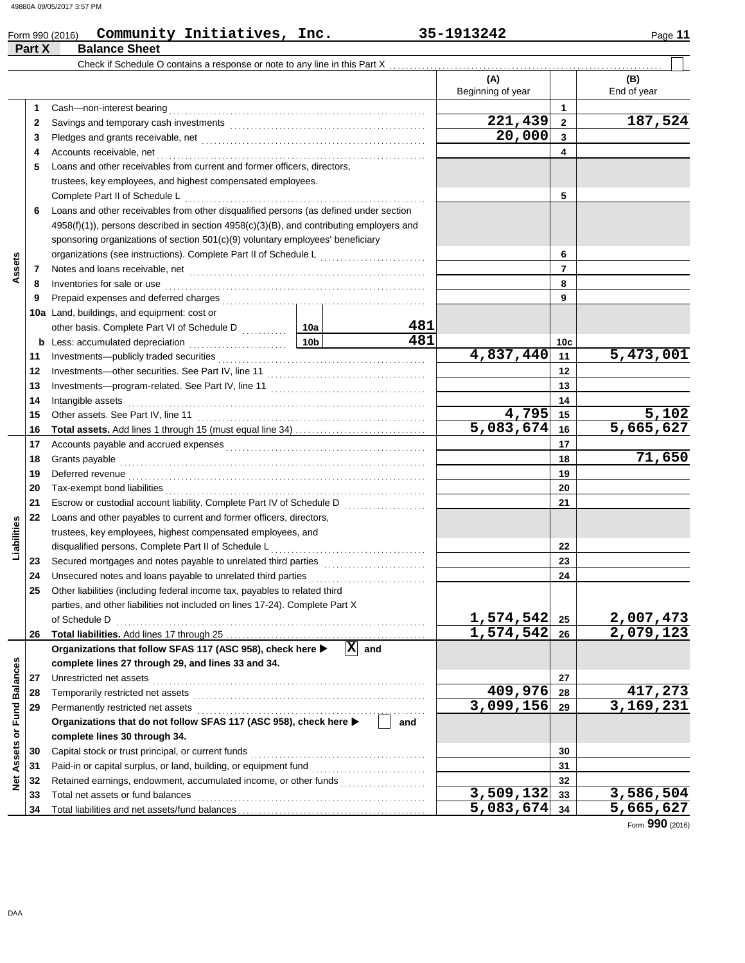| Part X                     | <b>Balance Sheet</b>                                                                                                                                                                                                           | Form 990 (2016) Community Initiatives, Inc. |                    |                                |                |                        |
|----------------------------|--------------------------------------------------------------------------------------------------------------------------------------------------------------------------------------------------------------------------------|---------------------------------------------|--------------------|--------------------------------|----------------|------------------------|
|                            | Check if Schedule O contains a response or note to any line in this Part X.                                                                                                                                                    |                                             |                    |                                |                |                        |
|                            |                                                                                                                                                                                                                                |                                             |                    | (A)                            |                | (B)                    |
|                            |                                                                                                                                                                                                                                |                                             |                    | Beginning of year              |                | End of year            |
| 1                          | Cash-non-interest bearing                                                                                                                                                                                                      |                                             |                    |                                | $\mathbf 1$    |                        |
| 2                          |                                                                                                                                                                                                                                |                                             |                    | 221,439                        | $\overline{2}$ | 187,524                |
| 3                          |                                                                                                                                                                                                                                |                                             |                    | 20,000                         | 3              |                        |
| 4                          | Accounts receivable, net                                                                                                                                                                                                       |                                             |                    |                                | 4              |                        |
| 5                          | Loans and other receivables from current and former officers, directors,                                                                                                                                                       |                                             |                    |                                |                |                        |
|                            | trustees, key employees, and highest compensated employees.                                                                                                                                                                    |                                             |                    |                                |                |                        |
|                            | Complete Part II of Schedule L                                                                                                                                                                                                 |                                             |                    |                                | 5              |                        |
| 6                          | Loans and other receivables from other disqualified persons (as defined under section                                                                                                                                          |                                             |                    |                                |                |                        |
|                            | 4958(f)(1)), persons described in section 4958(c)(3)(B), and contributing employers and                                                                                                                                        |                                             |                    |                                |                |                        |
|                            | sponsoring organizations of section 501(c)(9) voluntary employees' beneficiary                                                                                                                                                 |                                             |                    |                                |                |                        |
|                            | organizations (see instructions). Complete Part II of Schedule L                                                                                                                                                               |                                             |                    |                                | 6              |                        |
| Assets<br>7                |                                                                                                                                                                                                                                |                                             |                    |                                | $\overline{7}$ |                        |
| 8                          | Inventories for sale or use                                                                                                                                                                                                    |                                             | 8                  |                                |                |                        |
| 9                          |                                                                                                                                                                                                                                |                                             |                    |                                | 9              |                        |
|                            | 10a Land, buildings, and equipment: cost or                                                                                                                                                                                    |                                             |                    |                                |                |                        |
|                            |                                                                                                                                                                                                                                |                                             | 481                |                                |                |                        |
| b                          | 10b<br>Less: accumulated depreciation                                                                                                                                                                                          |                                             | 481                |                                | 10c            |                        |
| 11                         | Investments—publicly traded securities [[11][11] All and the securities with the securities with the securities with the second securities with the second securities with the second securities with the second second second |                                             |                    | 4,837,440                      | 11             | 5,473,001              |
| 12                         |                                                                                                                                                                                                                                |                                             |                    |                                | 12             |                        |
| 13                         |                                                                                                                                                                                                                                |                                             |                    |                                | 13             |                        |
| 14                         | Intangible assets                                                                                                                                                                                                              |                                             |                    |                                | 14             |                        |
| 15                         |                                                                                                                                                                                                                                |                                             |                    | 4,795                          | 15             | 5,102                  |
| 16                         |                                                                                                                                                                                                                                |                                             |                    | $\overline{5,083,674}$         | 16             | $\overline{5,665,627}$ |
| 17                         |                                                                                                                                                                                                                                |                                             |                    |                                | 17             | 71,650                 |
| 18                         | Grants payable                                                                                                                                                                                                                 |                                             |                    |                                | 18             |                        |
| 19                         | Deferred revenue <b>construction of the construction of the construction</b> of the construction of the construction of                                                                                                        |                                             |                    |                                | 19             |                        |
| 20                         |                                                                                                                                                                                                                                |                                             |                    |                                | 20             |                        |
| 21                         | Escrow or custodial account liability. Complete Part IV of Schedule D [1, [1, [1]]                                                                                                                                             |                                             |                    |                                | 21             |                        |
| 22<br>Liabilities          | Loans and other payables to current and former officers, directors,                                                                                                                                                            |                                             |                    |                                |                |                        |
|                            | trustees, key employees, highest compensated employees, and                                                                                                                                                                    |                                             |                    |                                |                |                        |
|                            | disqualified persons. Complete Part II of Schedule L                                                                                                                                                                           |                                             |                    |                                | 22<br>23       |                        |
| 23                         | Secured mortgages and notes payable to unrelated third parties                                                                                                                                                                 |                                             |                    |                                | 24             |                        |
| 24<br>25                   | Other liabilities (including federal income tax, payables to related third                                                                                                                                                     |                                             |                    |                                |                |                        |
|                            | parties, and other liabilities not included on lines 17-24). Complete Part X                                                                                                                                                   |                                             |                    |                                |                |                        |
|                            | of Schedule D                                                                                                                                                                                                                  |                                             |                    |                                | 25             |                        |
| 26                         |                                                                                                                                                                                                                                |                                             |                    | <u>1,574,542<br/>1,574,542</u> | 26             | 2,007,473<br>2,079,123 |
|                            | Organizations that follow SFAS 117 (ASC 958), check here ▶                                                                                                                                                                     |                                             | $ \mathbf{X} $ and |                                |                |                        |
|                            | complete lines 27 through 29, and lines 33 and 34.                                                                                                                                                                             |                                             |                    |                                |                |                        |
| 27                         | Unrestricted net assets                                                                                                                                                                                                        |                                             |                    |                                | 27             |                        |
| <b>Fund Balances</b><br>28 | Temporarily restricted net assets                                                                                                                                                                                              |                                             |                    | 409,976                        | 28             | 417,273                |
| 29                         | Permanently restricted net assets                                                                                                                                                                                              |                                             |                    | 3,099,156                      | 29             | 3,169,231              |
|                            | Organizations that do not follow SFAS 117 (ASC 958), check here ▶                                                                                                                                                              |                                             | and                |                                |                |                        |
|                            | complete lines 30 through 34.                                                                                                                                                                                                  |                                             |                    |                                |                |                        |
| 30                         | Capital stock or trust principal, or current funds                                                                                                                                                                             |                                             |                    |                                | 30             |                        |
| 31                         |                                                                                                                                                                                                                                |                                             |                    |                                | 31             |                        |
| Net Assets or<br>32        | Retained earnings, endowment, accumulated income, or other funds                                                                                                                                                               |                                             |                    |                                | 32             |                        |
| 33                         | Total net assets or fund balances                                                                                                                                                                                              |                                             |                    | 3,509,132                      | 33             | 3,586,504              |
| 34                         |                                                                                                                                                                                                                                |                                             |                    | 5,083,674                      | 34             | 5,665,627              |

Form **990** (2016)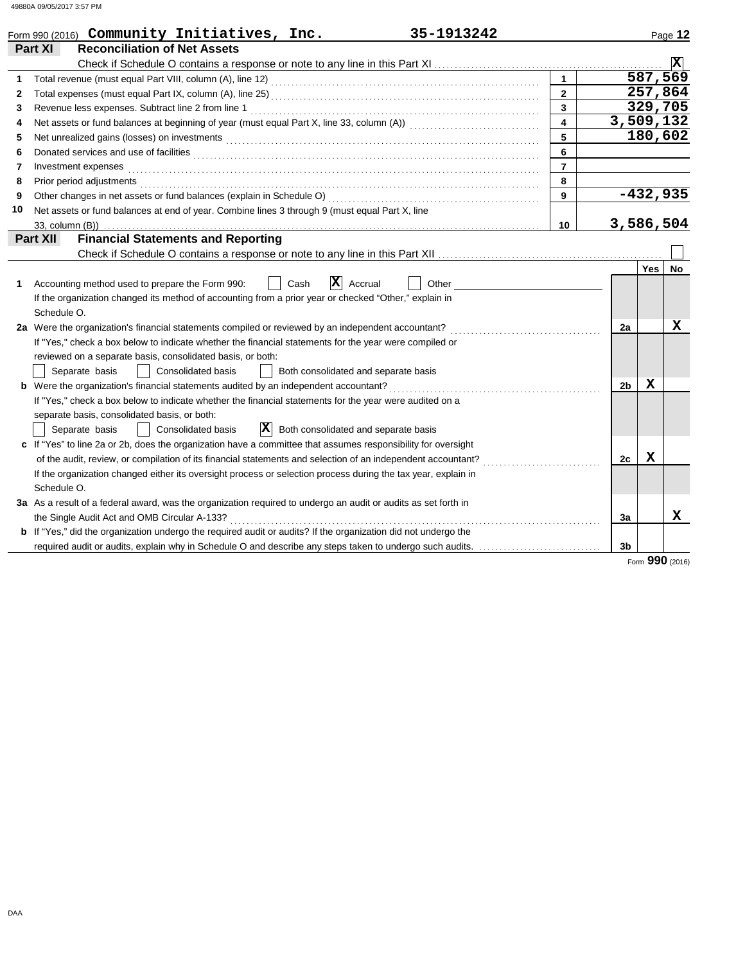|    | 35-1913242<br>Form 990 (2016) Community Initiatives, Inc.                                                                                                                                                                            |                |                |            | Page 12                 |
|----|--------------------------------------------------------------------------------------------------------------------------------------------------------------------------------------------------------------------------------------|----------------|----------------|------------|-------------------------|
|    | Part XI<br><b>Reconciliation of Net Assets</b>                                                                                                                                                                                       |                |                |            |                         |
|    |                                                                                                                                                                                                                                      |                |                |            | $\overline{\mathbf{x}}$ |
| 1  |                                                                                                                                                                                                                                      | $\mathbf{1}$   |                |            | 587,569                 |
| 2  |                                                                                                                                                                                                                                      | $\overline{2}$ |                |            | 257,864                 |
| 3  | Revenue less expenses. Subtract line 2 from line 1                                                                                                                                                                                   | 3              |                |            | 329,705                 |
| 4  |                                                                                                                                                                                                                                      | 4              |                |            | 3,509,132               |
| 5  |                                                                                                                                                                                                                                      | 5              |                |            | 180,602                 |
| 6  | Donated services and use of facilities <b>constant of the constant of the constant of the constant of the constant of the constant of the constant of the constant of the constant of the constant of the constant of the consta</b> | 6              |                |            |                         |
| 7  | Investment expenses                                                                                                                                                                                                                  | $\overline{7}$ |                |            |                         |
| 8  | Prior period adjustments <b>construction and construction</b> and construction of the construction of the construction                                                                                                               | 8              |                |            |                         |
| 9  |                                                                                                                                                                                                                                      | 9              |                |            | $-432,935$              |
| 10 | Net assets or fund balances at end of year. Combine lines 3 through 9 (must equal Part X, line                                                                                                                                       |                |                |            |                         |
|    | 33. column (B))                                                                                                                                                                                                                      | 10             |                |            | 3,586,504               |
|    | <b>Financial Statements and Reporting</b><br><b>Part XII</b>                                                                                                                                                                         |                |                |            |                         |
|    |                                                                                                                                                                                                                                      |                |                |            |                         |
|    |                                                                                                                                                                                                                                      |                |                | <b>Yes</b> | No                      |
| 1  | $ \mathbf{X} $<br>Accrual<br>Accounting method used to prepare the Form 990:<br>Cash<br>Other                                                                                                                                        |                |                |            |                         |
|    | If the organization changed its method of accounting from a prior year or checked "Other," explain in                                                                                                                                |                |                |            |                         |
|    | Schedule O.                                                                                                                                                                                                                          |                |                |            |                         |
|    | 2a Were the organization's financial statements compiled or reviewed by an independent accountant?                                                                                                                                   |                | 2a             |            | x                       |
|    | If "Yes," check a box below to indicate whether the financial statements for the year were compiled or                                                                                                                               |                |                |            |                         |
|    | reviewed on a separate basis, consolidated basis, or both:                                                                                                                                                                           |                |                |            |                         |
|    | <b>Consolidated basis</b><br>Separate basis<br>Both consolidated and separate basis                                                                                                                                                  |                |                |            |                         |
|    | <b>b</b> Were the organization's financial statements audited by an independent accountant?                                                                                                                                          |                | 2 <sub>b</sub> | X          |                         |
|    | If "Yes," check a box below to indicate whether the financial statements for the year were audited on a                                                                                                                              |                |                |            |                         |
|    | separate basis, consolidated basis, or both:                                                                                                                                                                                         |                |                |            |                         |
|    | $ {\bf X} $<br>Consolidated basis<br>Both consolidated and separate basis<br>Separate basis                                                                                                                                          |                |                |            |                         |
|    | c If "Yes" to line 2a or 2b, does the organization have a committee that assumes responsibility for oversight                                                                                                                        |                |                |            |                         |
|    | of the audit, review, or compilation of its financial statements and selection of an independent accountant?                                                                                                                         |                | 2c             | х          |                         |
|    | If the organization changed either its oversight process or selection process during the tax year, explain in                                                                                                                        |                |                |            |                         |
|    | Schedule O.                                                                                                                                                                                                                          |                |                |            |                         |
|    | 3a As a result of a federal award, was the organization required to undergo an audit or audits as set forth in                                                                                                                       |                |                |            |                         |
|    | the Single Audit Act and OMB Circular A-133?                                                                                                                                                                                         |                | За             |            | x                       |
|    | b If "Yes," did the organization undergo the required audit or audits? If the organization did not undergo the                                                                                                                       |                |                |            |                         |
|    | required audit or audits, explain why in Schedule O and describe any steps taken to undergo such audits.                                                                                                                             |                | 3b             |            |                         |
|    |                                                                                                                                                                                                                                      |                |                |            | Form 990 (2016)         |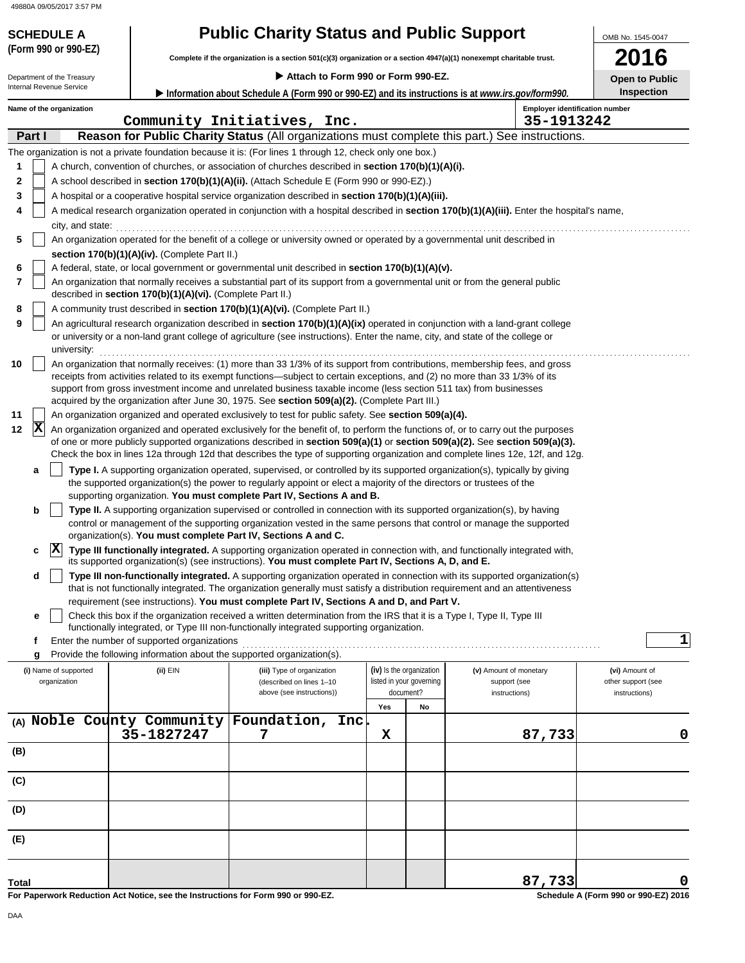**(Form 990 or 990-EZ)**

Internal Revenue Service Department of the Treasury

# **SCHEDULE A Public Charity Status and Public Support**

**Complete if the organization is a section 501(c)(3) organization or a section 4947(a)(1) nonexempt charitable trust.**

 **Attach to Form 990 or Form 990-EZ.**

 **Information about Schedule A (Form 990 or 990-EZ) and its instructions is at** *www.irs.gov/form990.*

OMB No. 1545-0047 **2016 Open to Public**

|  | <b>Inspection</b> |
|--|-------------------|
|--|-------------------|

|              |        | Name of the organization |                                                                       | $\sim$ mormanon about Scriptule A (Form 770 or 770-LZ) and its instructions is at <i>WWW.irs.gov/rominy70.</i><br>Community Initiatives, Inc.                                                                                                                                                                                                                                                                                                                                    |             |                          | <b>Employer identification number</b><br>35-1913242 |                    |
|--------------|--------|--------------------------|-----------------------------------------------------------------------|----------------------------------------------------------------------------------------------------------------------------------------------------------------------------------------------------------------------------------------------------------------------------------------------------------------------------------------------------------------------------------------------------------------------------------------------------------------------------------|-------------|--------------------------|-----------------------------------------------------|--------------------|
|              | Part I |                          |                                                                       | Reason for Public Charity Status (All organizations must complete this part.) See instructions.                                                                                                                                                                                                                                                                                                                                                                                  |             |                          |                                                     |                    |
|              |        |                          |                                                                       | The organization is not a private foundation because it is: (For lines 1 through 12, check only one box.)                                                                                                                                                                                                                                                                                                                                                                        |             |                          |                                                     |                    |
| 1            |        |                          |                                                                       | A church, convention of churches, or association of churches described in <b>section 170(b)(1)(A)(i).</b>                                                                                                                                                                                                                                                                                                                                                                        |             |                          |                                                     |                    |
| 2            |        |                          |                                                                       | A school described in <b>section 170(b)(1)(A)(ii).</b> (Attach Schedule E (Form 990 or 990-EZ).)                                                                                                                                                                                                                                                                                                                                                                                 |             |                          |                                                     |                    |
| 3            |        |                          |                                                                       | A hospital or a cooperative hospital service organization described in section 170(b)(1)(A)(iii).                                                                                                                                                                                                                                                                                                                                                                                |             |                          |                                                     |                    |
| 4            |        |                          |                                                                       | A medical research organization operated in conjunction with a hospital described in section 170(b)(1)(A)(iii). Enter the hospital's name,                                                                                                                                                                                                                                                                                                                                       |             |                          |                                                     |                    |
|              |        | city, and state:         |                                                                       |                                                                                                                                                                                                                                                                                                                                                                                                                                                                                  |             |                          |                                                     |                    |
| 5            |        |                          |                                                                       | An organization operated for the benefit of a college or university owned or operated by a governmental unit described in                                                                                                                                                                                                                                                                                                                                                        |             |                          |                                                     |                    |
|              |        |                          | section 170(b)(1)(A)(iv). (Complete Part II.)                         |                                                                                                                                                                                                                                                                                                                                                                                                                                                                                  |             |                          |                                                     |                    |
| 6            |        |                          |                                                                       | A federal, state, or local government or governmental unit described in section 170(b)(1)(A)(v).                                                                                                                                                                                                                                                                                                                                                                                 |             |                          |                                                     |                    |
| 7            |        |                          | described in section 170(b)(1)(A)(vi). (Complete Part II.)            | An organization that normally receives a substantial part of its support from a governmental unit or from the general public                                                                                                                                                                                                                                                                                                                                                     |             |                          |                                                     |                    |
| 8            |        |                          |                                                                       | A community trust described in section 170(b)(1)(A)(vi). (Complete Part II.)                                                                                                                                                                                                                                                                                                                                                                                                     |             |                          |                                                     |                    |
| 9            |        |                          |                                                                       | An agricultural research organization described in section 170(b)(1)(A)(ix) operated in conjunction with a land-grant college                                                                                                                                                                                                                                                                                                                                                    |             |                          |                                                     |                    |
|              |        | university:              |                                                                       | or university or a non-land grant college of agriculture (see instructions). Enter the name, city, and state of the college or                                                                                                                                                                                                                                                                                                                                                   |             |                          |                                                     |                    |
| 10           |        |                          |                                                                       | An organization that normally receives: (1) more than 33 1/3% of its support from contributions, membership fees, and gross<br>receipts from activities related to its exempt functions—subject to certain exceptions, and (2) no more than 33 1/3% of its<br>support from gross investment income and unrelated business taxable income (less section 511 tax) from businesses<br>acquired by the organization after June 30, 1975. See section 509(a)(2). (Complete Part III.) |             |                          |                                                     |                    |
| 11           |        |                          |                                                                       | An organization organized and operated exclusively to test for public safety. See section 509(a)(4).                                                                                                                                                                                                                                                                                                                                                                             |             |                          |                                                     |                    |
| 12           | X      |                          |                                                                       | An organization organized and operated exclusively for the benefit of, to perform the functions of, or to carry out the purposes                                                                                                                                                                                                                                                                                                                                                 |             |                          |                                                     |                    |
|              |        |                          |                                                                       | of one or more publicly supported organizations described in section 509(a)(1) or section 509(a)(2). See section 509(a)(3).<br>Check the box in lines 12a through 12d that describes the type of supporting organization and complete lines 12e, 12f, and 12g.                                                                                                                                                                                                                   |             |                          |                                                     |                    |
|              | а      |                          |                                                                       | Type I. A supporting organization operated, supervised, or controlled by its supported organization(s), typically by giving<br>the supported organization(s) the power to regularly appoint or elect a majority of the directors or trustees of the                                                                                                                                                                                                                              |             |                          |                                                     |                    |
|              |        |                          |                                                                       | supporting organization. You must complete Part IV, Sections A and B.                                                                                                                                                                                                                                                                                                                                                                                                            |             |                          |                                                     |                    |
|              | b      |                          |                                                                       | Type II. A supporting organization supervised or controlled in connection with its supported organization(s), by having<br>control or management of the supporting organization vested in the same persons that control or manage the supported                                                                                                                                                                                                                                  |             |                          |                                                     |                    |
|              |        |                          | organization(s). You must complete Part IV, Sections A and C.         |                                                                                                                                                                                                                                                                                                                                                                                                                                                                                  |             |                          |                                                     |                    |
|              | c      | $ \mathbf{X} $           |                                                                       | Type III functionally integrated. A supporting organization operated in connection with, and functionally integrated with,<br>its supported organization(s) (see instructions). You must complete Part IV, Sections A, D, and E.                                                                                                                                                                                                                                                 |             |                          |                                                     |                    |
|              | d      |                          |                                                                       | Type III non-functionally integrated. A supporting organization operated in connection with its supported organization(s)                                                                                                                                                                                                                                                                                                                                                        |             |                          |                                                     |                    |
|              |        |                          |                                                                       | that is not functionally integrated. The organization generally must satisfy a distribution requirement and an attentiveness                                                                                                                                                                                                                                                                                                                                                     |             |                          |                                                     |                    |
|              |        |                          |                                                                       | requirement (see instructions). You must complete Part IV, Sections A and D, and Part V.                                                                                                                                                                                                                                                                                                                                                                                         |             |                          |                                                     |                    |
|              | е      |                          |                                                                       | Check this box if the organization received a written determination from the IRS that it is a Type I, Type II, Type III                                                                                                                                                                                                                                                                                                                                                          |             |                          |                                                     |                    |
|              |        |                          | Enter the number of supported organizations                           | functionally integrated, or Type III non-functionally integrated supporting organization.                                                                                                                                                                                                                                                                                                                                                                                        |             |                          |                                                     | $\mathbf{1}$       |
|              | g      |                          | Provide the following information about the supported organization(s) |                                                                                                                                                                                                                                                                                                                                                                                                                                                                                  |             |                          |                                                     |                    |
|              |        | (i) Name of supported    | (ii) EIN                                                              | (iii) Type of organization                                                                                                                                                                                                                                                                                                                                                                                                                                                       |             | (iv) Is the organization | (v) Amount of monetary                              | (vi) Amount of     |
|              |        | organization             |                                                                       | (described on lines 1-10                                                                                                                                                                                                                                                                                                                                                                                                                                                         |             | listed in your governing | support (see                                        | other support (see |
|              |        |                          |                                                                       | above (see instructions))                                                                                                                                                                                                                                                                                                                                                                                                                                                        |             | document?                | instructions)                                       | instructions)      |
|              |        |                          |                                                                       |                                                                                                                                                                                                                                                                                                                                                                                                                                                                                  | Yes         | No                       |                                                     |                    |
|              |        |                          | (A) Noble County Community<br>35-1827247                              | Foundation, Inc.<br>7                                                                                                                                                                                                                                                                                                                                                                                                                                                            | $\mathbf x$ |                          | 87,733                                              | 0                  |
| (B)          |        |                          |                                                                       |                                                                                                                                                                                                                                                                                                                                                                                                                                                                                  |             |                          |                                                     |                    |
| (C)          |        |                          |                                                                       |                                                                                                                                                                                                                                                                                                                                                                                                                                                                                  |             |                          |                                                     |                    |
|              |        |                          |                                                                       |                                                                                                                                                                                                                                                                                                                                                                                                                                                                                  |             |                          |                                                     |                    |
| (D)          |        |                          |                                                                       |                                                                                                                                                                                                                                                                                                                                                                                                                                                                                  |             |                          |                                                     |                    |
| (E)          |        |                          |                                                                       |                                                                                                                                                                                                                                                                                                                                                                                                                                                                                  |             |                          |                                                     |                    |
| <b>Total</b> |        |                          |                                                                       |                                                                                                                                                                                                                                                                                                                                                                                                                                                                                  |             |                          | 87,733                                              | 0                  |

**For Paperwork Reduction Act Notice, see the Instructions for Form 990 or 990-EZ.**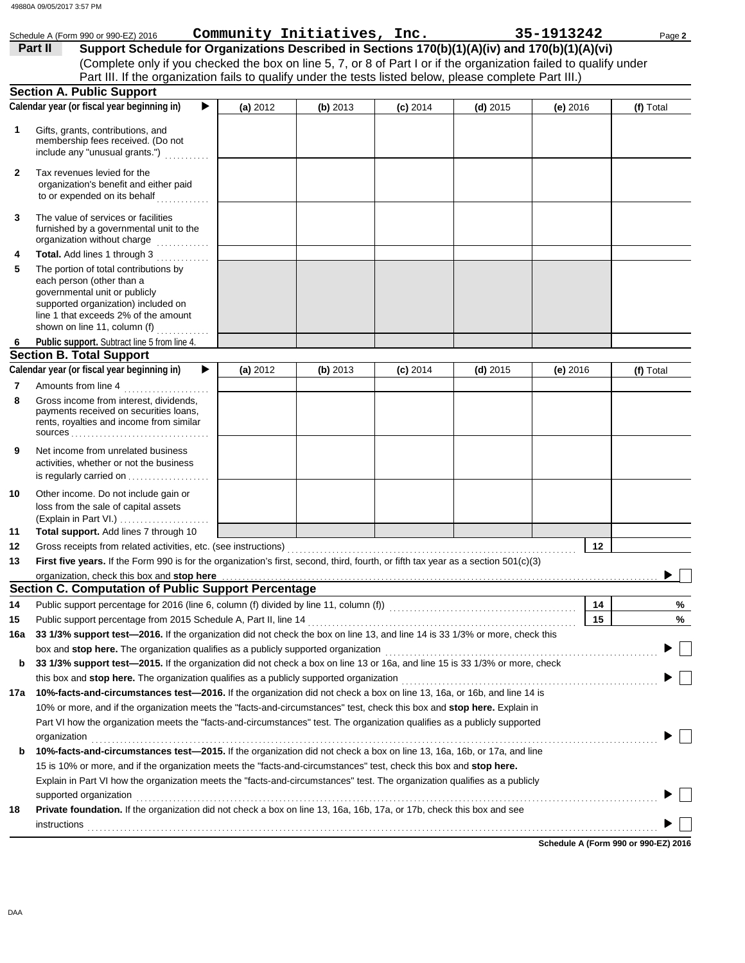|     | Schedule A (Form 990 or 990-EZ) 2016                                                                                                                                                                                                                                                                                                                          | Community Initiatives, Inc. |            |            |            | 35-1913242 |         | Page 2    |
|-----|---------------------------------------------------------------------------------------------------------------------------------------------------------------------------------------------------------------------------------------------------------------------------------------------------------------------------------------------------------------|-----------------------------|------------|------------|------------|------------|---------|-----------|
|     | Support Schedule for Organizations Described in Sections 170(b)(1)(A)(iv) and 170(b)(1)(A)(vi)<br>Part II                                                                                                                                                                                                                                                     |                             |            |            |            |            |         |           |
|     | (Complete only if you checked the box on line 5, 7, or 8 of Part I or if the organization failed to qualify under                                                                                                                                                                                                                                             |                             |            |            |            |            |         |           |
|     | Part III. If the organization fails to qualify under the tests listed below, please complete Part III.)                                                                                                                                                                                                                                                       |                             |            |            |            |            |         |           |
|     | <b>Section A. Public Support</b>                                                                                                                                                                                                                                                                                                                              |                             |            |            |            |            |         |           |
|     | Calendar year (or fiscal year beginning in)<br>▶                                                                                                                                                                                                                                                                                                              | (a) 2012                    | $(b)$ 2013 | $(c)$ 2014 | $(d)$ 2015 | $(e)$ 2016 |         | (f) Total |
| 1   | Gifts, grants, contributions, and<br>membership fees received. (Do not<br>include any "unusual grants.")                                                                                                                                                                                                                                                      |                             |            |            |            |            |         |           |
| 2   | Tax revenues levied for the<br>organization's benefit and either paid<br>to or expended on its behalf<br>an an Bhuais an A                                                                                                                                                                                                                                    |                             |            |            |            |            |         |           |
| 3   | The value of services or facilities<br>furnished by a governmental unit to the<br>organization without charge<br>.                                                                                                                                                                                                                                            |                             |            |            |            |            |         |           |
| 4   | Total. Add lines 1 through 3                                                                                                                                                                                                                                                                                                                                  |                             |            |            |            |            |         |           |
| 5   | The portion of total contributions by<br>each person (other than a<br>governmental unit or publicly<br>supported organization) included on<br>line 1 that exceeds 2% of the amount<br>shown on line 11, column (f)                                                                                                                                            |                             |            |            |            |            |         |           |
| 6   | Public support. Subtract line 5 from line 4.                                                                                                                                                                                                                                                                                                                  |                             |            |            |            |            |         |           |
|     | <b>Section B. Total Support</b>                                                                                                                                                                                                                                                                                                                               |                             |            |            |            |            |         |           |
|     | Calendar year (or fiscal year beginning in)<br>▶                                                                                                                                                                                                                                                                                                              | (a) 2012                    | (b) 2013   | $(c)$ 2014 | $(d)$ 2015 | $(e)$ 2016 |         | (f) Total |
| 7   | Amounts from line 4                                                                                                                                                                                                                                                                                                                                           |                             |            |            |            |            |         |           |
| 8   | Gross income from interest, dividends,<br>payments received on securities loans,<br>rents, royalties and income from similar                                                                                                                                                                                                                                  |                             |            |            |            |            |         |           |
| 9   | Net income from unrelated business<br>activities, whether or not the business<br>is regularly carried on                                                                                                                                                                                                                                                      |                             |            |            |            |            |         |           |
| 10  | Other income. Do not include gain or<br>loss from the sale of capital assets<br>(Explain in Part VI.)                                                                                                                                                                                                                                                         |                             |            |            |            |            |         |           |
| 11  | Total support. Add lines 7 through 10                                                                                                                                                                                                                                                                                                                         |                             |            |            |            |            |         |           |
| 12  |                                                                                                                                                                                                                                                                                                                                                               |                             |            |            |            |            | $12 \,$ |           |
| 13  | First five years. If the Form 990 is for the organization's first, second, third, fourth, or fifth tax year as a section 501(c)(3)                                                                                                                                                                                                                            |                             |            |            |            |            |         |           |
|     |                                                                                                                                                                                                                                                                                                                                                               |                             |            |            |            |            |         |           |
|     | <b>Section C. Computation of Public Support Percentage</b>                                                                                                                                                                                                                                                                                                    |                             |            |            |            |            |         |           |
| 14  | Public support percentage for 2016 (line 6, column (f) divided by line 11, column (f)) [[[[[[[[[[[[[[[[[[[[[[                                                                                                                                                                                                                                                 |                             |            |            |            |            | 14      | %         |
| 15  | Public support percentage from 2015 Schedule A, Part II, line 14<br>33 1/3% support test-2016. If the organization did not check the box on line 13, and line 14 is 33 1/3% or more, check this                                                                                                                                                               |                             |            |            |            |            | 15      | %         |
| 16a |                                                                                                                                                                                                                                                                                                                                                               |                             |            |            |            |            |         |           |
|     | box and stop here. The organization qualifies as a publicly supported organization [11] content content content of the organization [11] content of the organization [11] content of the organization [11] content of the orga<br>33 1/3% support test-2015. If the organization did not check a box on line 13 or 16a, and line 15 is 33 1/3% or more, check |                             |            |            |            |            |         |           |
| b   | this box and stop here. The organization qualifies as a publicly supported organization                                                                                                                                                                                                                                                                       |                             |            |            |            |            |         |           |
| 17a | 10%-facts-and-circumstances test-2016. If the organization did not check a box on line 13, 16a, or 16b, and line 14 is                                                                                                                                                                                                                                        |                             |            |            |            |            |         |           |
|     | 10% or more, and if the organization meets the "facts-and-circumstances" test, check this box and stop here. Explain in                                                                                                                                                                                                                                       |                             |            |            |            |            |         |           |
|     | Part VI how the organization meets the "facts-and-circumstances" test. The organization qualifies as a publicly supported                                                                                                                                                                                                                                     |                             |            |            |            |            |         |           |
|     | organization                                                                                                                                                                                                                                                                                                                                                  |                             |            |            |            |            |         |           |
| b   | 10%-facts-and-circumstances test-2015. If the organization did not check a box on line 13, 16a, 16b, or 17a, and line                                                                                                                                                                                                                                         |                             |            |            |            |            |         |           |
|     | 15 is 10% or more, and if the organization meets the "facts-and-circumstances" test, check this box and stop here.                                                                                                                                                                                                                                            |                             |            |            |            |            |         |           |
|     | Explain in Part VI how the organization meets the "facts-and-circumstances" test. The organization qualifies as a publicly                                                                                                                                                                                                                                    |                             |            |            |            |            |         |           |
|     | supported organization                                                                                                                                                                                                                                                                                                                                        |                             |            |            |            |            |         |           |
| 18  | Private foundation. If the organization did not check a box on line 13, 16a, 16b, 17a, or 17b, check this box and see                                                                                                                                                                                                                                         |                             |            |            |            |            |         |           |
|     |                                                                                                                                                                                                                                                                                                                                                               |                             |            |            |            |            |         |           |

**Schedule A (Form 990 or 990-EZ) 2016**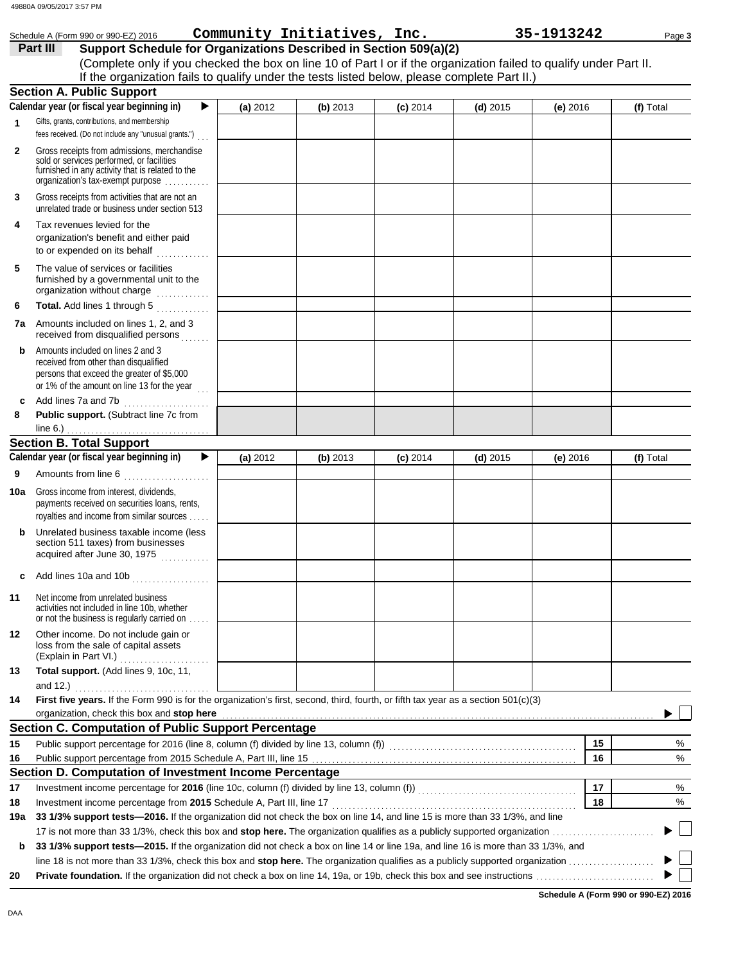|              | Schedule A (Form 990 or 990-EZ) 2016                                                                                                                                                                                           |          | Community Initiatives, Inc. |            |            | 35-1913242 | Page 3    |
|--------------|--------------------------------------------------------------------------------------------------------------------------------------------------------------------------------------------------------------------------------|----------|-----------------------------|------------|------------|------------|-----------|
|              | Support Schedule for Organizations Described in Section 509(a)(2)<br>Part III                                                                                                                                                  |          |                             |            |            |            |           |
|              | (Complete only if you checked the box on line 10 of Part I or if the organization failed to qualify under Part II.                                                                                                             |          |                             |            |            |            |           |
|              | If the organization fails to qualify under the tests listed below, please complete Part II.)                                                                                                                                   |          |                             |            |            |            |           |
|              | <b>Section A. Public Support</b>                                                                                                                                                                                               |          |                             |            |            |            |           |
|              | Calendar year (or fiscal year beginning in)<br>▶                                                                                                                                                                               | (a) 2012 | $(b)$ 2013                  | $(c)$ 2014 | $(d)$ 2015 | $(e)$ 2016 | (f) Total |
| $\mathbf{1}$ | Gifts, grants, contributions, and membership                                                                                                                                                                                   |          |                             |            |            |            |           |
|              | fees received. (Do not include any "unusual grants.")                                                                                                                                                                          |          |                             |            |            |            |           |
| $\mathbf{2}$ | Gross receipts from admissions, merchandise                                                                                                                                                                                    |          |                             |            |            |            |           |
|              | sold or services performed, or facilities<br>furnished in any activity that is related to the                                                                                                                                  |          |                             |            |            |            |           |
|              | organization's tax-exempt purpose                                                                                                                                                                                              |          |                             |            |            |            |           |
| 3            | Gross receipts from activities that are not an                                                                                                                                                                                 |          |                             |            |            |            |           |
|              | unrelated trade or business under section 513                                                                                                                                                                                  |          |                             |            |            |            |           |
| 4            | Tax revenues levied for the                                                                                                                                                                                                    |          |                             |            |            |            |           |
|              | organization's benefit and either paid                                                                                                                                                                                         |          |                             |            |            |            |           |
|              | to or expended on its behalf                                                                                                                                                                                                   |          |                             |            |            |            |           |
| 5            | The value of services or facilities                                                                                                                                                                                            |          |                             |            |            |            |           |
|              | furnished by a governmental unit to the                                                                                                                                                                                        |          |                             |            |            |            |           |
|              |                                                                                                                                                                                                                                |          |                             |            |            |            |           |
| 6            | Total. Add lines 1 through 5                                                                                                                                                                                                   |          |                             |            |            |            |           |
| 7a           | Amounts included on lines 1, 2, and 3<br>received from disqualified persons                                                                                                                                                    |          |                             |            |            |            |           |
| b            | Amounts included on lines 2 and 3                                                                                                                                                                                              |          |                             |            |            |            |           |
|              | received from other than disqualified                                                                                                                                                                                          |          |                             |            |            |            |           |
|              | persons that exceed the greater of \$5,000<br>or 1% of the amount on line 13 for the year $\frac{1}{100}$                                                                                                                      |          |                             |            |            |            |           |
| c            | Add lines 7a and 7b                                                                                                                                                                                                            |          |                             |            |            |            |           |
| 8            | Public support. (Subtract line 7c from                                                                                                                                                                                         |          |                             |            |            |            |           |
|              |                                                                                                                                                                                                                                |          |                             |            |            |            |           |
|              | Section B. Total Support                                                                                                                                                                                                       |          |                             |            |            |            |           |
|              | Calendar year (or fiscal year beginning in)<br>▶                                                                                                                                                                               | (a) 2012 | (b) 2013                    | $(c)$ 2014 | $(d)$ 2015 | (e) 2016   | (f) Total |
| 9            | Amounts from line 6                                                                                                                                                                                                            |          |                             |            |            |            |           |
|              |                                                                                                                                                                                                                                |          |                             |            |            |            |           |
| 10a          | Gross income from interest, dividends,<br>payments received on securities loans, rents,                                                                                                                                        |          |                             |            |            |            |           |
|              | royalties and income from similar sources                                                                                                                                                                                      |          |                             |            |            |            |           |
| b            | Unrelated business taxable income (less                                                                                                                                                                                        |          |                             |            |            |            |           |
|              | section 511 taxes) from businesses                                                                                                                                                                                             |          |                             |            |            |            |           |
|              | acquired after June 30, 1975                                                                                                                                                                                                   |          |                             |            |            |            |           |
| c            | Add lines 10a and 10b                                                                                                                                                                                                          |          |                             |            |            |            |           |
| 11           | Net income from unrelated business                                                                                                                                                                                             |          |                             |            |            |            |           |
|              | activities not included in line 10b, whether                                                                                                                                                                                   |          |                             |            |            |            |           |
|              | or not the business is regularly carried on                                                                                                                                                                                    |          |                             |            |            |            |           |
| 12           | Other income. Do not include gain or<br>loss from the sale of capital assets                                                                                                                                                   |          |                             |            |            |            |           |
|              | (Explain in Part VI.)                                                                                                                                                                                                          |          |                             |            |            |            |           |
| 13           | Total support. (Add lines 9, 10c, 11,                                                                                                                                                                                          |          |                             |            |            |            |           |
|              |                                                                                                                                                                                                                                |          |                             |            |            |            |           |
| 14           | First five years. If the Form 990 is for the organization's first, second, third, fourth, or fifth tax year as a section 501(c)(3)                                                                                             |          |                             |            |            |            |           |
|              | organization, check this box and stop here expression and contact the contact of the contact of the contact of the contact of the contact of the contact of the contact of the contact of the contact of the contact of the co |          |                             |            |            |            |           |
|              | <b>Section C. Computation of Public Support Percentage</b>                                                                                                                                                                     |          |                             |            |            |            |           |
| 15           |                                                                                                                                                                                                                                |          |                             |            |            | 15         | %         |
| 16           |                                                                                                                                                                                                                                |          |                             |            |            | 16         | %         |
|              | Section D. Computation of Investment Income Percentage                                                                                                                                                                         |          |                             |            |            |            |           |
| 17           |                                                                                                                                                                                                                                |          |                             |            |            | 17         | %         |
| 18           | Investment income percentage from 2015 Schedule A, Part III, line 17                                                                                                                                                           |          |                             |            |            | 18         | %         |
| 19a          | 33 1/3% support tests-2016. If the organization did not check the box on line 14, and line 15 is more than 33 1/3%, and line                                                                                                   |          |                             |            |            |            |           |
|              |                                                                                                                                                                                                                                |          |                             |            |            |            |           |
| b            | 33 1/3% support tests-2015. If the organization did not check a box on line 14 or line 19a, and line 16 is more than 33 1/3%, and                                                                                              |          |                             |            |            |            |           |
|              |                                                                                                                                                                                                                                |          |                             |            |            |            |           |
| 20           |                                                                                                                                                                                                                                |          |                             |            |            |            |           |

**Schedule A (Form 990 or 990-EZ) 2016**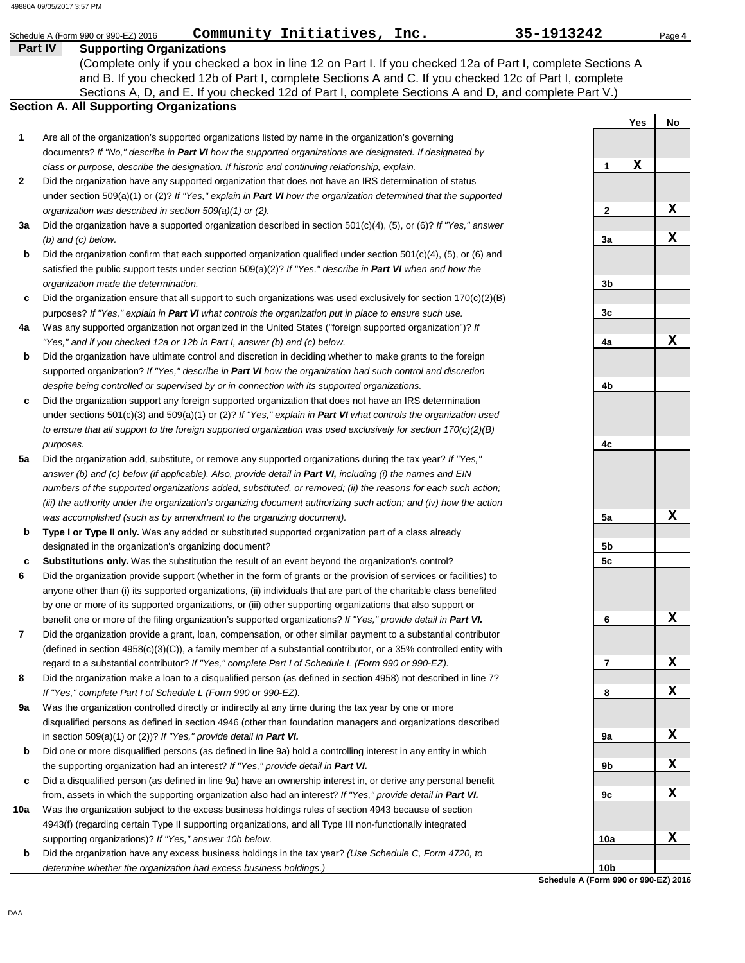**X**

|                | Community Initiatives, Inc.<br>Schedule A (Form 990 or 990-EZ) 2016                                                                                                                                                                | 35-1913242   |     | Page 4 |
|----------------|------------------------------------------------------------------------------------------------------------------------------------------------------------------------------------------------------------------------------------|--------------|-----|--------|
| <b>Part IV</b> | <b>Supporting Organizations</b>                                                                                                                                                                                                    |              |     |        |
|                | (Complete only if you checked a box in line 12 on Part I. If you checked 12a of Part I, complete Sections A                                                                                                                        |              |     |        |
|                | and B. If you checked 12b of Part I, complete Sections A and C. If you checked 12c of Part I, complete                                                                                                                             |              |     |        |
|                | Sections A, D, and E. If you checked 12d of Part I, complete Sections A and D, and complete Part V.)<br><b>Section A. All Supporting Organizations</b>                                                                             |              |     |        |
|                |                                                                                                                                                                                                                                    |              |     |        |
| 1              | Are all of the organization's supported organizations listed by name in the organization's governing                                                                                                                               |              | Yes | No     |
|                | documents? If "No," describe in Part VI how the supported organizations are designated. If designated by                                                                                                                           |              |     |        |
|                | class or purpose, describe the designation. If historic and continuing relationship, explain.                                                                                                                                      | 1            | х   |        |
| 2              | Did the organization have any supported organization that does not have an IRS determination of status                                                                                                                             |              |     |        |
|                | under section 509(a)(1) or (2)? If "Yes," explain in <b>Part VI</b> how the organization determined that the supported                                                                                                             |              |     |        |
|                | organization was described in section 509(a)(1) or (2).                                                                                                                                                                            | $\mathbf{2}$ |     | Х      |
| За             | Did the organization have a supported organization described in section 501(c)(4), (5), or (6)? If "Yes," answer                                                                                                                   |              |     |        |
|                | $(b)$ and $(c)$ below.                                                                                                                                                                                                             | 3a           |     | х      |
| b              | Did the organization confirm that each supported organization qualified under section $501(c)(4)$ , $(5)$ , or $(6)$ and                                                                                                           |              |     |        |
|                | satisfied the public support tests under section $509(a)(2)$ ? If "Yes," describe in Part VI when and how the                                                                                                                      |              |     |        |
|                | organization made the determination.                                                                                                                                                                                               | 3b           |     |        |
| c              | Did the organization ensure that all support to such organizations was used exclusively for section $170(c)(2)(B)$                                                                                                                 |              |     |        |
|                | purposes? If "Yes," explain in Part VI what controls the organization put in place to ensure such use.                                                                                                                             | 3c           |     |        |
| 4a             | Was any supported organization not organized in the United States ("foreign supported organization")? If                                                                                                                           |              |     |        |
|                | "Yes," and if you checked 12a or 12b in Part I, answer (b) and (c) below.                                                                                                                                                          | 4a           |     | х      |
| b              | Did the organization have ultimate control and discretion in deciding whether to make grants to the foreign                                                                                                                        |              |     |        |
|                | supported organization? If "Yes," describe in Part VI how the organization had such control and discretion                                                                                                                         |              |     |        |
|                | despite being controlled or supervised by or in connection with its supported organizations.                                                                                                                                       | 4b           |     |        |
| c              | Did the organization support any foreign supported organization that does not have an IRS determination                                                                                                                            |              |     |        |
|                | under sections 501(c)(3) and 509(a)(1) or (2)? If "Yes," explain in Part VI what controls the organization used                                                                                                                    |              |     |        |
|                | to ensure that all support to the foreign supported organization was used exclusively for section $170(c)(2)(B)$                                                                                                                   |              |     |        |
|                | purposes.                                                                                                                                                                                                                          | 4c           |     |        |
| 5a             | Did the organization add, substitute, or remove any supported organizations during the tax year? If "Yes,"                                                                                                                         |              |     |        |
|                | answer (b) and (c) below (if applicable). Also, provide detail in Part VI, including (i) the names and EIN                                                                                                                         |              |     |        |
|                | numbers of the supported organizations added, substituted, or removed; (ii) the reasons for each such action;<br>(iii) the authority under the organization's organizing document authorizing such action; and (iv) how the action |              |     |        |
|                | was accomplished (such as by amendment to the organizing document).                                                                                                                                                                | 5a           |     | X      |
| b              | Type I or Type II only. Was any added or substituted supported organization part of a class already                                                                                                                                |              |     |        |
|                | designated in the organization's organizing document?                                                                                                                                                                              | 5b           |     |        |
| c              | Substitutions only. Was the substitution the result of an event beyond the organization's control?                                                                                                                                 | 5c           |     |        |
| 6              | Did the organization provide support (whether in the form of grants or the provision of services or facilities) to                                                                                                                 |              |     |        |
|                | anyone other than (i) its supported organizations, (ii) individuals that are part of the charitable class benefited                                                                                                                |              |     |        |
|                | by one or more of its supported organizations, or (iii) other supporting organizations that also support or                                                                                                                        |              |     |        |
|                | benefit one or more of the filing organization's supported organizations? If "Yes," provide detail in Part VI.                                                                                                                     | 6            |     | X      |
| 7              | Did the organization provide a grant, loan, compensation, or other similar payment to a substantial contributor                                                                                                                    |              |     |        |
|                | (defined in section 4958 $(c)(3)(C)$ ), a family member of a substantial contributor, or a 35% controlled entity with                                                                                                              |              |     |        |
|                | regard to a substantial contributor? If "Yes," complete Part I of Schedule L (Form 990 or 990-EZ).                                                                                                                                 | 7            |     | X      |
| 8              | Did the organization make a loan to a disqualified person (as defined in section 4958) not described in line 7?                                                                                                                    |              |     |        |
|                | If "Yes," complete Part I of Schedule L (Form 990 or 990-EZ).                                                                                                                                                                      | 8            |     | X      |
| 9a             | Was the organization controlled directly or indirectly at any time during the tax year by one or more                                                                                                                              |              |     |        |
|                | disqualified persons as defined in section 4946 (other than foundation managers and organizations described                                                                                                                        |              |     |        |
|                | in section 509(a)(1) or (2))? If "Yes," provide detail in Part VI.                                                                                                                                                                 | 9а           |     | X      |
| b              | Did one or more disqualified persons (as defined in line 9a) hold a controlling interest in any entity in which                                                                                                                    |              |     |        |
|                | the supporting organization had an interest? If "Yes," provide detail in Part VI.                                                                                                                                                  | 9b           |     | X      |
|                |                                                                                                                                                                                                                                    |              |     |        |
| c              | Did a disqualified person (as defined in line 9a) have an ownership interest in, or derive any personal benefit                                                                                                                    |              |     |        |
| 10a            | from, assets in which the supporting organization also had an interest? If "Yes," provide detail in Part VI.<br>Was the organization subject to the excess business holdings rules of section 4943 because of section              | 9с           |     | X      |

**b** supporting organizations)? *If "Yes," answer 10b below.* Did the organization have any excess business holdings in the tax year? *(Use Schedule C, Form 4720, to determine whether the organization had excess business holdings.)*

**Schedule A (Form 990 or 990-EZ) 2016 10b**

**10a**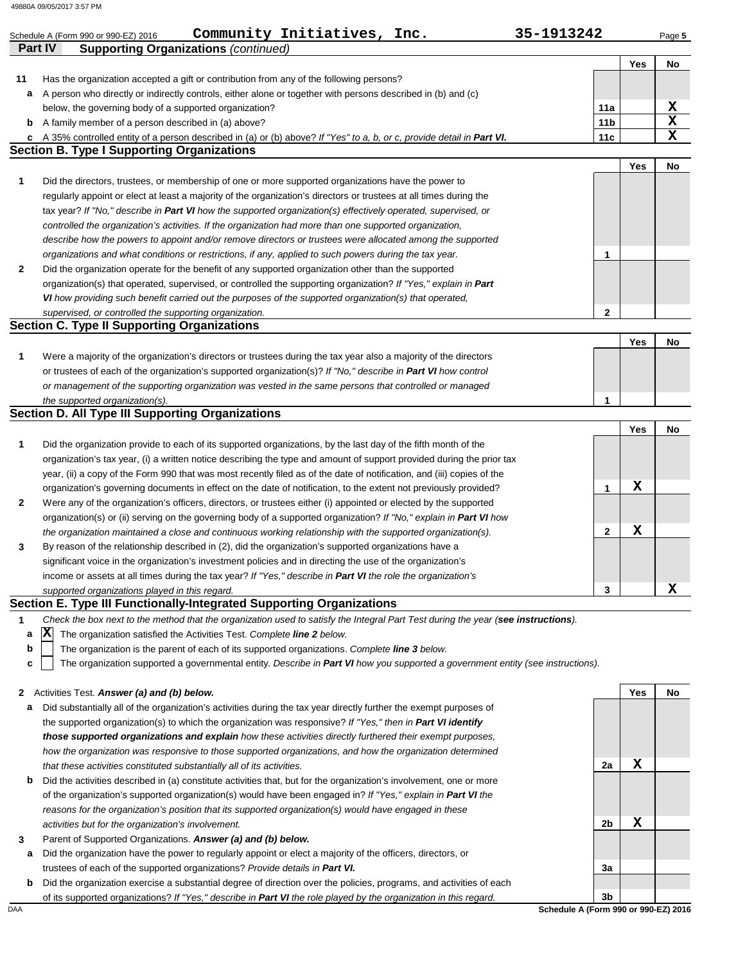| Part IV      | Community Initiatives, Inc.<br>Schedule A (Form 990 or 990-EZ) 2016<br><b>Supporting Organizations (continued)</b>                                                           | 35-1913242      |     | Page 5      |
|--------------|------------------------------------------------------------------------------------------------------------------------------------------------------------------------------|-----------------|-----|-------------|
|              |                                                                                                                                                                              |                 | Yes | No          |
| 11           | Has the organization accepted a gift or contribution from any of the following persons?                                                                                      |                 |     |             |
| a            | A person who directly or indirectly controls, either alone or together with persons described in (b) and (c)                                                                 |                 |     |             |
|              | below, the governing body of a supported organization?                                                                                                                       | 11a             |     | X           |
|              | <b>b</b> A family member of a person described in (a) above?                                                                                                                 | 11 <sub>b</sub> |     | X           |
|              | c A 35% controlled entity of a person described in (a) or (b) above? If "Yes" to a, b, or c, provide detail in Part VI.<br><b>Section B. Type I Supporting Organizations</b> | 11c             |     | $\mathbf x$ |
|              |                                                                                                                                                                              |                 | Yes | No          |
| 1            | Did the directors, trustees, or membership of one or more supported organizations have the power to                                                                          |                 |     |             |
|              | regularly appoint or elect at least a majority of the organization's directors or trustees at all times during the                                                           |                 |     |             |
|              | tax year? If "No," describe in Part VI how the supported organization(s) effectively operated, supervised, or                                                                |                 |     |             |
|              | controlled the organization's activities. If the organization had more than one supported organization,                                                                      |                 |     |             |
|              | describe how the powers to appoint and/or remove directors or trustees were allocated among the supported                                                                    |                 |     |             |
|              | organizations and what conditions or restrictions, if any, applied to such powers during the tax year.                                                                       | 1               |     |             |
| 2            | Did the organization operate for the benefit of any supported organization other than the supported                                                                          |                 |     |             |
|              | organization(s) that operated, supervised, or controlled the supporting organization? If "Yes," explain in Part                                                              |                 |     |             |
|              | VI how providing such benefit carried out the purposes of the supported organization(s) that operated,                                                                       |                 |     |             |
|              | supervised, or controlled the supporting organization.                                                                                                                       | 2               |     |             |
|              | <b>Section C. Type II Supporting Organizations</b>                                                                                                                           |                 |     |             |
| 1            | Were a majority of the organization's directors or trustees during the tax year also a majority of the directors                                                             |                 | Yes | No          |
|              | or trustees of each of the organization's supported organization(s)? If "No," describe in Part VI how control                                                                |                 |     |             |
|              | or management of the supporting organization was vested in the same persons that controlled or managed                                                                       |                 |     |             |
|              | the supported organization(s).                                                                                                                                               | 1               |     |             |
|              | <b>Section D. All Type III Supporting Organizations</b>                                                                                                                      |                 |     |             |
|              |                                                                                                                                                                              |                 | Yes | No          |
| 1            | Did the organization provide to each of its supported organizations, by the last day of the fifth month of the                                                               |                 |     |             |
|              | organization's tax year, (i) a written notice describing the type and amount of support provided during the prior tax                                                        |                 |     |             |
|              | year, (ii) a copy of the Form 990 that was most recently filed as of the date of notification, and (iii) copies of the                                                       |                 |     |             |
|              | organization's governing documents in effect on the date of notification, to the extent not previously provided?                                                             | 1               | x   |             |
| $\mathbf{2}$ | Were any of the organization's officers, directors, or trustees either (i) appointed or elected by the supported                                                             |                 |     |             |
|              | organization(s) or (ii) serving on the governing body of a supported organization? If "No," explain in Part VI how                                                           |                 |     |             |
|              | the organization maintained a close and continuous working relationship with the supported organization(s).                                                                  | 2               | х   |             |
| 3            | By reason of the relationship described in (2), did the organization's supported organizations have a                                                                        |                 |     |             |
|              | significant voice in the organization's investment policies and in directing the use of the organization's                                                                   |                 |     |             |
|              | income or assets at all times during the tax year? If "Yes," describe in Part VI the role the organization's                                                                 |                 |     |             |
|              | supported organizations played in this regard.                                                                                                                               | 3               |     | x           |
|              | Section E. Type III Functionally-Integrated Supporting Organizations                                                                                                         |                 |     |             |
| 1            | Check the box next to the method that the organization used to satisfy the Integral Part Test during the year (see instructions).                                            |                 |     |             |
| a            | X<br>The organization satisfied the Activities Test. Complete line 2 below.                                                                                                  |                 |     |             |
| b            | The organization is the parent of each of its supported organizations. Complete line 3 below.                                                                                |                 |     |             |
| c            | The organization supported a governmental entity. Describe in Part VI how you supported a government entity (see instructions).                                              |                 |     |             |
| $\mathbf{z}$ | Activities Test. Answer (a) and (b) below.                                                                                                                                   |                 | Yes | <b>No</b>   |
| a            | Did substantially all of the organization's activities during the tax year directly further the exempt purposes of                                                           |                 |     |             |
|              | the supported organization(s) to which the organization was responsive? If "Yes," then in Part VI identify                                                                   |                 |     |             |
|              | those supported organizations and explain how these activities directly furthered their exempt purposes,                                                                     |                 |     |             |
|              | how the organization was responsive to those supported organizations, and how the organization determined                                                                    |                 |     |             |
|              | that these activities constituted substantially all of its activities.                                                                                                       | 2a              | х   |             |
| b            | Did the activities described in (a) constitute activities that, but for the organization's involvement, one or more                                                          |                 |     |             |
|              | of the organization's supported organization(s) would have been engaged in? If "Yes," explain in Part VI the                                                                 |                 |     |             |
|              | reasons for the organization's position that its supported organization(s) would have engaged in these                                                                       |                 |     |             |
|              | activities but for the organization's involvement.                                                                                                                           | 2b              | x   |             |
| 3            | Parent of Supported Organizations. Answer (a) and (b) below.                                                                                                                 |                 |     |             |
| а            | Did the organization have the power to regularly appoint or elect a majority of the officers, directors, or                                                                  |                 |     |             |
|              | trustees of each of the supported organizations? Provide details in Part VI.                                                                                                 | За              |     |             |
| b            | Did the organization exercise a substantial degree of direction over the policies, programs, and activities of each                                                          |                 |     |             |

of its supported organizations? *If "Yes," describe in Part VI the role played by the organization in this regard.*

DAA **Schedule A (Form 990 or 990-EZ) 2016 3b**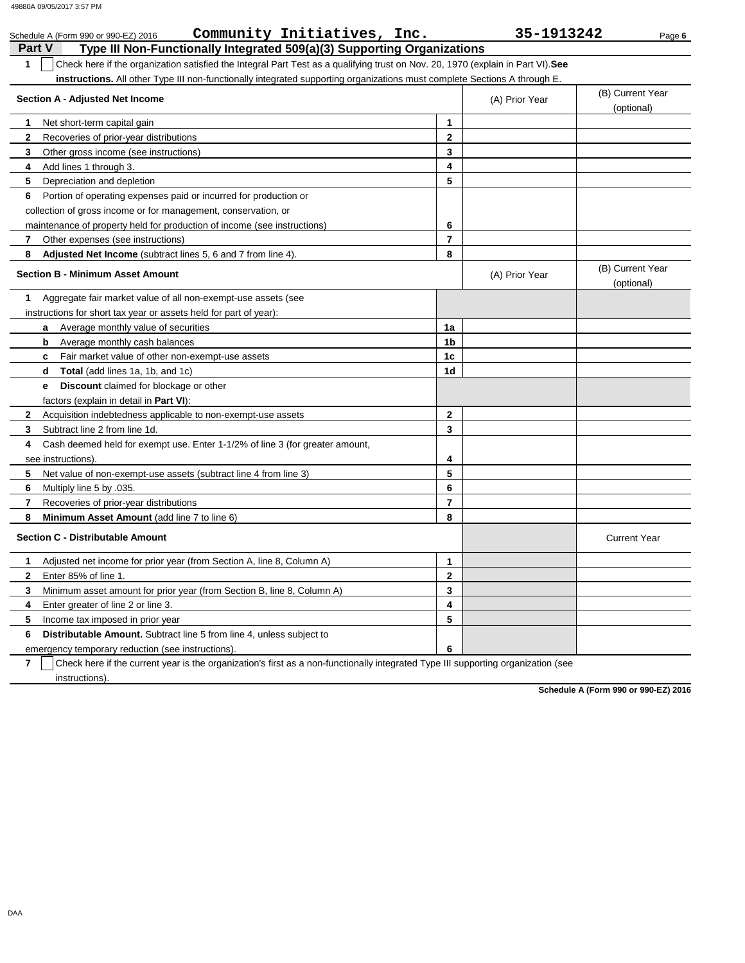| Community Initiatives, Inc.<br>Schedule A (Form 990 or 990-EZ) 2016                                                                                                        |                | 35-1913242     | Page 6                         |
|----------------------------------------------------------------------------------------------------------------------------------------------------------------------------|----------------|----------------|--------------------------------|
| <b>Part V</b><br>Type III Non-Functionally Integrated 509(a)(3) Supporting Organizations                                                                                   |                |                |                                |
| Check here if the organization satisfied the Integral Part Test as a qualifying trust on Nov. 20, 1970 (explain in Part VI). See<br>$\mathbf 1$                            |                |                |                                |
| <b>instructions.</b> All other Type III non-functionally integrated supporting organizations must complete Sections A through E.<br><b>Section A - Adjusted Net Income</b> |                | (A) Prior Year | (B) Current Year<br>(optional) |
| Net short-term capital gain<br>1                                                                                                                                           | 1              |                |                                |
| 2<br>Recoveries of prior-year distributions                                                                                                                                | $\mathbf{2}$   |                |                                |
| 3<br>Other gross income (see instructions)                                                                                                                                 | 3              |                |                                |
| 4<br>Add lines 1 through 3.                                                                                                                                                | 4              |                |                                |
| 5<br>Depreciation and depletion                                                                                                                                            | 5              |                |                                |
| 6<br>Portion of operating expenses paid or incurred for production or                                                                                                      |                |                |                                |
| collection of gross income or for management, conservation, or                                                                                                             |                |                |                                |
| maintenance of property held for production of income (see instructions)                                                                                                   | 6              |                |                                |
| $\mathbf{7}$<br>Other expenses (see instructions)                                                                                                                          | $\overline{7}$ |                |                                |
| 8<br><b>Adjusted Net Income</b> (subtract lines 5, 6 and 7 from line 4).                                                                                                   | 8              |                |                                |
| <b>Section B - Minimum Asset Amount</b>                                                                                                                                    |                | (A) Prior Year | (B) Current Year<br>(optional) |
| Aggregate fair market value of all non-exempt-use assets (see<br>1                                                                                                         |                |                |                                |
| instructions for short tax year or assets held for part of year):                                                                                                          |                |                |                                |
| Average monthly value of securities<br>a                                                                                                                                   | 1a             |                |                                |
| Average monthly cash balances<br>b                                                                                                                                         | 1b             |                |                                |
| Fair market value of other non-exempt-use assets<br>c                                                                                                                      | 1c             |                |                                |
| <b>Total</b> (add lines 1a, 1b, and 1c)<br>d                                                                                                                               | 1d             |                |                                |
| <b>Discount</b> claimed for blockage or other<br>е                                                                                                                         |                |                |                                |
| factors (explain in detail in <b>Part VI)</b> :                                                                                                                            |                |                |                                |
| Acquisition indebtedness applicable to non-exempt-use assets<br>2                                                                                                          | 2              |                |                                |
| Subtract line 2 from line 1d.<br>3                                                                                                                                         | 3              |                |                                |
| Cash deemed held for exempt use. Enter 1-1/2% of line 3 (for greater amount,<br>4                                                                                          |                |                |                                |
| see instructions).                                                                                                                                                         | 4              |                |                                |
| 5<br>Net value of non-exempt-use assets (subtract line 4 from line 3)                                                                                                      | 5              |                |                                |
| 6<br>Multiply line 5 by .035.                                                                                                                                              | 6              |                |                                |
| 7<br>Recoveries of prior-year distributions                                                                                                                                | $\overline{7}$ |                |                                |
| 8<br>Minimum Asset Amount (add line 7 to line 6)                                                                                                                           | 8              |                |                                |
| <b>Section C - Distributable Amount</b>                                                                                                                                    |                |                | <b>Current Year</b>            |
| Adjusted net income for prior year (from Section A, line 8, Column A)                                                                                                      | 1              |                |                                |
| $\mathbf{2}$<br>Enter 85% of line 1.                                                                                                                                       | 2              |                |                                |
| 3<br>Minimum asset amount for prior year (from Section B, line 8, Column A)                                                                                                | 3              |                |                                |
| Enter greater of line 2 or line 3.<br>4                                                                                                                                    | 4              |                |                                |
| 5<br>Income tax imposed in prior year                                                                                                                                      | 5              |                |                                |
| Distributable Amount. Subtract line 5 from line 4, unless subject to<br>6                                                                                                  |                |                |                                |
| emergency temporary reduction (see instructions).                                                                                                                          | 6              |                |                                |
| $\overline{7}$<br>Check here if the current year is the organization's first as a non-functionally integrated Type III supporting organization (see                        |                |                |                                |

**Schedule A (Form 990 or 990-EZ) 2016**

 $^-$  instructions).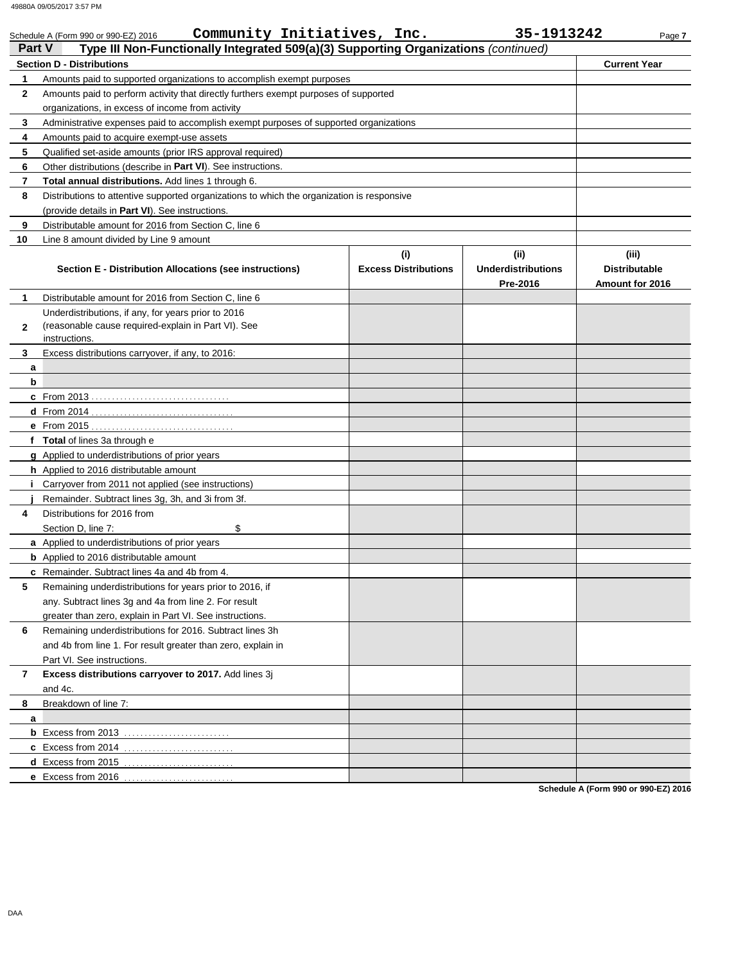|               | Community Initiatives, Inc.<br>Schedule A (Form 990 or 990-EZ) 2016                                               |                             | 35-1913242                | Page 7                                      |
|---------------|-------------------------------------------------------------------------------------------------------------------|-----------------------------|---------------------------|---------------------------------------------|
| <b>Part V</b> | Type III Non-Functionally Integrated 509(a)(3) Supporting Organizations (continued)                               |                             |                           |                                             |
|               | <b>Section D - Distributions</b>                                                                                  |                             |                           | <b>Current Year</b>                         |
| 1             | Amounts paid to supported organizations to accomplish exempt purposes                                             |                             |                           |                                             |
| $\mathbf{2}$  | Amounts paid to perform activity that directly furthers exempt purposes of supported                              |                             |                           |                                             |
|               | organizations, in excess of income from activity                                                                  |                             |                           |                                             |
| 3             | Administrative expenses paid to accomplish exempt purposes of supported organizations                             |                             |                           |                                             |
| 4             | Amounts paid to acquire exempt-use assets                                                                         |                             |                           |                                             |
| 5             | Qualified set-aside amounts (prior IRS approval required)                                                         |                             |                           |                                             |
| 6             | Other distributions (describe in <b>Part VI</b> ). See instructions.                                              |                             |                           |                                             |
| 7             | <b>Total annual distributions.</b> Add lines 1 through 6.                                                         |                             |                           |                                             |
| 8             | Distributions to attentive supported organizations to which the organization is responsive                        |                             |                           |                                             |
|               | (provide details in Part VI). See instructions.                                                                   |                             |                           |                                             |
| 9             | Distributable amount for 2016 from Section C, line 6                                                              |                             |                           |                                             |
| 10            | Line 8 amount divided by Line 9 amount                                                                            |                             |                           |                                             |
|               |                                                                                                                   | (i)                         | (ii)                      | (iii)                                       |
|               | Section E - Distribution Allocations (see instructions)                                                           | <b>Excess Distributions</b> | <b>Underdistributions</b> | <b>Distributable</b>                        |
|               |                                                                                                                   |                             | Pre-2016                  | Amount for 2016                             |
| 1             | Distributable amount for 2016 from Section C, line 6                                                              |                             |                           |                                             |
|               | Underdistributions, if any, for years prior to 2016                                                               |                             |                           |                                             |
| 2             | (reasonable cause required-explain in Part VI). See                                                               |                             |                           |                                             |
|               | instructions.                                                                                                     |                             |                           |                                             |
| 3             | Excess distributions carryover, if any, to 2016:                                                                  |                             |                           |                                             |
| a             |                                                                                                                   |                             |                           |                                             |
| b             |                                                                                                                   |                             |                           |                                             |
|               |                                                                                                                   |                             |                           |                                             |
|               |                                                                                                                   |                             |                           |                                             |
|               |                                                                                                                   |                             |                           |                                             |
|               | f Total of lines 3a through e                                                                                     |                             |                           |                                             |
|               | <b>g</b> Applied to underdistributions of prior years                                                             |                             |                           |                                             |
|               | h Applied to 2016 distributable amount                                                                            |                             |                           |                                             |
|               | Carryover from 2011 not applied (see instructions)                                                                |                             |                           |                                             |
|               | Remainder. Subtract lines 3q, 3h, and 3i from 3f.                                                                 |                             |                           |                                             |
| 4             | Distributions for 2016 from                                                                                       |                             |                           |                                             |
|               | Section D, line 7:<br>\$                                                                                          |                             |                           |                                             |
|               | <b>a</b> Applied to underdistributions of prior years                                                             |                             |                           |                                             |
|               | <b>b</b> Applied to 2016 distributable amount                                                                     |                             |                           |                                             |
|               | <b>c</b> Remainder. Subtract lines 4a and 4b from 4                                                               |                             |                           |                                             |
| 5             | Remaining underdistributions for years prior to 2016, if<br>any. Subtract lines 3g and 4a from line 2. For result |                             |                           |                                             |
|               |                                                                                                                   |                             |                           |                                             |
|               | greater than zero, explain in Part VI. See instructions.                                                          |                             |                           |                                             |
| 6             | Remaining underdistributions for 2016. Subtract lines 3h                                                          |                             |                           |                                             |
|               | and 4b from line 1. For result greater than zero, explain in<br>Part VI. See instructions.                        |                             |                           |                                             |
|               |                                                                                                                   |                             |                           |                                             |
| 7             | Excess distributions carryover to 2017. Add lines 3j                                                              |                             |                           |                                             |
|               | and 4c.                                                                                                           |                             |                           |                                             |
| 8             | Breakdown of line 7:                                                                                              |                             |                           |                                             |
| a             |                                                                                                                   |                             |                           |                                             |
|               |                                                                                                                   |                             |                           |                                             |
|               |                                                                                                                   |                             |                           |                                             |
|               |                                                                                                                   |                             |                           |                                             |
|               | e Excess from 2016                                                                                                |                             |                           | <b>Cohodule A (Ferm 000 or 000 FZ) 2046</b> |

**Schedule A (Form 990 or 990-EZ) 2016**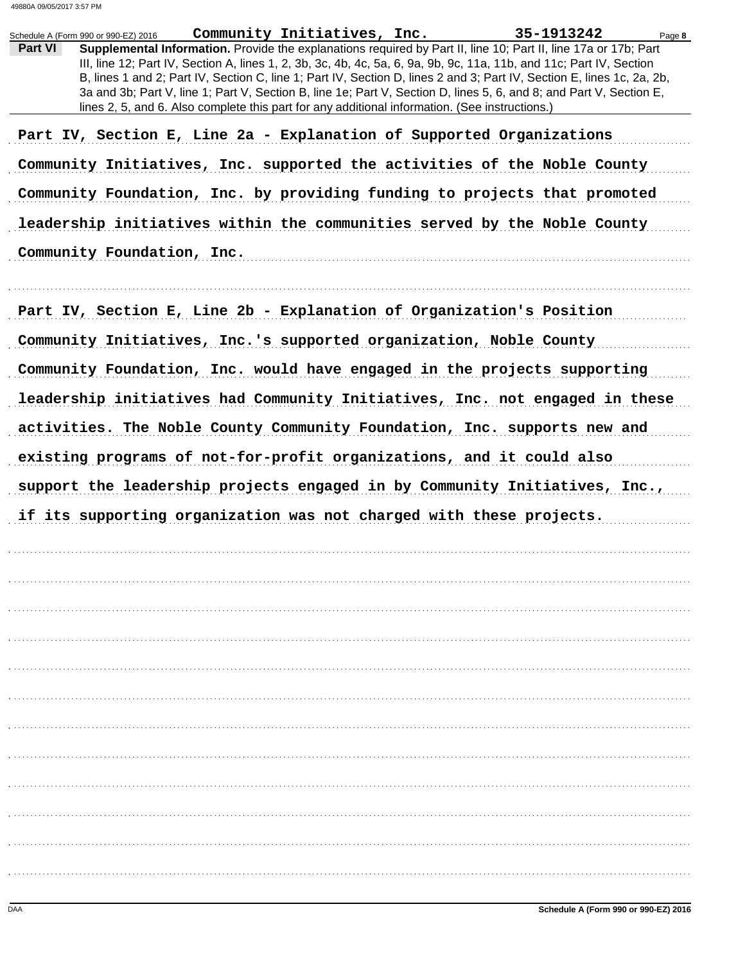|         | Community Initiatives, Inc.<br>Schedule A (Form 990 or 990-EZ) 2016                                                                                                                                                                           | 35-1913242<br>Page 8 |
|---------|-----------------------------------------------------------------------------------------------------------------------------------------------------------------------------------------------------------------------------------------------|----------------------|
| Part VI | Supplemental Information. Provide the explanations required by Part II, line 10; Part II, line 17a or 17b; Part                                                                                                                               |                      |
|         | III, line 12; Part IV, Section A, lines 1, 2, 3b, 3c, 4b, 4c, 5a, 6, 9a, 9b, 9c, 11a, 11b, and 11c; Part IV, Section                                                                                                                          |                      |
|         | B, lines 1 and 2; Part IV, Section C, line 1; Part IV, Section D, lines 2 and 3; Part IV, Section E, lines 1c, 2a, 2b,<br>3a and 3b; Part V, line 1; Part V, Section B, line 1e; Part V, Section D, lines 5, 6, and 8; and Part V, Section E, |                      |
|         | lines 2, 5, and 6. Also complete this part for any additional information. (See instructions.)                                                                                                                                                |                      |
|         |                                                                                                                                                                                                                                               |                      |
|         | Part IV, Section E, Line 2a - Explanation of Supported Organizations                                                                                                                                                                          |                      |
|         | Community Initiatives, Inc. supported the activities of the Noble County                                                                                                                                                                      |                      |
|         | Community Foundation, Inc. by providing funding to projects that promoted                                                                                                                                                                     |                      |
|         | leadership initiatives within the communities served by the Noble County                                                                                                                                                                      |                      |
|         | Community Foundation, Inc.                                                                                                                                                                                                                    |                      |
|         |                                                                                                                                                                                                                                               |                      |
|         |                                                                                                                                                                                                                                               |                      |
|         | Part IV, Section E, Line 2b - Explanation of Organization's Position                                                                                                                                                                          |                      |
|         | Community Initiatives, Inc.'s supported organization, Noble County                                                                                                                                                                            |                      |
|         | Community Foundation, Inc. would have engaged in the projects supporting                                                                                                                                                                      |                      |
|         | leadership initiatives had Community Initiatives, Inc. not engaged in these                                                                                                                                                                   |                      |
|         | activities. The Noble County Community Foundation, Inc. supports new and                                                                                                                                                                      |                      |
|         | existing programs of not-for-profit organizations, and it could also                                                                                                                                                                          |                      |
|         | support the leadership projects engaged in by Community Initiatives, Inc.,                                                                                                                                                                    |                      |
|         | if its supporting organization was not charged with these projects.                                                                                                                                                                           |                      |
|         |                                                                                                                                                                                                                                               |                      |
|         |                                                                                                                                                                                                                                               |                      |
|         |                                                                                                                                                                                                                                               |                      |
|         |                                                                                                                                                                                                                                               |                      |
|         |                                                                                                                                                                                                                                               |                      |
|         |                                                                                                                                                                                                                                               |                      |
|         |                                                                                                                                                                                                                                               |                      |
|         |                                                                                                                                                                                                                                               |                      |
|         |                                                                                                                                                                                                                                               |                      |
|         |                                                                                                                                                                                                                                               |                      |
|         |                                                                                                                                                                                                                                               |                      |
|         |                                                                                                                                                                                                                                               |                      |
|         |                                                                                                                                                                                                                                               |                      |
|         |                                                                                                                                                                                                                                               |                      |
|         |                                                                                                                                                                                                                                               |                      |
|         |                                                                                                                                                                                                                                               |                      |
|         |                                                                                                                                                                                                                                               |                      |
|         |                                                                                                                                                                                                                                               |                      |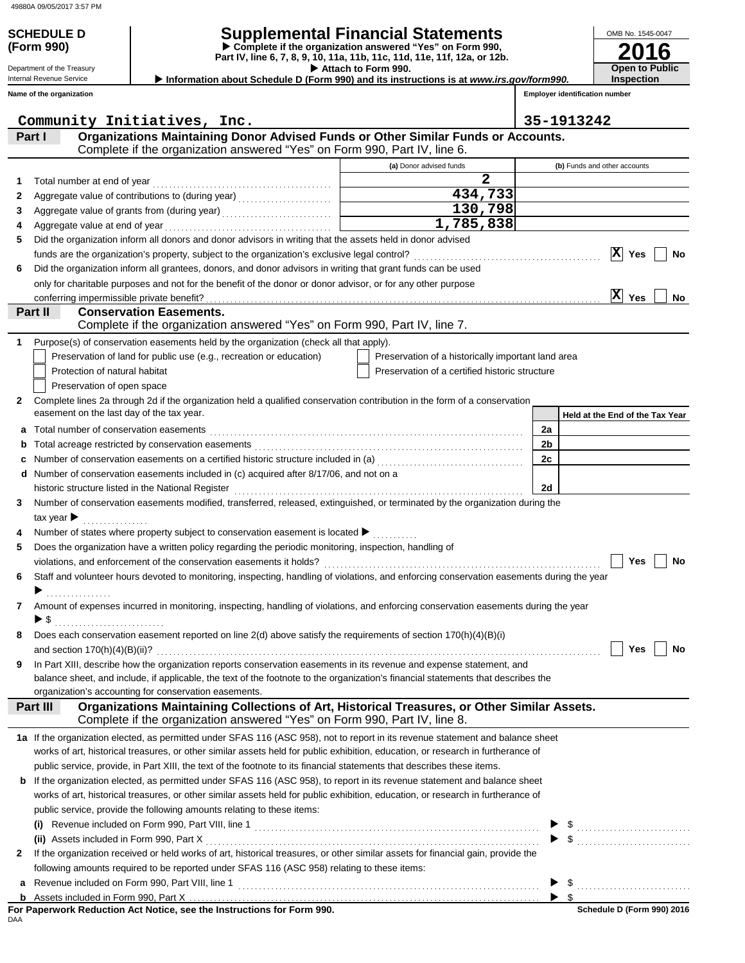# **SCHEDULE D Supplemental Financial Statements**

**Part IV, line 6, 7, 8, 9, 10, 11a, 11b, 11c, 11d, 11e, 11f, 12a, or 12b. Complete if the organization answered "Yes" on Form 990,**

 **Attach to Form 990.** 

 **Information about Schedule D (Form 990) and its instructions is at** *www.irs.gov/form990.*

Internal Revenue Service

Department of the Treasury

**(Form 990)**

**2016**

**Open to Public Inspection**

OMB No. 1545-0047

| Name of the organization                                                                                                                                                 |                                                    | <b>Employer identification number</b> |
|--------------------------------------------------------------------------------------------------------------------------------------------------------------------------|----------------------------------------------------|---------------------------------------|
| Community Initiatives, Inc.                                                                                                                                              |                                                    | 35-1913242                            |
| Organizations Maintaining Donor Advised Funds or Other Similar Funds or Accounts.<br>Part I<br>Complete if the organization answered "Yes" on Form 990, Part IV, line 6. |                                                    |                                       |
|                                                                                                                                                                          | (a) Donor advised funds                            | (b) Funds and other accounts          |
|                                                                                                                                                                          | $\overline{\mathbf{2}}$                            |                                       |
| 1                                                                                                                                                                        | 434,733                                            |                                       |
| 2<br>3                                                                                                                                                                   | 130,798                                            |                                       |
| 4                                                                                                                                                                        | 1,785,838                                          |                                       |
| Did the organization inform all donors and donor advisors in writing that the assets held in donor advised<br>5                                                          |                                                    |                                       |
|                                                                                                                                                                          |                                                    | $ \mathbf{x} $<br>Yes<br>No           |
| Did the organization inform all grantees, donors, and donor advisors in writing that grant funds can be used<br>6                                                        |                                                    |                                       |
| only for charitable purposes and not for the benefit of the donor or donor advisor, or for any other purpose                                                             |                                                    |                                       |
|                                                                                                                                                                          |                                                    | $ \mathbf{X} $<br>Yes<br><b>No</b>    |
| Part II<br><b>Conservation Easements.</b>                                                                                                                                |                                                    |                                       |
| Complete if the organization answered "Yes" on Form 990, Part IV, line 7.                                                                                                |                                                    |                                       |
| Purpose(s) of conservation easements held by the organization (check all that apply).<br>1                                                                               |                                                    |                                       |
| Preservation of land for public use (e.g., recreation or education)                                                                                                      | Preservation of a historically important land area |                                       |
| Protection of natural habitat                                                                                                                                            | Preservation of a certified historic structure     |                                       |
| Preservation of open space                                                                                                                                               |                                                    |                                       |
| Complete lines 2a through 2d if the organization held a qualified conservation contribution in the form of a conservation<br>2                                           |                                                    |                                       |
| easement on the last day of the tax year.                                                                                                                                |                                                    | Held at the End of the Tax Year       |
| a                                                                                                                                                                        |                                                    | 2a                                    |
| b                                                                                                                                                                        |                                                    | 2 <sub>b</sub>                        |
| Number of conservation easements on a certified historic structure included in (a) [[[[[[[[[[[[[[[[[[[[[[[[[]]]]]]]<br>c                                                 |                                                    | 2c                                    |
| Number of conservation easements included in (c) acquired after 8/17/06, and not on a<br>d                                                                               |                                                    |                                       |
| historic structure listed in the National Register                                                                                                                       |                                                    | 2d                                    |
| Number of conservation easements modified, transferred, released, extinguished, or terminated by the organization during the<br>3                                        |                                                    |                                       |
| tax year $\blacktriangleright$                                                                                                                                           |                                                    |                                       |
| Number of states where property subject to conservation easement is located ▶<br>4                                                                                       |                                                    |                                       |
| Does the organization have a written policy regarding the periodic monitoring, inspection, handling of<br>5                                                              |                                                    |                                       |
|                                                                                                                                                                          |                                                    | Yes<br>No                             |
| Staff and volunteer hours devoted to monitoring, inspecting, handling of violations, and enforcing conservation easements during the year<br>6                           |                                                    |                                       |
|                                                                                                                                                                          |                                                    |                                       |
| Amount of expenses incurred in monitoring, inspecting, handling of violations, and enforcing conservation easements during the year<br>7                                 |                                                    |                                       |
| $\blacktriangleright$ \$                                                                                                                                                 |                                                    |                                       |
| Does each conservation easement reported on line 2(d) above satisfy the requirements of section 170(h)(4)(B)(i)                                                          |                                                    |                                       |
|                                                                                                                                                                          |                                                    | Yes<br>No                             |
| In Part XIII, describe how the organization reports conservation easements in its revenue and expense statement, and<br>9                                                |                                                    |                                       |
| balance sheet, and include, if applicable, the text of the footnote to the organization's financial statements that describes the                                        |                                                    |                                       |
| organization's accounting for conservation easements.<br>Organizations Maintaining Collections of Art, Historical Treasures, or Other Similar Assets.                    |                                                    |                                       |
| Part III<br>Complete if the organization answered "Yes" on Form 990, Part IV, line 8.                                                                                    |                                                    |                                       |
| 1a If the organization elected, as permitted under SFAS 116 (ASC 958), not to report in its revenue statement and balance sheet                                          |                                                    |                                       |
| works of art, historical treasures, or other similar assets held for public exhibition, education, or research in furtherance of                                         |                                                    |                                       |
| public service, provide, in Part XIII, the text of the footnote to its financial statements that describes these items.                                                  |                                                    |                                       |
| <b>b</b> If the organization elected, as permitted under SFAS 116 (ASC 958), to report in its revenue statement and balance sheet                                        |                                                    |                                       |
| works of art, historical treasures, or other similar assets held for public exhibition, education, or research in furtherance of                                         |                                                    |                                       |
| public service, provide the following amounts relating to these items:                                                                                                   |                                                    |                                       |
| (i)                                                                                                                                                                      |                                                    |                                       |
|                                                                                                                                                                          |                                                    |                                       |
| If the organization received or held works of art, historical treasures, or other similar assets for financial gain, provide the<br>2                                    |                                                    |                                       |
| following amounts required to be reported under SFAS 116 (ASC 958) relating to these items:                                                                              |                                                    |                                       |
| a                                                                                                                                                                        |                                                    | \$                                    |
| b                                                                                                                                                                        |                                                    | $\blacktriangleright$ \$              |
| For Paperwork Reduction Act Notice, see the Instructions for Form 990.<br>DAA                                                                                            |                                                    | Schedule D (Form 990) 2016            |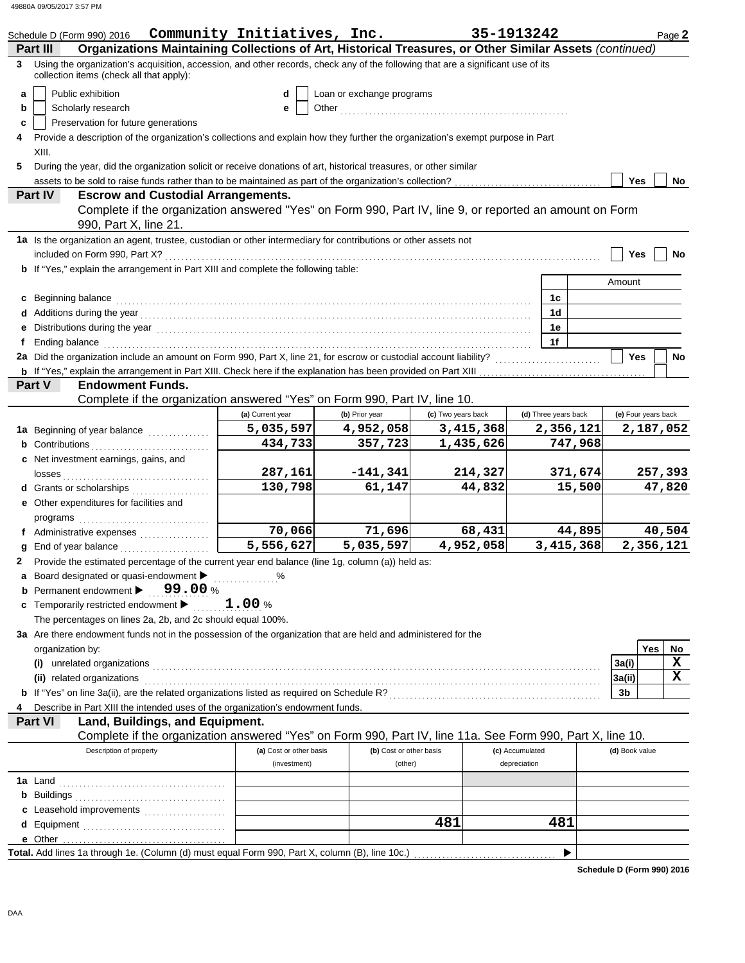|        | Schedule D (Form 990) 2016                                                                                                                                                                                                                              | Community Initiatives, Inc.             |                                    |                    | 35-1913242                      |           |                     | Page 2    |
|--------|---------------------------------------------------------------------------------------------------------------------------------------------------------------------------------------------------------------------------------------------------------|-----------------------------------------|------------------------------------|--------------------|---------------------------------|-----------|---------------------|-----------|
| 3      | Organizations Maintaining Collections of Art, Historical Treasures, or Other Similar Assets (continued)<br>Part III<br>Using the organization's acquisition, accession, and other records, check any of the following that are a significant use of its |                                         |                                    |                    |                                 |           |                     |           |
|        | collection items (check all that apply):                                                                                                                                                                                                                |                                         |                                    |                    |                                 |           |                     |           |
| a      | Public exhibition                                                                                                                                                                                                                                       | d                                       | Loan or exchange programs          |                    |                                 |           |                     |           |
| b      | Scholarly research<br>е                                                                                                                                                                                                                                 |                                         |                                    |                    |                                 |           |                     |           |
| c<br>4 | Preservation for future generations<br>Provide a description of the organization's collections and explain how they further the organization's exempt purpose in Part                                                                                   |                                         |                                    |                    |                                 |           |                     |           |
|        | XIII.                                                                                                                                                                                                                                                   |                                         |                                    |                    |                                 |           |                     |           |
| 5      | During the year, did the organization solicit or receive donations of art, historical treasures, or other similar                                                                                                                                       |                                         |                                    |                    |                                 |           |                     |           |
|        | Yes<br>No                                                                                                                                                                                                                                               |                                         |                                    |                    |                                 |           |                     |           |
|        | <b>Part IV</b><br><b>Escrow and Custodial Arrangements.</b>                                                                                                                                                                                             |                                         |                                    |                    |                                 |           |                     |           |
|        | Complete if the organization answered "Yes" on Form 990, Part IV, line 9, or reported an amount on Form<br>990, Part X, line 21.                                                                                                                        |                                         |                                    |                    |                                 |           |                     |           |
|        | 1a Is the organization an agent, trustee, custodian or other intermediary for contributions or other assets not                                                                                                                                         |                                         |                                    |                    |                                 |           |                     |           |
|        |                                                                                                                                                                                                                                                         |                                         |                                    |                    |                                 |           | Yes                 | No        |
|        | <b>b</b> If "Yes," explain the arrangement in Part XIII and complete the following table:                                                                                                                                                               |                                         |                                    |                    |                                 |           | Amount              |           |
| с      | Beginning balance                                                                                                                                                                                                                                       |                                         |                                    |                    | 1c                              |           |                     |           |
|        |                                                                                                                                                                                                                                                         |                                         |                                    |                    | 1d                              |           |                     |           |
| е      | Distributions during the year manufactured contains and the year manufactured with the year manufactured with                                                                                                                                           |                                         |                                    |                    | 1е                              |           |                     |           |
|        | Ending balance <b>constructs</b> and constructs are a set of the construction of the construction of the construction of the construction of the construction of the construction of the construction of the construction of the co                     |                                         |                                    |                    | 1f                              |           |                     |           |
|        | 2a Did the organization include an amount on Form 990, Part X, line 21, for escrow or custodial account liability?                                                                                                                                      |                                         |                                    |                    |                                 |           | <b>Yes</b>          | <b>No</b> |
|        |                                                                                                                                                                                                                                                         |                                         |                                    |                    |                                 |           |                     |           |
|        | <b>Endowment Funds.</b><br>Part V<br>Complete if the organization answered "Yes" on Form 990, Part IV, line 10.                                                                                                                                         |                                         |                                    |                    |                                 |           |                     |           |
|        |                                                                                                                                                                                                                                                         | (a) Current year                        | (b) Prior year                     | (c) Two years back | (d) Three years back            |           | (e) Four years back |           |
|        | 1a Beginning of year balance                                                                                                                                                                                                                            | 5,035,597                               | 4,952,058                          | 3,415,368          |                                 | 2,356,121 |                     | 2,187,052 |
|        |                                                                                                                                                                                                                                                         | 434,733                                 | 357,723                            | 1,435,626          |                                 | 747,968   |                     |           |
|        | <b>c</b> Net investment earnings, gains, and                                                                                                                                                                                                            |                                         |                                    |                    |                                 |           |                     |           |
|        |                                                                                                                                                                                                                                                         | 287,161                                 | $-141,341$                         | 214,327            |                                 | 371,674   | 257,393             |           |
|        | d Grants or scholarships                                                                                                                                                                                                                                | 130,798                                 | 61,147                             | 44,832             |                                 | 15,500    |                     | 47,820    |
|        | e Other expenditures for facilities and                                                                                                                                                                                                                 |                                         |                                    |                    |                                 |           |                     |           |
|        | programs<br>f Administrative expenses                                                                                                                                                                                                                   | 70,066                                  | 71,696                             | 68,431             |                                 | 44,895    |                     | 40,504    |
|        | g End of year balance                                                                                                                                                                                                                                   | 5,556,627                               | 5,035,597                          | 4,952,058          |                                 | 3,415,368 |                     | 2,356,121 |
|        | Provide the estimated percentage of the current year end balance (line 1g, column (a)) held as:                                                                                                                                                         |                                         |                                    |                    |                                 |           |                     |           |
|        | a Board designated or quasi-endowment > %                                                                                                                                                                                                               |                                         |                                    |                    |                                 |           |                     |           |
|        | <b>b</b> Permanent endowment $\blacktriangleright$ 99.00 %                                                                                                                                                                                              |                                         |                                    |                    |                                 |           |                     |           |
|        | c Temporarily restricted endowment                                                                                                                                                                                                                      | 1.00 $%$                                |                                    |                    |                                 |           |                     |           |
|        | The percentages on lines 2a, 2b, and 2c should equal 100%.                                                                                                                                                                                              |                                         |                                    |                    |                                 |           |                     |           |
|        | 3a Are there endowment funds not in the possession of the organization that are held and administered for the<br>organization by:                                                                                                                       |                                         |                                    |                    |                                 |           | Yes                 | No        |
|        |                                                                                                                                                                                                                                                         |                                         |                                    |                    |                                 |           | 3a(i)               | X         |
|        | (ii) related organizations                                                                                                                                                                                                                              |                                         |                                    |                    |                                 |           | 3a(ii)              | x         |
|        |                                                                                                                                                                                                                                                         |                                         |                                    |                    |                                 |           | 3b                  |           |
| 4      | Describe in Part XIII the intended uses of the organization's endowment funds.                                                                                                                                                                          |                                         |                                    |                    |                                 |           |                     |           |
|        | Land, Buildings, and Equipment.<br><b>Part VI</b>                                                                                                                                                                                                       |                                         |                                    |                    |                                 |           |                     |           |
|        | Complete if the organization answered "Yes" on Form 990, Part IV, line 11a. See Form 990, Part X, line 10.                                                                                                                                              |                                         |                                    |                    |                                 |           |                     |           |
|        | Description of property                                                                                                                                                                                                                                 | (a) Cost or other basis<br>(investment) | (b) Cost or other basis<br>(other) |                    | (c) Accumulated<br>depreciation |           | (d) Book value      |           |
|        |                                                                                                                                                                                                                                                         |                                         |                                    |                    |                                 |           |                     |           |
|        |                                                                                                                                                                                                                                                         |                                         |                                    |                    |                                 |           |                     |           |
|        | c Leasehold improvements                                                                                                                                                                                                                                |                                         |                                    |                    |                                 |           |                     |           |
|        |                                                                                                                                                                                                                                                         |                                         |                                    | 481                | 481                             |           |                     |           |
|        |                                                                                                                                                                                                                                                         |                                         |                                    |                    |                                 |           |                     |           |
|        |                                                                                                                                                                                                                                                         |                                         |                                    |                    |                                 | ▶         |                     |           |

**Schedule D (Form 990) 2016**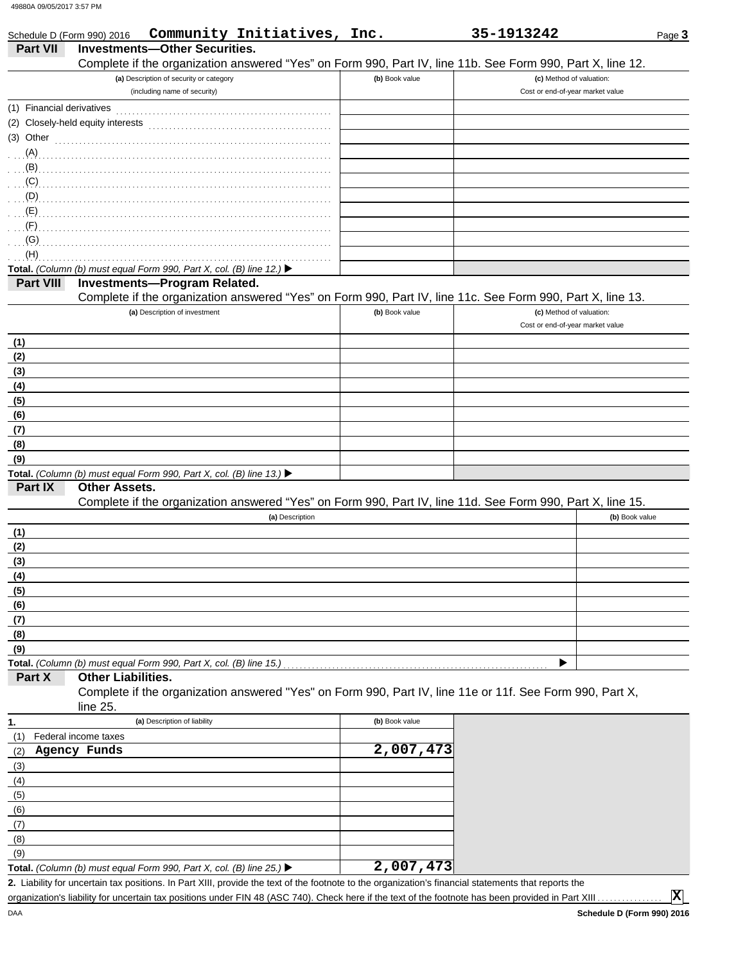| Schedule D (Form 990) 2016 |                                   | Community Initiatives, Inc.                                                                                                                          |                | 35-1913242                       | Page 3         |
|----------------------------|-----------------------------------|------------------------------------------------------------------------------------------------------------------------------------------------------|----------------|----------------------------------|----------------|
| <b>Part VII</b>            |                                   | <b>Investments-Other Securities.</b>                                                                                                                 |                |                                  |                |
|                            |                                   | Complete if the organization answered "Yes" on Form 990, Part IV, line 11b. See Form 990, Part X, line 12.                                           |                |                                  |                |
|                            |                                   | (a) Description of security or category                                                                                                              | (b) Book value | (c) Method of valuation:         |                |
|                            |                                   | (including name of security)                                                                                                                         |                | Cost or end-of-year market value |                |
|                            |                                   |                                                                                                                                                      |                |                                  |                |
|                            | (2) Closely-held equity interests |                                                                                                                                                      |                |                                  |                |
| $(3)$ Other                |                                   |                                                                                                                                                      |                |                                  |                |
| (A)                        |                                   |                                                                                                                                                      |                |                                  |                |
| $\ldots$ (B)               |                                   |                                                                                                                                                      |                |                                  |                |
| (C)                        |                                   |                                                                                                                                                      |                |                                  |                |
| $\mathcal{L}(\mathsf{D})$  |                                   |                                                                                                                                                      |                |                                  |                |
| (E)                        |                                   |                                                                                                                                                      |                |                                  |                |
| (F)                        |                                   |                                                                                                                                                      |                |                                  |                |
| (G)                        |                                   |                                                                                                                                                      |                |                                  |                |
| (H)                        |                                   |                                                                                                                                                      |                |                                  |                |
|                            |                                   | Total. (Column (b) must equal Form 990, Part X, col. (B) line 12.) ▶                                                                                 |                |                                  |                |
| Part VIII                  |                                   | Investments-Program Related.                                                                                                                         |                |                                  |                |
|                            |                                   | Complete if the organization answered "Yes" on Form 990, Part IV, line 11c. See Form 990, Part X, line 13.                                           |                |                                  |                |
|                            |                                   | (a) Description of investment                                                                                                                        | (b) Book value | (c) Method of valuation:         |                |
|                            |                                   |                                                                                                                                                      |                | Cost or end-of-year market value |                |
| (1)                        |                                   |                                                                                                                                                      |                |                                  |                |
| (2)                        |                                   |                                                                                                                                                      |                |                                  |                |
| (3)                        |                                   |                                                                                                                                                      |                |                                  |                |
| (4)                        |                                   |                                                                                                                                                      |                |                                  |                |
| (5)                        |                                   |                                                                                                                                                      |                |                                  |                |
| (6)                        |                                   |                                                                                                                                                      |                |                                  |                |
| (7)                        |                                   |                                                                                                                                                      |                |                                  |                |
| (8)                        |                                   |                                                                                                                                                      |                |                                  |                |
| (9)                        |                                   |                                                                                                                                                      |                |                                  |                |
|                            |                                   | Total. (Column (b) must equal Form 990, Part X, col. (B) line 13.) ▶                                                                                 |                |                                  |                |
| Part IX                    | <b>Other Assets.</b>              |                                                                                                                                                      |                |                                  |                |
|                            |                                   | Complete if the organization answered "Yes" on Form 990, Part IV, line 11d. See Form 990, Part X, line 15.                                           |                |                                  |                |
|                            |                                   | (a) Description                                                                                                                                      |                |                                  | (b) Book value |
| (1)                        |                                   |                                                                                                                                                      |                |                                  |                |
| (2)                        |                                   |                                                                                                                                                      |                |                                  |                |
| (3)                        |                                   |                                                                                                                                                      |                |                                  |                |
| (4)                        |                                   |                                                                                                                                                      |                |                                  |                |
| (5)                        |                                   |                                                                                                                                                      |                |                                  |                |
| (6)                        |                                   |                                                                                                                                                      |                |                                  |                |
| (7)                        |                                   |                                                                                                                                                      |                |                                  |                |
| (8)                        |                                   |                                                                                                                                                      |                |                                  |                |
| (9)                        |                                   |                                                                                                                                                      |                |                                  |                |
|                            |                                   | Total. (Column (b) must equal Form 990, Part X, col. (B) line 15.)                                                                                   |                |                                  |                |
| Part X                     | <b>Other Liabilities.</b>         |                                                                                                                                                      |                |                                  |                |
|                            |                                   | Complete if the organization answered "Yes" on Form 990, Part IV, line 11e or 11f. See Form 990, Part X,                                             |                |                                  |                |
|                            | line 25.                          |                                                                                                                                                      |                |                                  |                |
| 1.                         |                                   | (a) Description of liability                                                                                                                         | (b) Book value |                                  |                |
| (1)                        | Federal income taxes              |                                                                                                                                                      |                |                                  |                |
| (2)                        | Agency Funds                      |                                                                                                                                                      | 2,007,473      |                                  |                |
| (3)                        |                                   |                                                                                                                                                      |                |                                  |                |
|                            |                                   |                                                                                                                                                      |                |                                  |                |
| (4)<br>(5)                 |                                   |                                                                                                                                                      |                |                                  |                |
|                            |                                   |                                                                                                                                                      |                |                                  |                |
| (6)                        |                                   |                                                                                                                                                      |                |                                  |                |
| (7)                        |                                   |                                                                                                                                                      |                |                                  |                |
| (8)                        |                                   |                                                                                                                                                      |                |                                  |                |
| (9)                        |                                   |                                                                                                                                                      |                |                                  |                |
|                            |                                   | Total. (Column (b) must equal Form 990, Part X, col. (B) line 25.) ▶                                                                                 | 2,007,473      |                                  |                |
|                            |                                   | 2. Liability for uncertain tax positions. In Part XIII, provide the text of the footnote to the organization's financial statements that reports the |                |                                  |                |

organization's liability for uncertain tax positions under FIN 48 (ASC 740). Check here if the text of the footnote has been provided in Part XIII .

**X**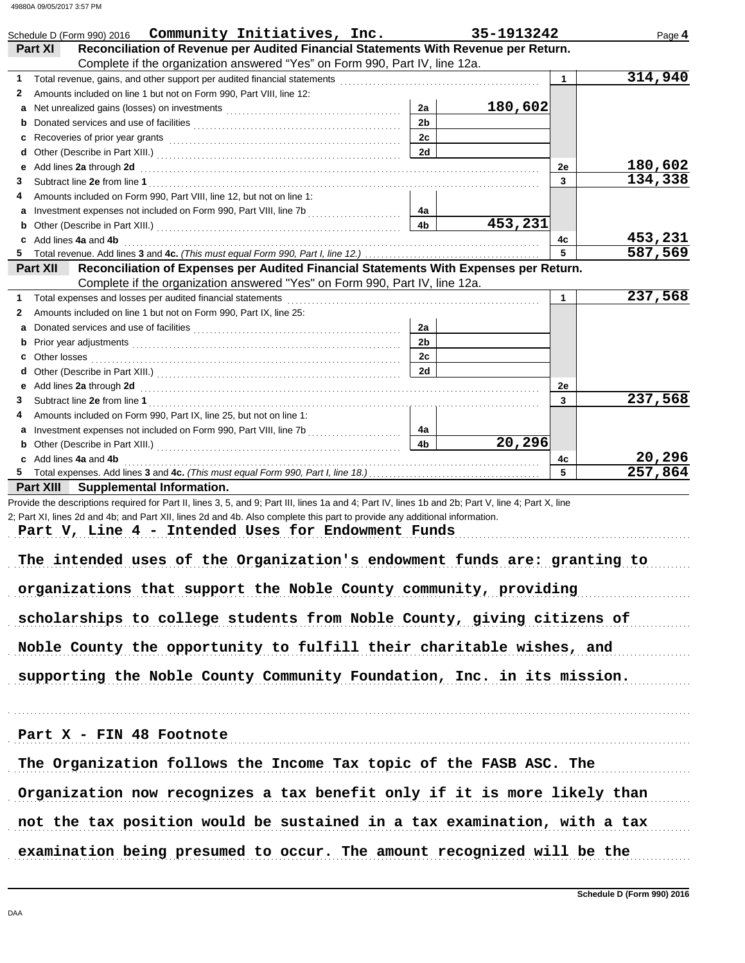| Schedule D (Form 990) 2016  Community Initiatives, Inc.                                                                                                                                                                |                | 35-1913242 |              | Page 4  |
|------------------------------------------------------------------------------------------------------------------------------------------------------------------------------------------------------------------------|----------------|------------|--------------|---------|
| Reconciliation of Revenue per Audited Financial Statements With Revenue per Return.<br><b>Part XI</b>                                                                                                                  |                |            |              |         |
| Complete if the organization answered "Yes" on Form 990, Part IV, line 12a.                                                                                                                                            |                |            |              |         |
| Total revenue, gains, and other support per audited financial statements [11] [11] [11] [11] [11] [11] [11] [1<br>1                                                                                                    |                |            | $\mathbf{1}$ | 314,940 |
| Amounts included on line 1 but not on Form 990, Part VIII, line 12:<br>2                                                                                                                                               |                |            |              |         |
|                                                                                                                                                                                                                        | 2a             | 180,602    |              |         |
|                                                                                                                                                                                                                        | 2 <sub>b</sub> |            |              |         |
|                                                                                                                                                                                                                        | 2c             |            |              |         |
|                                                                                                                                                                                                                        | 2d             |            |              |         |
| Add lines 2a through 2d [11, 12] March 2014 (12) March 2014 (12) March 2014 (12) March 2014 (12) March 2014 (1<br>е                                                                                                    |                |            | 2e           | 180,602 |
| 3                                                                                                                                                                                                                      |                |            | 3            | 134,338 |
| Amounts included on Form 990, Part VIII, line 12, but not on line 1:<br>4                                                                                                                                              |                |            |              |         |
|                                                                                                                                                                                                                        | 4a             |            |              |         |
|                                                                                                                                                                                                                        | 4 <sub>b</sub> | 453,231    |              |         |
| c Add lines 4a and 4b                                                                                                                                                                                                  |                |            | 4c           | 453,231 |
| 5                                                                                                                                                                                                                      |                |            | 5            | 587,569 |
| Reconciliation of Expenses per Audited Financial Statements With Expenses per Return.<br><b>Part XII</b>                                                                                                               |                |            |              |         |
| Complete if the organization answered "Yes" on Form 990, Part IV, line 12a.                                                                                                                                            |                |            |              |         |
| Total expenses and losses per audited financial statements [11] [11] Total expenses and losses per audited financial statements [11] [12] Total expenses and losses per audited financial statements [12] $\cdot$<br>1 |                |            | $\mathbf{1}$ | 237,568 |
| Amounts included on line 1 but not on Form 990, Part IX, line 25:<br>2                                                                                                                                                 |                |            |              |         |
|                                                                                                                                                                                                                        | 2a             |            |              |         |
|                                                                                                                                                                                                                        | 2 <sub>b</sub> |            |              |         |
|                                                                                                                                                                                                                        | 2c             |            |              |         |
|                                                                                                                                                                                                                        | 2d             |            |              |         |
|                                                                                                                                                                                                                        |                |            | 2e           |         |
| 3                                                                                                                                                                                                                      |                |            | 3            | 237,568 |
| Amounts included on Form 990, Part IX, line 25, but not on line 1:<br>4                                                                                                                                                |                |            |              |         |
|                                                                                                                                                                                                                        | 4a             |            |              |         |
|                                                                                                                                                                                                                        | 4 <sub>b</sub> | 20,296     |              |         |
| c Add lines 4a and 4b                                                                                                                                                                                                  |                |            | 4c           | 20,296  |
| 5                                                                                                                                                                                                                      |                |            | 5            | 257,864 |
| <b>Part XIII</b> Supplemental Information.                                                                                                                                                                             |                |            |              |         |
| Provide the descriptions required for Part II, lines 3, 5, and 9; Part III, lines 1a and 4; Part IV, lines 1b and 2b; Part V, line 4; Part X, line                                                                     |                |            |              |         |
| 2; Part XI, lines 2d and 4b; and Part XII, lines 2d and 4b. Also complete this part to provide any additional information.                                                                                             |                |            |              |         |
| Part V, Line 4 - Intended Uses for Endowment Funds                                                                                                                                                                     |                |            |              |         |
|                                                                                                                                                                                                                        |                |            |              |         |
| The intended uses of the Organization's endowment funds are: granting to                                                                                                                                               |                |            |              |         |
|                                                                                                                                                                                                                        |                |            |              |         |
| organizations that support the Noble County community, providing                                                                                                                                                       |                |            |              |         |
|                                                                                                                                                                                                                        |                |            |              |         |
| scholarships to college students from Noble County, giving citizens of                                                                                                                                                 |                |            |              |         |
|                                                                                                                                                                                                                        |                |            |              |         |
| Noble County the opportunity to fulfill their charitable wishes, and                                                                                                                                                   |                |            |              |         |
|                                                                                                                                                                                                                        |                |            |              |         |
| supporting the Noble County Community Foundation, Inc. in its mission.                                                                                                                                                 |                |            |              |         |
|                                                                                                                                                                                                                        |                |            |              |         |
|                                                                                                                                                                                                                        |                |            |              |         |
|                                                                                                                                                                                                                        |                |            |              |         |
| Part X - FIN 48 Footnote                                                                                                                                                                                               |                |            |              |         |
| The Organization follows the Income Tax topic of the FASB ASC. The                                                                                                                                                     |                |            |              |         |
| Organization now recognizes a tax benefit only if it is more likely than                                                                                                                                               |                |            |              |         |
| not the tax position would be sustained in a tax examination, with a tax                                                                                                                                               |                |            |              |         |
|                                                                                                                                                                                                                        |                |            |              |         |
| examination being presumed to occur. The amount recognized will be the                                                                                                                                                 |                |            |              |         |
|                                                                                                                                                                                                                        |                |            |              |         |
|                                                                                                                                                                                                                        |                |            |              |         |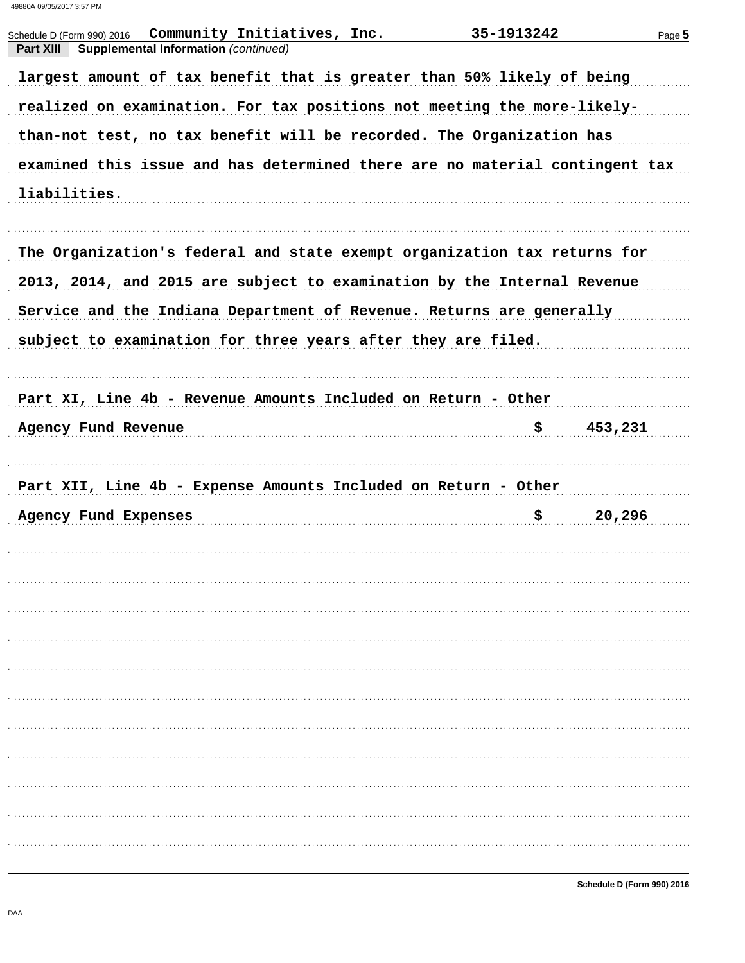| Community Initiatives, Inc.<br>Schedule D (Form 990) 2016<br><b>Supplemental Information (continued)</b><br><b>Part XIII</b> | 35-1913242 | Page 5  |
|------------------------------------------------------------------------------------------------------------------------------|------------|---------|
| largest amount of tax benefit that is greater than 50% likely of being                                                       |            |         |
| realized on examination. For tax positions not meeting the more-likely-                                                      |            |         |
| than-not test, no tax benefit will be recorded. The Organization has                                                         |            |         |
| examined this issue and has determined there are no material contingent tax                                                  |            |         |
| liabilities.                                                                                                                 |            |         |
|                                                                                                                              |            |         |
| The Organization's federal and state exempt organization tax returns for                                                     |            |         |
| 2013, 2014, and 2015 are subject to examination by the Internal Revenue                                                      |            |         |
| Service and the Indiana Department of Revenue. Returns are generally                                                         |            |         |
| subject to examination for three years after they are filed.                                                                 |            |         |
|                                                                                                                              |            |         |
| Part XI, Line 4b - Revenue Amounts Included on Return - Other                                                                |            |         |
| Agency Fund Revenue                                                                                                          | \$.        | 453,231 |
|                                                                                                                              |            |         |
| Part XII, Line 4b - Expense Amounts Included on Return - Other                                                               |            |         |
| Agency Fund Expenses                                                                                                         | \$         | 20,296  |
|                                                                                                                              |            |         |
|                                                                                                                              |            |         |
|                                                                                                                              |            |         |
|                                                                                                                              |            |         |
|                                                                                                                              |            |         |
|                                                                                                                              |            |         |
|                                                                                                                              |            |         |
|                                                                                                                              |            |         |
|                                                                                                                              |            |         |
|                                                                                                                              |            |         |
|                                                                                                                              |            |         |
|                                                                                                                              |            |         |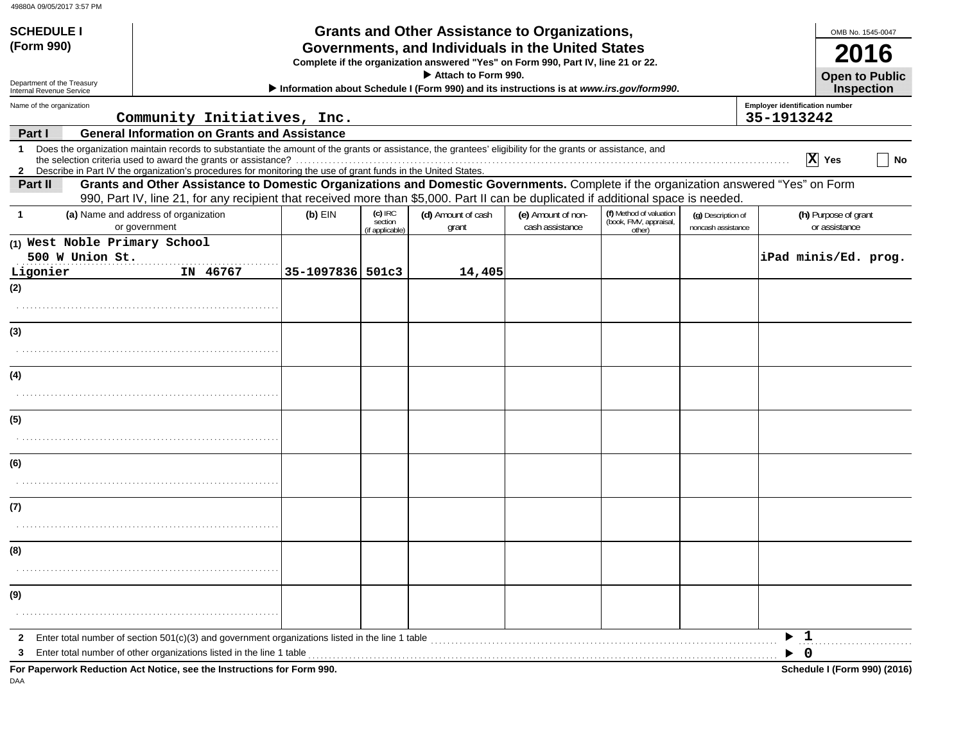| 49880A 09/05/2017 3:57 PM |  |
|---------------------------|--|
|                           |  |

| <b>SCHEDULE I</b><br>(Form 990)                              |                                                                                                                                                                                                                                                                             | <b>Grants and Other Assistance to Organizations,</b><br>Governments, and Individuals in the United States<br>Complete if the organization answered "Yes" on Form 990, Part IV, line 21 or 22.<br>Attach to Form 990. |                                         |                                                                                         |                                       |                                                             |                                          |                                                     |
|--------------------------------------------------------------|-----------------------------------------------------------------------------------------------------------------------------------------------------------------------------------------------------------------------------------------------------------------------------|----------------------------------------------------------------------------------------------------------------------------------------------------------------------------------------------------------------------|-----------------------------------------|-----------------------------------------------------------------------------------------|---------------------------------------|-------------------------------------------------------------|------------------------------------------|-----------------------------------------------------|
| Department of the Treasury<br>Internal Revenue Service       |                                                                                                                                                                                                                                                                             |                                                                                                                                                                                                                      |                                         | Information about Schedule I (Form 990) and its instructions is at www.irs.gov/form990. |                                       |                                                             |                                          | <b>Open to Public</b><br><b>Inspection</b>          |
| Name of the organization                                     | Community Initiatives, Inc.                                                                                                                                                                                                                                                 |                                                                                                                                                                                                                      |                                         |                                                                                         |                                       |                                                             |                                          | <b>Employer identification number</b><br>35-1913242 |
| Part I                                                       | <b>General Information on Grants and Assistance</b>                                                                                                                                                                                                                         |                                                                                                                                                                                                                      |                                         |                                                                                         |                                       |                                                             |                                          |                                                     |
| $\mathbf 1$<br>$\mathbf{2}$                                  | Does the organization maintain records to substantiate the amount of the grants or assistance, the grantees' eligibility for the grants or assistance, and<br>Describe in Part IV the organization's procedures for monitoring the use of grant funds in the United States. |                                                                                                                                                                                                                      |                                         |                                                                                         |                                       |                                                             |                                          | $ \mathbf{x} $<br>Yes<br>No                         |
| Part II                                                      | Grants and Other Assistance to Domestic Organizations and Domestic Governments. Complete if the organization answered "Yes" on Form<br>990, Part IV, line 21, for any recipient that received more than \$5,000. Part II can be duplicated if additional space is needed.   |                                                                                                                                                                                                                      |                                         |                                                                                         |                                       |                                                             |                                          |                                                     |
| $\mathbf{1}$                                                 | (a) Name and address of organization<br>or government                                                                                                                                                                                                                       | $(b)$ EIN                                                                                                                                                                                                            | $(c)$ IRC<br>section<br>(if applicable) | (d) Amount of cash<br>grant                                                             | (e) Amount of non-<br>cash assistance | (f) Method of valuation<br>(book, FMV, appraisal,<br>other) | (g) Description of<br>noncash assistance | (h) Purpose of grant<br>or assistance               |
| (1) West Noble Primary School<br>500 W Union St.<br>Ligonier | IN 46767                                                                                                                                                                                                                                                                    | 35-1097836 501c3                                                                                                                                                                                                     |                                         | 14,405                                                                                  |                                       |                                                             |                                          | iPad minis/Ed. prog.                                |
| (2)                                                          |                                                                                                                                                                                                                                                                             |                                                                                                                                                                                                                      |                                         |                                                                                         |                                       |                                                             |                                          |                                                     |
| (3)                                                          |                                                                                                                                                                                                                                                                             |                                                                                                                                                                                                                      |                                         |                                                                                         |                                       |                                                             |                                          |                                                     |
|                                                              |                                                                                                                                                                                                                                                                             |                                                                                                                                                                                                                      |                                         |                                                                                         |                                       |                                                             |                                          |                                                     |
| (4)                                                          |                                                                                                                                                                                                                                                                             |                                                                                                                                                                                                                      |                                         |                                                                                         |                                       |                                                             |                                          |                                                     |
|                                                              |                                                                                                                                                                                                                                                                             |                                                                                                                                                                                                                      |                                         |                                                                                         |                                       |                                                             |                                          |                                                     |
| (5)                                                          |                                                                                                                                                                                                                                                                             |                                                                                                                                                                                                                      |                                         |                                                                                         |                                       |                                                             |                                          |                                                     |
| (6)                                                          |                                                                                                                                                                                                                                                                             |                                                                                                                                                                                                                      |                                         |                                                                                         |                                       |                                                             |                                          |                                                     |
|                                                              |                                                                                                                                                                                                                                                                             |                                                                                                                                                                                                                      |                                         |                                                                                         |                                       |                                                             |                                          |                                                     |
| (7)                                                          |                                                                                                                                                                                                                                                                             |                                                                                                                                                                                                                      |                                         |                                                                                         |                                       |                                                             |                                          |                                                     |
|                                                              |                                                                                                                                                                                                                                                                             |                                                                                                                                                                                                                      |                                         |                                                                                         |                                       |                                                             |                                          |                                                     |
| (8)                                                          |                                                                                                                                                                                                                                                                             |                                                                                                                                                                                                                      |                                         |                                                                                         |                                       |                                                             |                                          |                                                     |
| (9)                                                          |                                                                                                                                                                                                                                                                             |                                                                                                                                                                                                                      |                                         |                                                                                         |                                       |                                                             |                                          |                                                     |
|                                                              |                                                                                                                                                                                                                                                                             |                                                                                                                                                                                                                      |                                         |                                                                                         |                                       |                                                             |                                          |                                                     |
| 2<br>3                                                       | Enter total number of section $501(c)(3)$ and government organizations listed in the line 1 table<br>Enter total number of other organizations listed in the line 1 table                                                                                                   |                                                                                                                                                                                                                      |                                         |                                                                                         |                                       |                                                             |                                          | -1<br>- 0<br>▶                                      |
|                                                              | For Paperwork Reduction Act Notice, see the Instructions for Form 990.                                                                                                                                                                                                      |                                                                                                                                                                                                                      |                                         |                                                                                         |                                       |                                                             |                                          | <b>Schedule I (Form 990) (2016)</b>                 |

DAA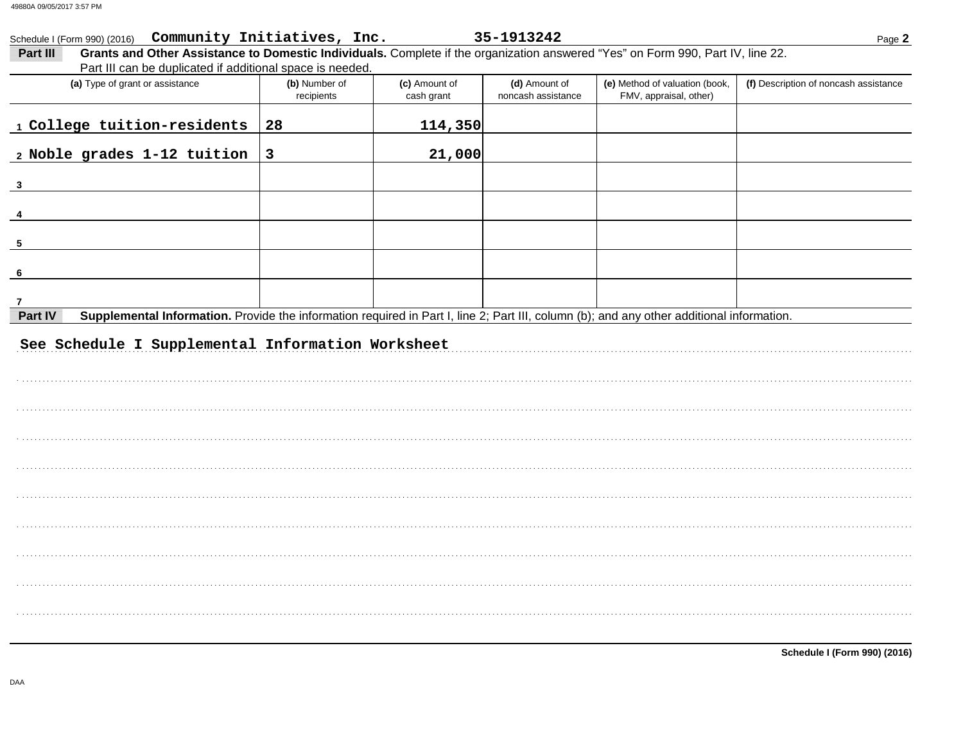| Schedule I (Form 990) (2016)                                                                                                                         | Community Initiatives, Inc. |                             | 35-1913242                          |                                                          | Page 2                                |
|------------------------------------------------------------------------------------------------------------------------------------------------------|-----------------------------|-----------------------------|-------------------------------------|----------------------------------------------------------|---------------------------------------|
| Part III<br>Grants and Other Assistance to Domestic Individuals. Complete if the organization answered "Yes" on Form 990, Part IV, line 22.          |                             |                             |                                     |                                                          |                                       |
| Part III can be duplicated if additional space is needed.                                                                                            |                             |                             |                                     |                                                          |                                       |
| (a) Type of grant or assistance                                                                                                                      | (b) Number of<br>recipients | (c) Amount of<br>cash grant | (d) Amount of<br>noncash assistance | (e) Method of valuation (book,<br>FMV, appraisal, other) | (f) Description of noncash assistance |
|                                                                                                                                                      |                             |                             |                                     |                                                          |                                       |
| 1 College tuition-residents                                                                                                                          | 28                          | 114,350                     |                                     |                                                          |                                       |
|                                                                                                                                                      |                             |                             |                                     |                                                          |                                       |
| 2 Noble grades 1-12 tuition                                                                                                                          | 3                           | 21,000                      |                                     |                                                          |                                       |
| $\mathbf{3}$                                                                                                                                         |                             |                             |                                     |                                                          |                                       |
|                                                                                                                                                      |                             |                             |                                     |                                                          |                                       |
| 4                                                                                                                                                    |                             |                             |                                     |                                                          |                                       |
|                                                                                                                                                      |                             |                             |                                     |                                                          |                                       |
| 5                                                                                                                                                    |                             |                             |                                     |                                                          |                                       |
| 6                                                                                                                                                    |                             |                             |                                     |                                                          |                                       |
|                                                                                                                                                      |                             |                             |                                     |                                                          |                                       |
|                                                                                                                                                      |                             |                             |                                     |                                                          |                                       |
| Supplemental Information. Provide the information required in Part I, line 2; Part III, column (b); and any other additional information.<br>Part IV |                             |                             |                                     |                                                          |                                       |
| See Schedule I Supplemental Information Worksheet                                                                                                    |                             |                             |                                     |                                                          |                                       |
|                                                                                                                                                      |                             |                             |                                     |                                                          |                                       |
|                                                                                                                                                      |                             |                             |                                     |                                                          |                                       |
|                                                                                                                                                      |                             |                             |                                     |                                                          |                                       |
|                                                                                                                                                      |                             |                             |                                     |                                                          |                                       |
|                                                                                                                                                      |                             |                             |                                     |                                                          |                                       |
|                                                                                                                                                      |                             |                             |                                     |                                                          |                                       |
|                                                                                                                                                      |                             |                             |                                     |                                                          |                                       |
|                                                                                                                                                      |                             |                             |                                     |                                                          |                                       |
|                                                                                                                                                      |                             |                             |                                     |                                                          |                                       |
|                                                                                                                                                      |                             |                             |                                     |                                                          |                                       |
|                                                                                                                                                      |                             |                             |                                     |                                                          |                                       |
|                                                                                                                                                      |                             |                             |                                     |                                                          |                                       |
|                                                                                                                                                      |                             |                             |                                     |                                                          |                                       |
|                                                                                                                                                      |                             |                             |                                     |                                                          |                                       |
|                                                                                                                                                      |                             |                             |                                     |                                                          |                                       |
|                                                                                                                                                      |                             |                             |                                     |                                                          |                                       |

**Schedule I (Form 990) (2016)**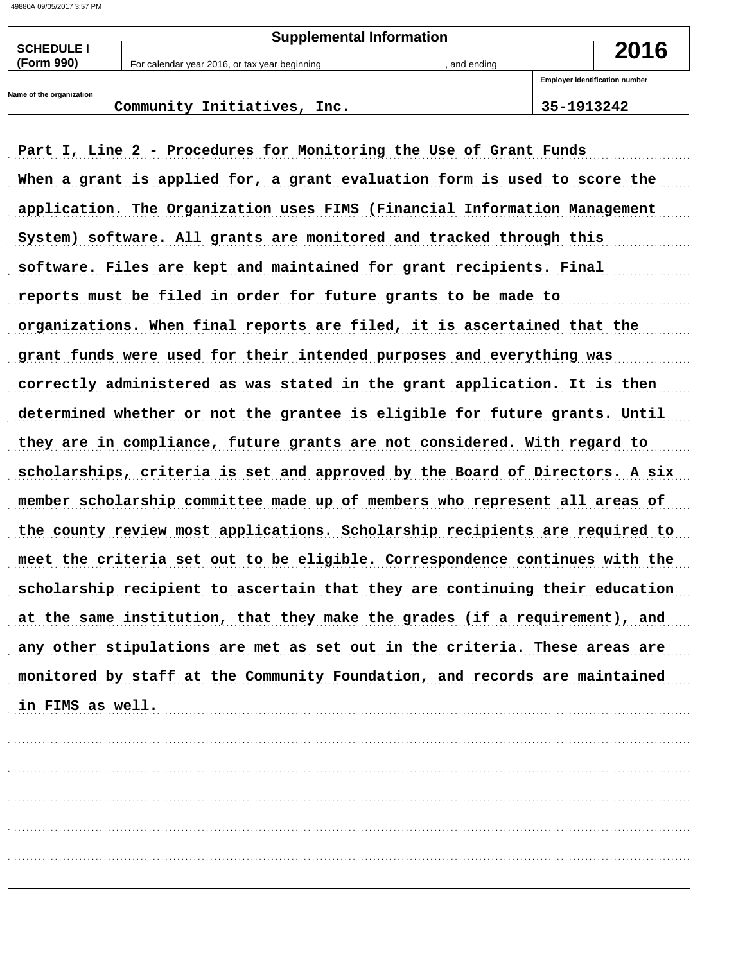| <b>SCHEDULE I</b>        | <b>Supplemental Information</b>               |              |                                       | 2016 |
|--------------------------|-----------------------------------------------|--------------|---------------------------------------|------|
| (Form 990)               | For calendar year 2016, or tax year beginning | . and ending |                                       |      |
|                          |                                               |              | <b>Employer identification number</b> |      |
| Name of the organization |                                               |              |                                       |      |

Community Initiatives, Inc.

35-1913242

Part I, Line 2 - Procedures for Monitoring the Use of Grant Funds When a grant is applied for, a grant evaluation form is used to score the application. The Organization uses FIMS (Financial Information Management System) software. All grants are monitored and tracked through this software. Files are kept and maintained for grant recipients. Final reports must be filed in order for future grants to be made to organizations. When final reports are filed, it is ascertained that the grant funds were used for their intended purposes and everything was correctly administered as was stated in the grant application. It is then determined whether or not the grantee is eligible for future grants. Until they are in compliance, future grants are not considered. With regard to scholarships, criteria is set and approved by the Board of Directors. A six member scholarship committee made up of members who represent all areas of the county review most applications. Scholarship recipients are required to meet the criteria set out to be eligible. Correspondence continues with the scholarship recipient to ascertain that they are continuing their education at the same institution, that they make the grades (if a requirement), and any other stipulations are met as set out in the criteria. These areas are monitored by staff at the Community Foundation, and records are maintained in FIMS as well.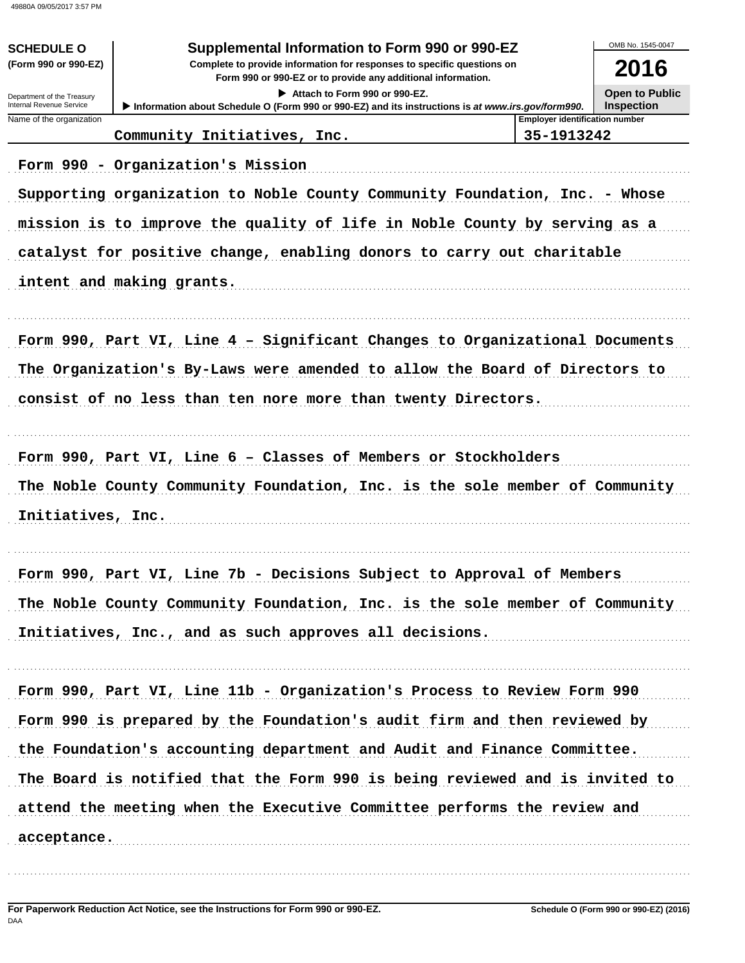| Supplemental Information to Form 990 or 990-EZ<br><b>SCHEDULE O</b><br>(Form 990 or 990-EZ)<br>Complete to provide information for responses to specific questions on<br>Form 990 or 990-EZ or to provide any additional information.<br>Attach to Form 990 or 990-EZ.<br>Department of the Treasury<br>Internal Revenue Service<br>Information about Schedule O (Form 990 or 990-EZ) and its instructions is at www.irs.gov/form990.<br>Name of the organization<br>Community Initiatives, Inc.<br>Form 990 - Organization's Mission<br>Supporting organization to Noble County Community Foundation, Inc. - Whose<br>mission is to improve the quality of life in Noble County by serving as a<br>catalyst for positive change, enabling donors to carry out charitable<br>intent and making grants. | OMB No. 1545-0047<br>2016<br><b>Open to Public</b><br><b>Inspection</b><br><b>Employer identification number</b><br>35-1913242 |
|--------------------------------------------------------------------------------------------------------------------------------------------------------------------------------------------------------------------------------------------------------------------------------------------------------------------------------------------------------------------------------------------------------------------------------------------------------------------------------------------------------------------------------------------------------------------------------------------------------------------------------------------------------------------------------------------------------------------------------------------------------------------------------------------------------|--------------------------------------------------------------------------------------------------------------------------------|
| Form 990, Part VI, Line 4 - Significant Changes to Organizational Documents<br>The Organization's By-Laws were amended to allow the Board of Directors to<br>consist of no less than ten nore more than twenty Directors.<br>Form 990, Part VI, Line 6 - Classes of Members or Stockholders<br>The Noble County Community Foundation, Inc. is the sole member of Community<br>Initiatives, Inc.                                                                                                                                                                                                                                                                                                                                                                                                        |                                                                                                                                |
| Form 990, Part VI, Line 7b - Decisions Subject to Approval of Members<br>The Noble County Community Foundation, Inc. is the sole member of Community<br>Initiatives, Inc., and as such approves all decisions.<br>Form 990, Part VI, Line 11b - Organization's Process to Review Form 990<br>Form 990 is prepared by the Foundation's audit firm and then reviewed by<br>the Foundation's accounting department and Audit and Finance Committee.<br>The Board is notified that the Form 990 is being reviewed and is invited to<br>attend the meeting when the Executive Committee performs the review and<br>acceptance.                                                                                                                                                                              |                                                                                                                                |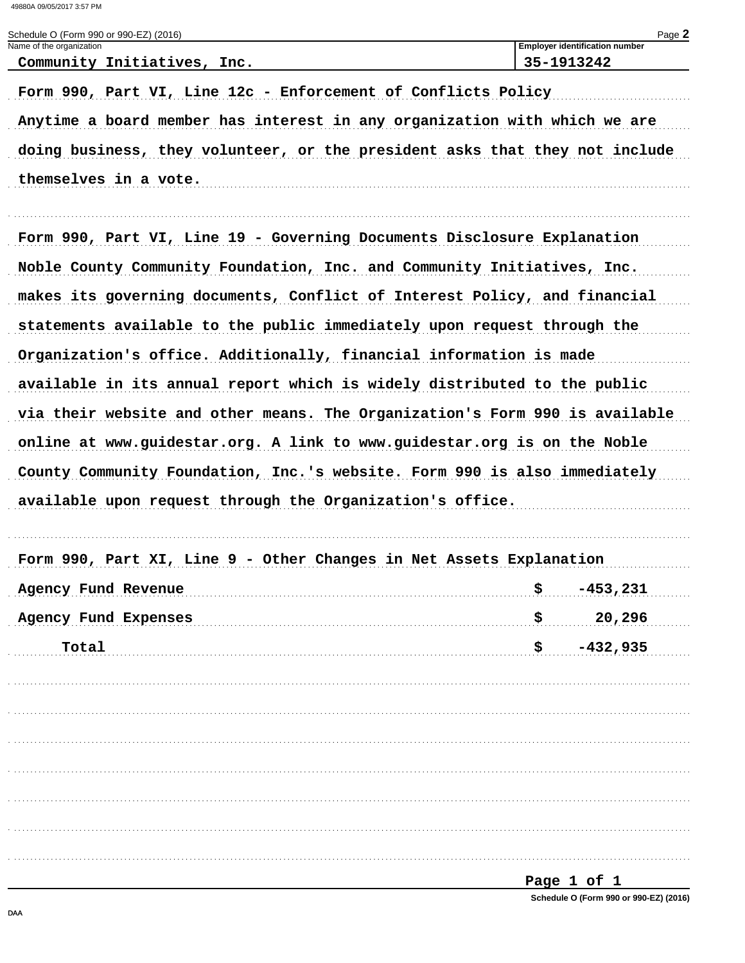| Schedule O (Form 990 or 990-EZ) (2016)                                      | Page 2                                              |
|-----------------------------------------------------------------------------|-----------------------------------------------------|
| Name of the organization<br>Community Initiatives, Inc.                     | <b>Employer identification number</b><br>35-1913242 |
| Form 990, Part VI, Line 12c - Enforcement of Conflicts Policy               |                                                     |
| Anytime a board member has interest in any organization with which we are   |                                                     |
| doing business, they volunteer, or the president asks that they not include |                                                     |
| themselves in a vote.                                                       |                                                     |
| Form 990, Part VI, Line 19 - Governing Documents Disclosure Explanation     |                                                     |
| Noble County Community Foundation, Inc. and Community Initiatives, Inc.     |                                                     |
| makes its governing documents, Conflict of Interest Policy, and financial   |                                                     |
| statements available to the public immediately upon request through the     |                                                     |
| Organization's office. Additionally, financial information is made          |                                                     |
| available in its annual report which is widely distributed to the public    |                                                     |
| via their website and other means. The Organization's Form 990 is available |                                                     |
| online at www.guidestar.org. A link to www.guidestar.org is on the Noble    |                                                     |
| County Community Foundation, Inc.'s website. Form 990 is also immediately   |                                                     |
| available upon request through the Organization's office.                   |                                                     |
| Form 990, Part XI, Line 9 - Other Changes in Net Assets Explanation         |                                                     |
| Agency Fund Revenue                                                         | \$<br>$-453, 231$                                   |
| Agency Fund Expenses                                                        | \$<br>20,296                                        |
| Total                                                                       | \$<br>$-432,935$                                    |
|                                                                             |                                                     |
|                                                                             |                                                     |
|                                                                             |                                                     |
|                                                                             |                                                     |
|                                                                             |                                                     |
|                                                                             |                                                     |
|                                                                             |                                                     |
|                                                                             |                                                     |

Page 1 of 1

Schedule O (Form 990 or 990-EZ) (2016)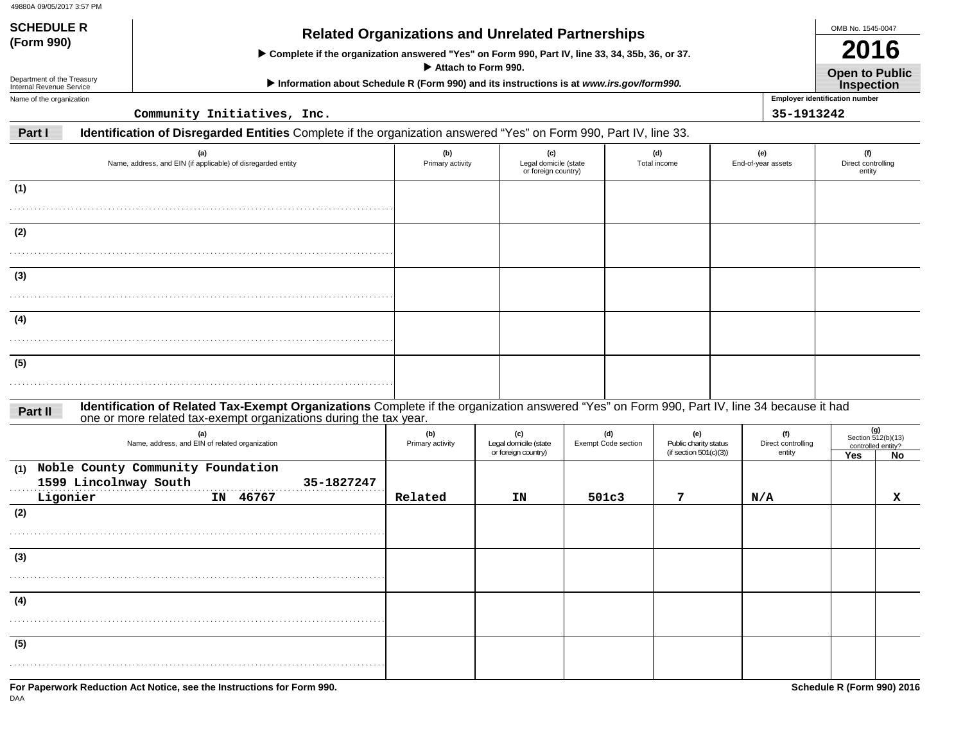**SCHEDULE R**

# **(Form 990) Related Organizations and Unrelated Partnerships**

 **Complete if the organization answered "Yes" on Form 990, Part IV, line 33, 34, 35b, 36, or 37.**

 **Attach to Form 990.**

 **Information about Schedule R (Form 990) and its instructions is at** *www.irs.gov/form990.*

Department of the Treasury Internal Revenue ServiceName of the organization

**Employer identification number Inspection**

**Community Initiatives, Inc. 35-1913242**

**Part IIdentification of Disregarded Entities** Complete if the organization answered "Yes" on Form 990, Part IV, line 33.

| (a)<br>Name, address, and EIN (if applicable) of disregarded entity                                                                                                                                                         | (b)<br>Primary activity | (c)<br>Legal domicile (state<br>or foreign country) |                            | (d)<br>Total income                                       | (e)<br>End-of-year assets           | (f)<br>Direct controlling<br>entity |                                                       |
|-----------------------------------------------------------------------------------------------------------------------------------------------------------------------------------------------------------------------------|-------------------------|-----------------------------------------------------|----------------------------|-----------------------------------------------------------|-------------------------------------|-------------------------------------|-------------------------------------------------------|
| (1)                                                                                                                                                                                                                         |                         |                                                     |                            |                                                           |                                     |                                     |                                                       |
| (2)                                                                                                                                                                                                                         |                         |                                                     |                            |                                                           |                                     |                                     |                                                       |
| (3)                                                                                                                                                                                                                         |                         |                                                     |                            |                                                           |                                     |                                     |                                                       |
| (4)                                                                                                                                                                                                                         |                         |                                                     |                            |                                                           |                                     |                                     |                                                       |
| (5)                                                                                                                                                                                                                         |                         |                                                     |                            |                                                           |                                     |                                     |                                                       |
| Identification of Related Tax-Exempt Organizations Complete if the organization answered "Yes" on Form 990, Part IV, line 34 because it had<br>Part II<br>one or more related tax-exempt organizations during the tax year. |                         |                                                     |                            |                                                           |                                     |                                     |                                                       |
| (a)<br>Name, address, and EIN of related organization                                                                                                                                                                       | (b)<br>Primary activity | (c)<br>Legal domicile (state<br>or foreign country) | (d)<br>Exempt Code section | (e)<br>Public charity status<br>(if section $501(c)(3)$ ) | (f)<br>Direct controlling<br>entity | Yes                                 | (g)<br>Section 512(b)(13)<br>controlled entity?<br>No |
| (1) Noble County Community Foundation<br>1599 Lincolnway South<br>35-1827247<br>Ligonier<br>IN 46767                                                                                                                        | Related                 | ΙN                                                  | 501c3                      | 7                                                         | N/A                                 |                                     | x                                                     |
| (2)                                                                                                                                                                                                                         |                         |                                                     |                            |                                                           |                                     |                                     |                                                       |
| (3)                                                                                                                                                                                                                         |                         |                                                     |                            |                                                           |                                     |                                     |                                                       |
| (4)                                                                                                                                                                                                                         |                         |                                                     |                            |                                                           |                                     |                                     |                                                       |
| (5)                                                                                                                                                                                                                         |                         |                                                     |                            |                                                           |                                     |                                     |                                                       |
| For Bonoruark Boduction, Act Notice, and the Instructions for Form 000                                                                                                                                                      |                         |                                                     |                            |                                                           |                                     | <b>Cohodulo D / Earm 000) 2016</b>  |                                                       |



**Open to Public 2016**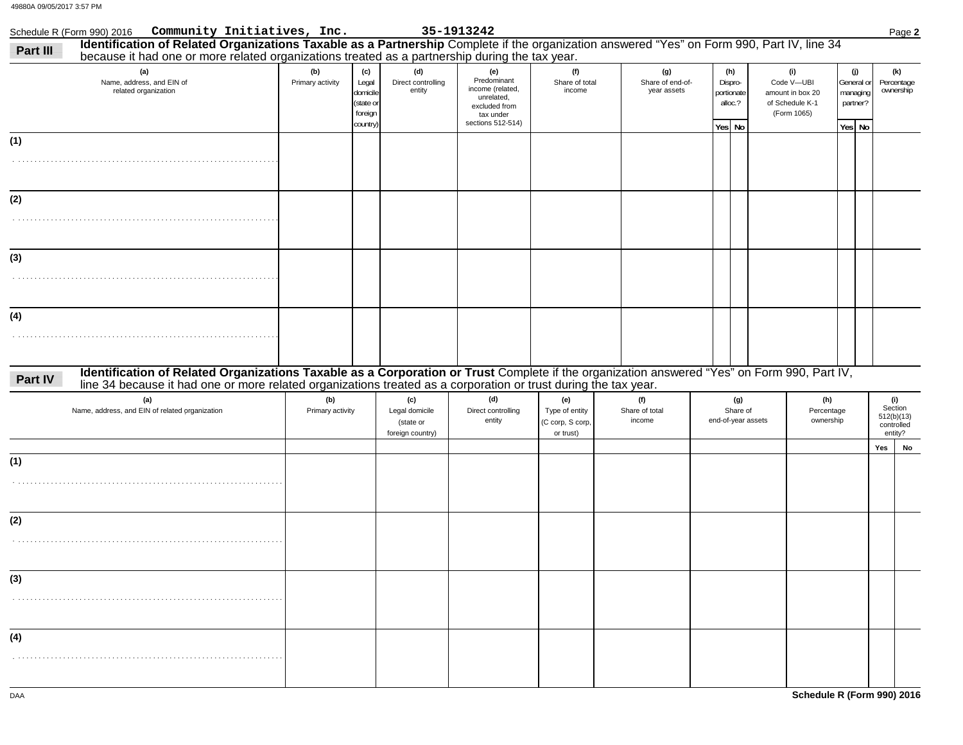Schedule R (Form 990) 2016 Page **2 Community Initiatives, Inc. 35-1913242**

| Part III | <b>Identification of Related Organizations Taxable as a Partnership</b> Complete if the organization answered "Yes" on Form 990, Part IV, line 34<br>because it had one or more related organizations treated as a partnership during the tax year.            |                         |                                                             |                                                        |                                                                                                         |                                                        |                                        |                                                   |                                                                         |                                         |          |                                                       |
|----------|----------------------------------------------------------------------------------------------------------------------------------------------------------------------------------------------------------------------------------------------------------------|-------------------------|-------------------------------------------------------------|--------------------------------------------------------|---------------------------------------------------------------------------------------------------------|--------------------------------------------------------|----------------------------------------|---------------------------------------------------|-------------------------------------------------------------------------|-----------------------------------------|----------|-------------------------------------------------------|
|          | (a)<br>Name, address, and EIN of<br>related organization                                                                                                                                                                                                       | (b)<br>Primary activity | (c)<br>Legal<br>domicile<br>state or<br>foreign<br>country) | (d)<br>Direct controlling<br>entity                    | (e)<br>Predominant<br>income (related,<br>unrelated,<br>excluded from<br>tax under<br>sections 512-514) | (f)<br>Share of total<br>income                        | (g)<br>Share of end-of-<br>year assets | (h)<br>Dispro-<br>portionate<br>alloc.?<br>Yes No | (i)<br>Code V-UBI<br>amount in box 20<br>of Schedule K-1<br>(Form 1065) | (j)<br>General or<br>partner?<br>Yes No | managing | (k)<br>Percentage<br>ownership                        |
| (1)      |                                                                                                                                                                                                                                                                |                         |                                                             |                                                        |                                                                                                         |                                                        |                                        |                                                   |                                                                         |                                         |          |                                                       |
|          |                                                                                                                                                                                                                                                                |                         |                                                             |                                                        |                                                                                                         |                                                        |                                        |                                                   |                                                                         |                                         |          |                                                       |
| (2)      |                                                                                                                                                                                                                                                                |                         |                                                             |                                                        |                                                                                                         |                                                        |                                        |                                                   |                                                                         |                                         |          |                                                       |
|          |                                                                                                                                                                                                                                                                |                         |                                                             |                                                        |                                                                                                         |                                                        |                                        |                                                   |                                                                         |                                         |          |                                                       |
| (3)      |                                                                                                                                                                                                                                                                |                         |                                                             |                                                        |                                                                                                         |                                                        |                                        |                                                   |                                                                         |                                         |          |                                                       |
|          |                                                                                                                                                                                                                                                                |                         |                                                             |                                                        |                                                                                                         |                                                        |                                        |                                                   |                                                                         |                                         |          |                                                       |
| (4)      |                                                                                                                                                                                                                                                                |                         |                                                             |                                                        |                                                                                                         |                                                        |                                        |                                                   |                                                                         |                                         |          |                                                       |
|          |                                                                                                                                                                                                                                                                |                         |                                                             |                                                        |                                                                                                         |                                                        |                                        |                                                   |                                                                         |                                         |          |                                                       |
| Part IV  | Identification of Related Organizations Taxable as a Corporation or Trust Complete if the organization answered "Yes" on Form 990, Part IV,<br>line 34 because it had one or more related organizations treated as a corporation or trust during the tax year. |                         |                                                             |                                                        |                                                                                                         |                                                        |                                        |                                                   |                                                                         |                                         |          |                                                       |
|          | (a)<br>Name, address, and EIN of related organization                                                                                                                                                                                                          | (b)<br>Primary activity |                                                             | (c)<br>Legal domicile<br>(state or<br>foreign country) | (d)<br>Direct controlling<br>entity                                                                     | (e)<br>Type of entity<br>(C corp, S corp,<br>or trust) | (f)<br>Share of total<br>income        | (g)<br>Share of<br>end-of-year assets             | (h)<br>Percentage<br>ownership                                          |                                         |          | (i)<br>Section<br>512(b)(13)<br>controlled<br>entity? |
| (1)      |                                                                                                                                                                                                                                                                |                         |                                                             |                                                        |                                                                                                         |                                                        |                                        |                                                   |                                                                         |                                         |          | Yes<br>No                                             |
|          |                                                                                                                                                                                                                                                                |                         |                                                             |                                                        |                                                                                                         |                                                        |                                        |                                                   |                                                                         |                                         |          |                                                       |
| (2)      |                                                                                                                                                                                                                                                                |                         |                                                             |                                                        |                                                                                                         |                                                        |                                        |                                                   |                                                                         |                                         |          |                                                       |
|          |                                                                                                                                                                                                                                                                |                         |                                                             |                                                        |                                                                                                         |                                                        |                                        |                                                   |                                                                         |                                         |          |                                                       |
| (3)      |                                                                                                                                                                                                                                                                |                         |                                                             |                                                        |                                                                                                         |                                                        |                                        |                                                   |                                                                         |                                         |          |                                                       |
|          |                                                                                                                                                                                                                                                                |                         |                                                             |                                                        |                                                                                                         |                                                        |                                        |                                                   |                                                                         |                                         |          |                                                       |
| (4)      |                                                                                                                                                                                                                                                                |                         |                                                             |                                                        |                                                                                                         |                                                        |                                        |                                                   |                                                                         |                                         |          |                                                       |
|          |                                                                                                                                                                                                                                                                |                         |                                                             |                                                        |                                                                                                         |                                                        |                                        |                                                   |                                                                         |                                         |          |                                                       |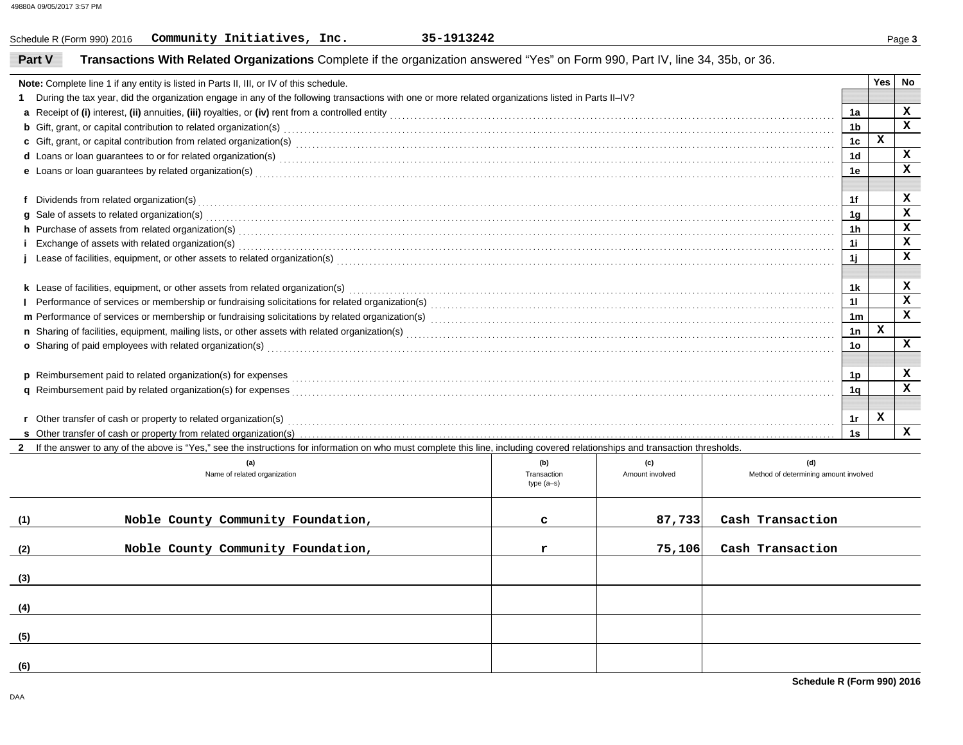DAA

|        | Schedule R (Form 990) 2016                                                                                                                                                                                                          | Community Initiatives, Inc.  | 35-1913242 |             |                 |                                       |                |             | Page 3       |
|--------|-------------------------------------------------------------------------------------------------------------------------------------------------------------------------------------------------------------------------------------|------------------------------|------------|-------------|-----------------|---------------------------------------|----------------|-------------|--------------|
| Part V | Transactions With Related Organizations Complete if the organization answered "Yes" on Form 990, Part IV, line 34, 35b, or 36.                                                                                                      |                              |            |             |                 |                                       |                |             |              |
|        | Note: Complete line 1 if any entity is listed in Parts II, III, or IV of this schedule.                                                                                                                                             |                              |            |             |                 |                                       |                | Yes         | No           |
|        | During the tax year, did the organization engage in any of the following transactions with one or more related organizations listed in Parts II-IV?                                                                                 |                              |            |             |                 |                                       |                |             |              |
|        |                                                                                                                                                                                                                                     |                              |            |             |                 |                                       | 1a             |             | x            |
|        | <b>b</b> Gift, grant, or capital contribution to related organization(s) encourse contained and contained and contribution to related organization(s) encourse contained and contained and contained and contained and contained an |                              |            |             |                 |                                       | 1 <sub>b</sub> |             | $\mathbf{x}$ |
|        | c Gift, grant, or capital contribution from related organization(s) encourse contained and contained and contribution from related organization(s)                                                                                  |                              |            |             |                 |                                       | 1 <sub>c</sub> | $\mathbf x$ |              |
|        | d Loans or loan guarantees to or for related organization(s) encourance contained and contained a contained and contained a contained a contained and contained a contact or product of the contact or contact or contact or c      |                              |            |             |                 |                                       | 1 <sub>d</sub> |             | $\mathbf x$  |
|        | e Loans or loan guarantees by related organization(s) electron contract the contract contract contract contract contract contract contract contract contract contract contract contract contract contract contract contract co      |                              |            |             |                 |                                       | 1e             |             | x            |
|        |                                                                                                                                                                                                                                     |                              |            |             |                 |                                       |                |             |              |
| f      | Dividends from related organization(s) with an account of the control or control or control or control or control or control or control or control or control or control or control or control or control or control or contro      |                              |            |             |                 |                                       | 1f             |             | x            |
|        | g Sale of assets to related organization(s) with the contract of the contract of the contract of the contract of the contract of the contract of the contract of the contract of the contract of the contract of the contract       |                              |            |             |                 |                                       | 1g             |             | $\mathbf x$  |
|        | h Purchase of assets from related organization(s) encourance contains and contains a container and container and container and container and container and container and container and container and container and container a      |                              |            |             |                 |                                       | 1h             |             | $\mathbf x$  |
|        | Exchange of assets with related organization(s) encounteral contracts and contact and contact and contact and contact and contact and contact and contact and contact and contact and contact and contact and contact and cont      |                              |            |             |                 |                                       | 1i.            |             | $\mathbf{x}$ |
|        | Lease of facilities, equipment, or other assets to related organization(s) Material Accords Communities and the content of facilities, equipment, or other assets to related organization(s) Material Accords Communities and       |                              |            |             |                 |                                       | 1i             |             | $\mathbf x$  |
|        |                                                                                                                                                                                                                                     |                              |            |             |                 |                                       |                |             |              |
|        | k Lease of facilities, equipment, or other assets from related organization(s)                                                                                                                                                      |                              |            |             |                 |                                       | 1 <sub>k</sub> |             | x            |
|        | Performance of services or membership or fundraising solicitations for related organization(s)<br>and the comparization(s) contains and the containment contains contained the container container container container container    |                              |            |             |                 |                                       | 11             |             | $\mathbf{x}$ |
|        |                                                                                                                                                                                                                                     |                              |            |             |                 |                                       | 1 <sub>m</sub> |             | x            |
|        |                                                                                                                                                                                                                                     |                              |            |             |                 |                                       | 1n             | $\mathbf x$ |              |
|        | o Sharing of paid employees with related organization(s) Mathematic Annual Community Construction Community Community Community Community Community Community Community Community Community Community Community Community Comm      |                              |            |             |                 |                                       | 1 <sub>o</sub> |             | x            |
|        |                                                                                                                                                                                                                                     |                              |            |             |                 |                                       |                |             |              |
|        |                                                                                                                                                                                                                                     |                              |            |             |                 |                                       | 1p             |             | x            |
|        | q Reimbursement paid by related organization(s) for expenses <b>construction and construction</b> construction and construction or construction of the construction of the construction of the construction of the construction of  |                              |            |             |                 |                                       | 1α             |             | X            |
|        |                                                                                                                                                                                                                                     |                              |            |             |                 |                                       |                |             |              |
|        |                                                                                                                                                                                                                                     |                              |            |             |                 |                                       | 1r             | x           |              |
|        |                                                                                                                                                                                                                                     |                              |            |             |                 |                                       | 1s             |             | $\mathbf{x}$ |
|        | 2 If the answer to any of the above is "Yes," see the instructions for information on who must complete this line, including covered relationships and transaction thresholds.                                                      |                              |            |             |                 |                                       |                |             |              |
|        |                                                                                                                                                                                                                                     | (a)                          |            | (b)         | (c)             | (d)                                   |                |             |              |
|        |                                                                                                                                                                                                                                     | Name of related organization |            | Transaction | Amount involved | Method of determining amount involved |                |             |              |

|     | (a)<br>Name of related organization | (W)<br>Transaction<br>type (a-s) | <b>(u)</b><br>Amount involved | (u)<br>Method of determining amount involved |
|-----|-------------------------------------|----------------------------------|-------------------------------|----------------------------------------------|
| (1) | Noble County Community Foundation,  | c                                | 87,733                        | Cash Transaction                             |
| (2) | Noble County Community Foundation,  |                                  | 75,106                        | Cash Transaction                             |
| (3) |                                     |                                  |                               |                                              |
| (4) |                                     |                                  |                               |                                              |
| (5) |                                     |                                  |                               |                                              |
| (6) |                                     |                                  |                               |                                              |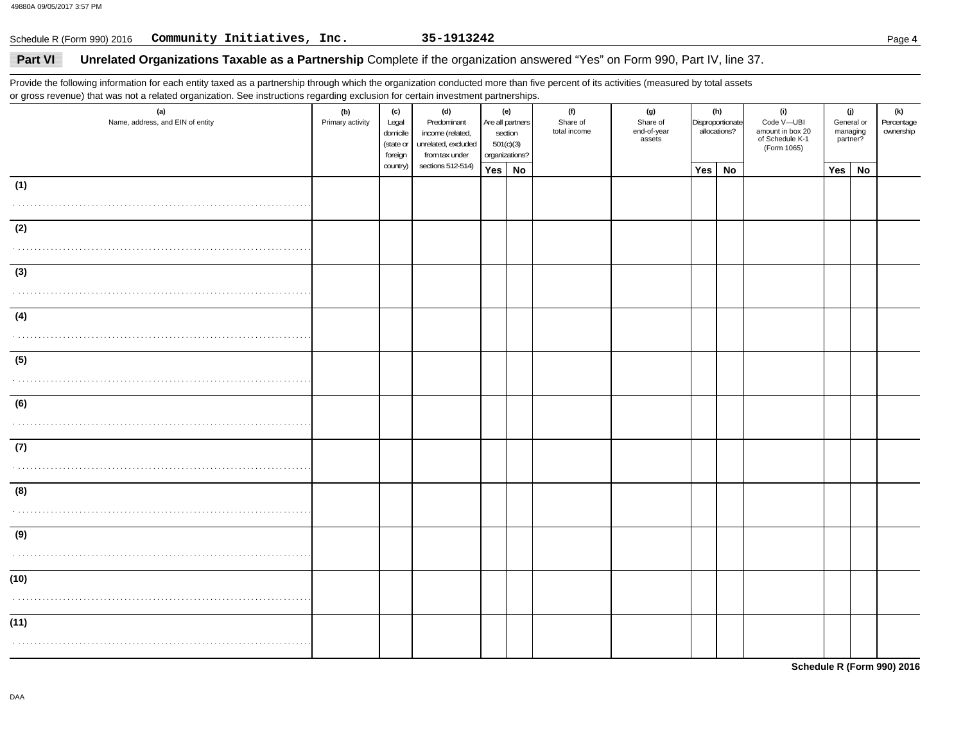### Schedule R (Form 990) 2016 Page **4 Community Initiatives, Inc. 35-1913242**

Provide the following information for each entity taxed as a partnership through which the organization conducted more than five percent of its activities (measured by total assets or gross revenue) that was not a related organization. See instructions regarding exclusion for certain investment partnerships.

| (a)<br>Name, address, and EIN of entity | (b)<br>Primary activity | (c)<br>Legal<br>domicile<br>(state or<br>foreign | (d)<br>Predominant<br>income (related,<br>unrelated, excluded<br>from tax under | (e)<br>Are all partners<br>section<br>501(c)(3)<br>organizations? | (f)<br>Share of<br>total income | (g)<br>Share of<br>end-of-year<br>assets |     | (h)<br>Disproportionate<br>allocations? | (i)<br>Code V-UBI<br>amount in box 20<br>of Schedule K-1<br>(Form 1065) | managing<br>partner? | (j)<br>General or | (k)<br>Percentage<br>ownership |
|-----------------------------------------|-------------------------|--------------------------------------------------|---------------------------------------------------------------------------------|-------------------------------------------------------------------|---------------------------------|------------------------------------------|-----|-----------------------------------------|-------------------------------------------------------------------------|----------------------|-------------------|--------------------------------|
|                                         |                         | country)                                         | sections 512-514)                                                               | Yes No                                                            |                                 |                                          | Yes | <b>No</b>                               |                                                                         | Yes                  | <b>No</b>         |                                |
| (1)                                     |                         |                                                  |                                                                                 |                                                                   |                                 |                                          |     |                                         |                                                                         |                      |                   |                                |
|                                         |                         |                                                  |                                                                                 |                                                                   |                                 |                                          |     |                                         |                                                                         |                      |                   |                                |
| (2)                                     |                         |                                                  |                                                                                 |                                                                   |                                 |                                          |     |                                         |                                                                         |                      |                   |                                |
|                                         |                         |                                                  |                                                                                 |                                                                   |                                 |                                          |     |                                         |                                                                         |                      |                   |                                |
| (3)                                     |                         |                                                  |                                                                                 |                                                                   |                                 |                                          |     |                                         |                                                                         |                      |                   |                                |
|                                         |                         |                                                  |                                                                                 |                                                                   |                                 |                                          |     |                                         |                                                                         |                      |                   |                                |
| (4)                                     |                         |                                                  |                                                                                 |                                                                   |                                 |                                          |     |                                         |                                                                         |                      |                   |                                |
|                                         |                         |                                                  |                                                                                 |                                                                   |                                 |                                          |     |                                         |                                                                         |                      |                   |                                |
| (5)                                     |                         |                                                  |                                                                                 |                                                                   |                                 |                                          |     |                                         |                                                                         |                      |                   |                                |
|                                         |                         |                                                  |                                                                                 |                                                                   |                                 |                                          |     |                                         |                                                                         |                      |                   |                                |
| (6)                                     |                         |                                                  |                                                                                 |                                                                   |                                 |                                          |     |                                         |                                                                         |                      |                   |                                |
|                                         |                         |                                                  |                                                                                 |                                                                   |                                 |                                          |     |                                         |                                                                         |                      |                   |                                |
| (7)                                     |                         |                                                  |                                                                                 |                                                                   |                                 |                                          |     |                                         |                                                                         |                      |                   |                                |
|                                         |                         |                                                  |                                                                                 |                                                                   |                                 |                                          |     |                                         |                                                                         |                      |                   |                                |
| (8)                                     |                         |                                                  |                                                                                 |                                                                   |                                 |                                          |     |                                         |                                                                         |                      |                   |                                |
|                                         |                         |                                                  |                                                                                 |                                                                   |                                 |                                          |     |                                         |                                                                         |                      |                   |                                |
| (9)                                     |                         |                                                  |                                                                                 |                                                                   |                                 |                                          |     |                                         |                                                                         |                      |                   |                                |
|                                         |                         |                                                  |                                                                                 |                                                                   |                                 |                                          |     |                                         |                                                                         |                      |                   |                                |
| (10)                                    |                         |                                                  |                                                                                 |                                                                   |                                 |                                          |     |                                         |                                                                         |                      |                   |                                |
|                                         |                         |                                                  |                                                                                 |                                                                   |                                 |                                          |     |                                         |                                                                         |                      |                   |                                |
| (11)                                    |                         |                                                  |                                                                                 |                                                                   |                                 |                                          |     |                                         |                                                                         |                      |                   |                                |
|                                         |                         |                                                  |                                                                                 |                                                                   |                                 |                                          |     |                                         |                                                                         |                      |                   |                                |
|                                         |                         |                                                  |                                                                                 |                                                                   |                                 |                                          |     |                                         |                                                                         |                      |                   |                                |

**Schedule R (Form 990) 2016**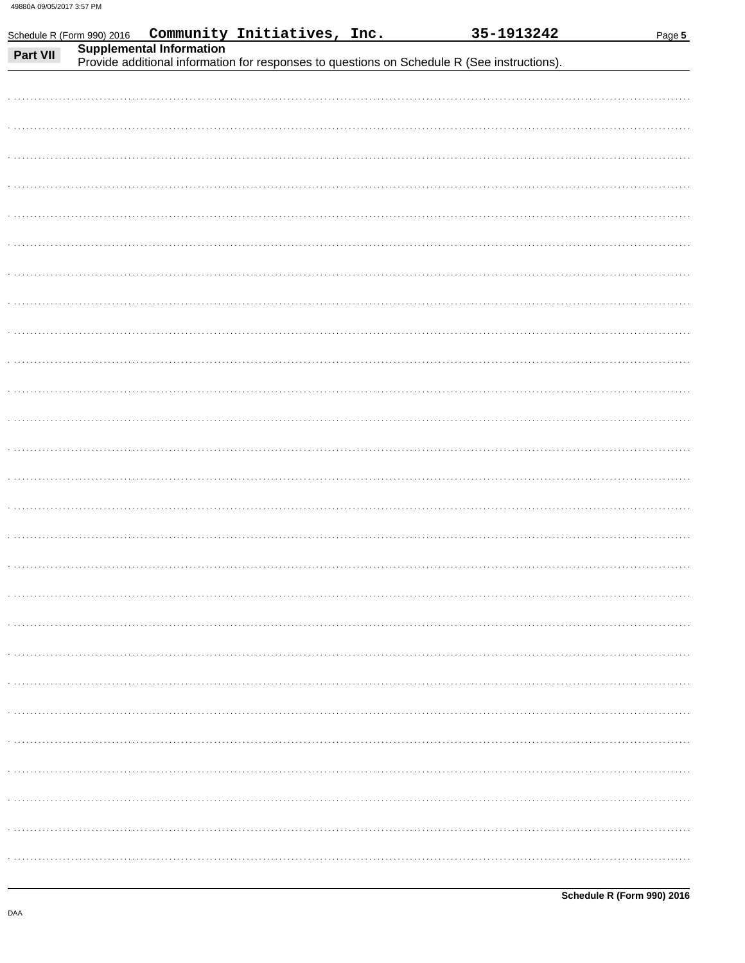|          | Schedule R (Form 990) 2016 |                                 | Community Initiatives, Inc. | 35-1913242                                                                                  | Page 5 |
|----------|----------------------------|---------------------------------|-----------------------------|---------------------------------------------------------------------------------------------|--------|
|          |                            | <b>Supplemental Information</b> |                             |                                                                                             |        |
| Part VII |                            |                                 |                             | Provide additional information for responses to questions on Schedule R (See instructions). |        |
|          |                            |                                 |                             |                                                                                             |        |
|          |                            |                                 |                             |                                                                                             |        |
|          |                            |                                 |                             |                                                                                             |        |
|          |                            |                                 |                             |                                                                                             |        |
|          |                            |                                 |                             |                                                                                             |        |
|          |                            |                                 |                             |                                                                                             |        |
|          |                            |                                 |                             |                                                                                             |        |
|          |                            |                                 |                             |                                                                                             |        |
|          |                            |                                 |                             |                                                                                             |        |
|          |                            |                                 |                             |                                                                                             |        |
|          |                            |                                 |                             |                                                                                             |        |
|          |                            |                                 |                             |                                                                                             |        |
|          |                            |                                 |                             |                                                                                             |        |
|          |                            |                                 |                             |                                                                                             |        |
|          |                            |                                 |                             |                                                                                             |        |
|          |                            |                                 |                             |                                                                                             |        |
|          |                            |                                 |                             |                                                                                             |        |
|          |                            |                                 |                             |                                                                                             |        |
|          |                            |                                 |                             |                                                                                             |        |
|          |                            |                                 |                             |                                                                                             |        |
|          |                            |                                 |                             |                                                                                             |        |
|          |                            |                                 |                             |                                                                                             |        |
|          |                            |                                 |                             |                                                                                             |        |
|          |                            |                                 |                             |                                                                                             |        |
|          |                            |                                 |                             |                                                                                             |        |
|          |                            |                                 |                             |                                                                                             |        |
|          |                            |                                 |                             |                                                                                             |        |
|          |                            |                                 |                             |                                                                                             |        |
|          |                            |                                 |                             |                                                                                             |        |
|          |                            |                                 |                             |                                                                                             |        |
|          |                            |                                 |                             |                                                                                             |        |
|          |                            |                                 |                             |                                                                                             |        |
|          |                            |                                 |                             |                                                                                             |        |
|          |                            |                                 |                             |                                                                                             |        |
|          |                            |                                 |                             |                                                                                             |        |
|          |                            |                                 |                             |                                                                                             |        |
|          |                            |                                 |                             |                                                                                             |        |
|          |                            |                                 |                             |                                                                                             |        |
|          |                            |                                 |                             |                                                                                             |        |
|          |                            |                                 |                             |                                                                                             |        |
|          |                            |                                 |                             |                                                                                             |        |
|          |                            |                                 |                             |                                                                                             |        |
|          |                            |                                 |                             |                                                                                             |        |
|          |                            |                                 |                             |                                                                                             |        |
|          |                            |                                 |                             |                                                                                             |        |
|          |                            |                                 |                             |                                                                                             |        |
|          |                            |                                 |                             |                                                                                             |        |
|          |                            |                                 |                             |                                                                                             |        |
|          |                            |                                 |                             |                                                                                             |        |
|          |                            |                                 |                             |                                                                                             |        |
|          |                            |                                 |                             |                                                                                             |        |
|          |                            |                                 |                             |                                                                                             |        |
|          |                            |                                 |                             |                                                                                             |        |
|          |                            |                                 |                             |                                                                                             |        |
|          |                            |                                 |                             |                                                                                             |        |
|          |                            |                                 |                             |                                                                                             |        |
|          |                            |                                 |                             |                                                                                             |        |
|          |                            |                                 |                             |                                                                                             |        |
|          |                            |                                 |                             |                                                                                             |        |
|          |                            |                                 |                             |                                                                                             |        |
|          |                            |                                 |                             |                                                                                             |        |
|          |                            |                                 |                             |                                                                                             |        |
|          |                            |                                 |                             |                                                                                             |        |
|          |                            |                                 |                             |                                                                                             |        |
|          |                            |                                 |                             |                                                                                             |        |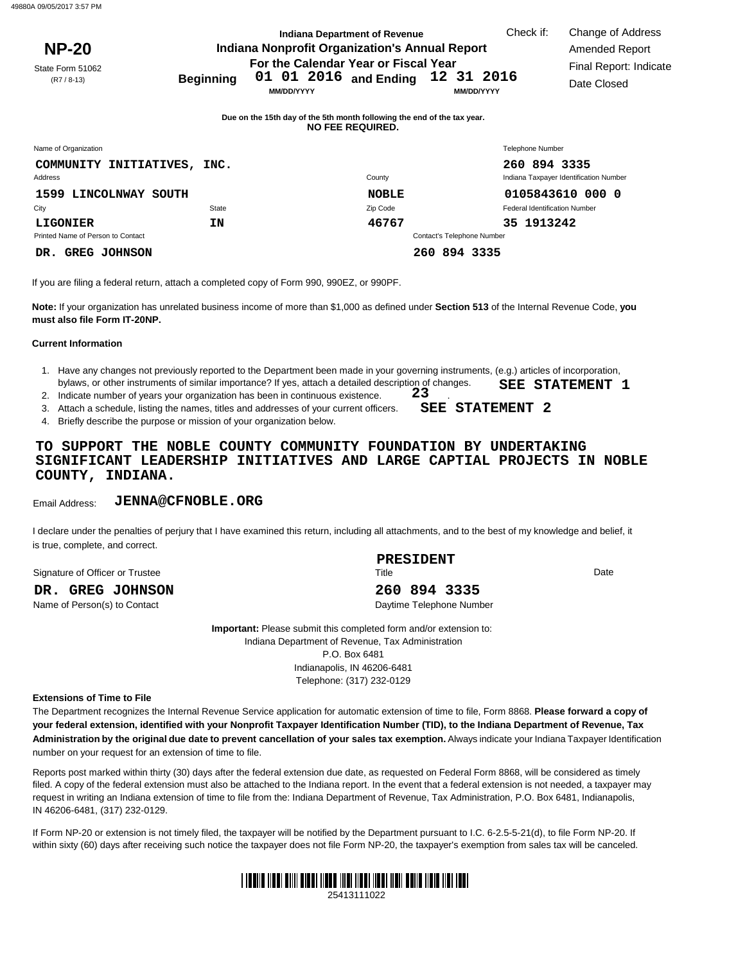|                                        |                  | <b>Indiana Department of Revenue</b>                                                               |                            | Check if:                            | Change of Address                      |
|----------------------------------------|------------------|----------------------------------------------------------------------------------------------------|----------------------------|--------------------------------------|----------------------------------------|
| <b>NP-20</b>                           |                  | Indiana Nonprofit Organization's Annual Report                                                     |                            |                                      | Amended Report                         |
| State Form 51062<br>$(R7 / 8 - 13)$    | <b>Beginning</b> | For the Calendar Year or Fiscal Year<br>01 01 2016 and Ending<br><b>MM/DD/YYYY</b>                 |                            | 12 31 2016<br><b>MM/DD/YYYY</b>      | Final Report: Indicate<br>Date Closed  |
|                                        |                  | Due on the 15th day of the 5th month following the end of the tax year.<br><b>NO FEE REQUIRED.</b> |                            |                                      |                                        |
| Name of Organization                   |                  |                                                                                                    |                            | <b>Telephone Number</b>              |                                        |
| COMMUNITY INITIATIVES, INC.<br>Address |                  | County                                                                                             |                            | 260 894 3335                         | Indiana Taxpayer Identification Number |
| 1599 LINCOLNWAY SOUTH                  |                  |                                                                                                    | <b>NOBLE</b>               | 0105843610 000 0                     |                                        |
| City                                   | State            |                                                                                                    | Zip Code                   | <b>Federal Identification Number</b> |                                        |
| <b>LIGONIER</b>                        | ΙN               |                                                                                                    | 46767                      | 35 1913242                           |                                        |
| Printed Name of Person to Contact      |                  |                                                                                                    | Contact's Telephone Number |                                      |                                        |

If you are filing a federal return, attach a completed copy of Form 990, 990EZ, or 990PF.

**DR. GREG JOHNSON 260 894 3335**

**Note:** If your organization has unrelated business income of more than \$1,000 as defined under **Section 513** of the Internal Revenue Code, **you must also file Form IT-20NP.**

#### **Current Information**

- 1. Have any changes not previously reported to the Department been made in your governing instruments, (e.g.) articles of incorporation, bylaws, or other instruments of similar importance? If yes, attach a detailed description of changes. on of changes. **SEE STATEMENT 1**<br>**23**
- 2. Indicate number of years your organization has been in continuous existence.
- 3. Attach a schedule, listing the names, titles and addresses of your current officers.
- 4. Briefly describe the purpose or mission of your organization below.

### **TO SUPPORT THE NOBLE COUNTY COMMUNITY FOUNDATION BY UNDERTAKING SIGNIFICANT LEADERSHIP INITIATIVES AND LARGE CAPTIAL PROJECTS IN NOBLE COUNTY, INDIANA.**

#### Email Address: **JENNA@CFNOBLE.ORG**

I declare under the penalties of perjury that I have examined this return, including all attachments, and to the best of my knowledge and belief, it is true, complete, and correct.

Signature of Officer or Trustee

#### **DR. GREG JOHNSON 260 894 3335**

Name of Person(s) to Contact and Daytime Telephone Number

**Important:** Please submit this completed form and/or extension to: Indiana Department of Revenue, Tax Administration P.O. Box 6481 Indianapolis, IN 46206-6481

**PRESIDENT**

Telephone: (317) 232-0129

#### **Extensions of Time to File**

The Department recognizes the Internal Revenue Service application for automatic extension of time to file, Form 8868. **Please forward a copy of your federal extension, identified with your Nonprofit Taxpayer Identification Number (TID), to the Indiana Department of Revenue, Tax Administration by the original due date to prevent cancellation of your sales tax exemption.** Always indicate your Indiana Taxpayer Identification number on your request for an extension of time to file.

Reports post marked within thirty (30) days after the federal extension due date, as requested on Federal Form 8868, will be considered as timely filed. A copy of the federal extension must also be attached to the Indiana report. In the event that a federal extension is not needed, a taxpayer may request in writing an Indiana extension of time to file from the: Indiana Department of Revenue, Tax Administration, P.O. Box 6481, Indianapolis, IN 46206-6481, (317) 232-0129.

within sixty (60) days after receiving such notice the taxpayer does not file Form NP-20, the taxpayer's exemption from sales tax will be canceled. If Form NP-20 or extension is not timely filed, the taxpayer will be notified by the Department pursuant to I.C. 6-2.5-5-21(d), to file Form NP-20. If



**SEE STATEMENT 2**

.

Title Date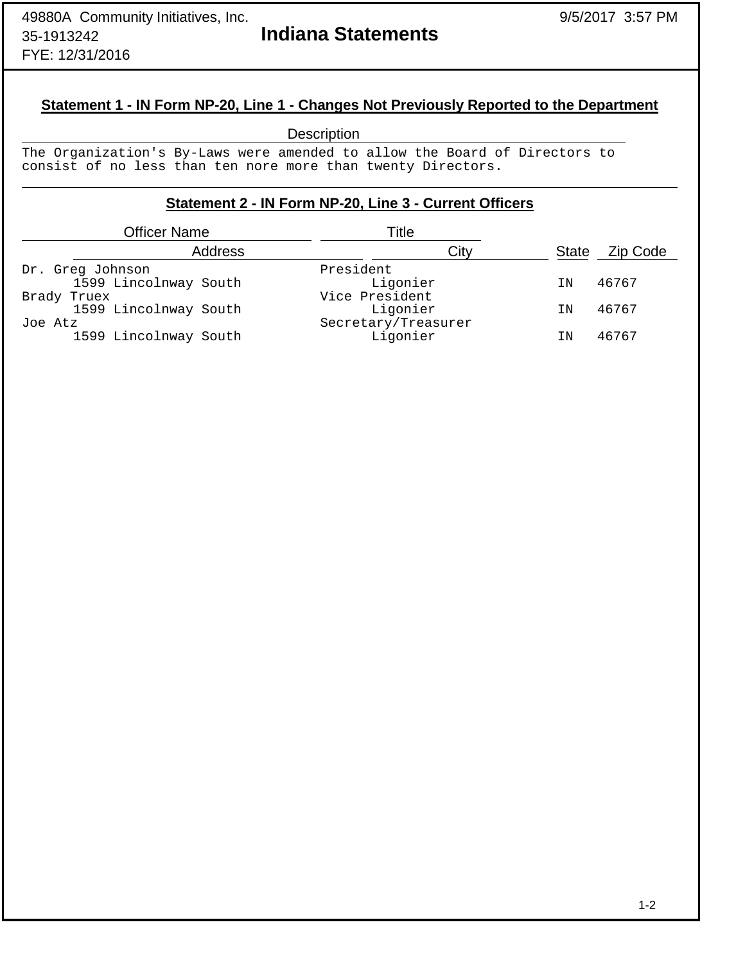# **Statement 1 - IN Form NP-20, Line 1 - Changes Not Previously Reported to the Department**

# **Description**

The Organization's By-Laws were amended to allow the Board of Directors to consist of no less than ten nore more than twenty Directors.

## **Statement 2 - IN Form NP-20, Line 3 - Current Officers**

| <b>Officer Name</b>   | Title               |              |          |
|-----------------------|---------------------|--------------|----------|
| <b>Address</b>        | Citv                | <b>State</b> | Zip Code |
| Dr. Greg Johnson      | President           |              |          |
| 1599 Lincolnway South | Ligonier            | ΙN           | 46767    |
| Brady Truex           | Vice President      |              |          |
| 1599 Lincolnway South | Ligonier            | ΙN           | 46767    |
| Joe Atz               | Secretary/Treasurer |              |          |
| 1599 Lincolnway South | Ligonier            | ΤN           | 46767    |